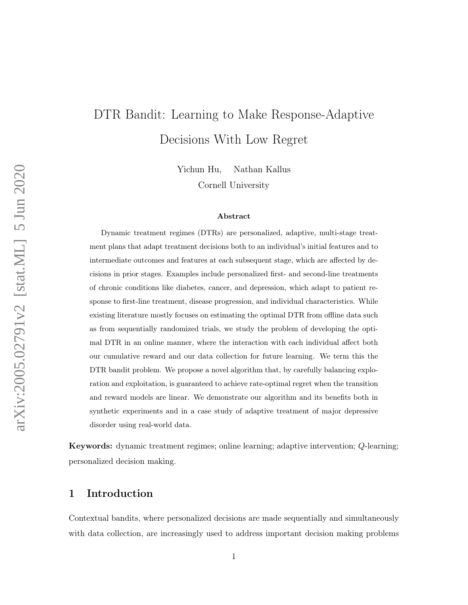# DTR Bandit: Learning to Make Response-Adaptive Decisions With Low Regret

Yichun Hu, Nathan Kallus

Cornell University

#### Abstract

Dynamic treatment regimes (DTRs) are personalized, adaptive, multi-stage treatment plans that adapt treatment decisions both to an individual's initial features and to intermediate outcomes and features at each subsequent stage, which are affected by decisions in prior stages. Examples include personalized first- and second-line treatments of chronic conditions like diabetes, cancer, and depression, which adapt to patient response to first-line treatment, disease progression, and individual characteristics. While existing literature mostly focuses on estimating the optimal DTR from offline data such as from sequentially randomized trials, we study the problem of developing the optimal DTR in an online manner, where the interaction with each individual affect both our cumulative reward and our data collection for future learning. We term this the DTR bandit problem. We propose a novel algorithm that, by carefully balancing exploration and exploitation, is guaranteed to achieve rate-optimal regret when the transition and reward models are linear. We demonstrate our algorithm and its benefits both in synthetic experiments and in a case study of adaptive treatment of major depressive disorder using real-world data.

Keywords: dynamic treatment regimes; online learning; adaptive intervention; Q-learning; personalized decision making.

# 1 Introduction

Contextual bandits, where personalized decisions are made sequentially and simultaneously with data collection, are increasingly used to address important decision making problems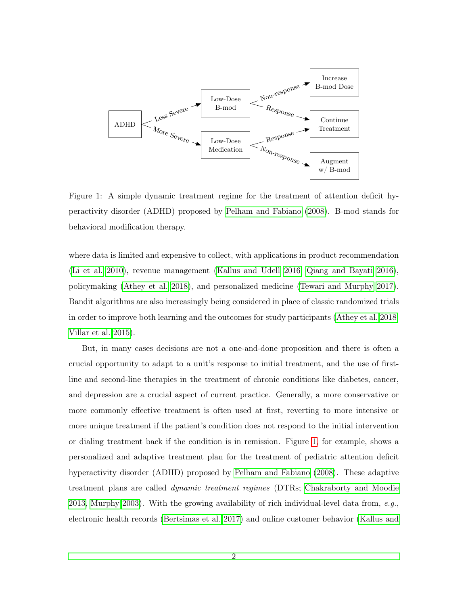<span id="page-1-0"></span>

Figure 1: A simple dynamic treatment regime for the treatment of attention deficit hyperactivity disorder (ADHD) proposed by [Pelham and Fabiano](#page-39-0) [\(2008\)](#page-39-0). B-mod stands for behavioral modification therapy.

where data is limited and expensive to collect, with applications in product recommendation [\(Li et al. 2010\)](#page-38-0), revenue management [\(Kallus and Udell 2016,](#page-38-1) [Qiang and Bayati 2016\)](#page-39-1), policymaking [\(Athey et al. 2018\)](#page-36-0), and personalized medicine [\(Tewari and Murphy 2017\)](#page-40-0). Bandit algorithms are also increasingly being considered in place of classic randomized trials in order to improve both learning and the outcomes for study participants [\(Athey et al. 2018,](#page-36-0) [Villar et al. 2015\)](#page-40-1).

But, in many cases decisions are not a one-and-done proposition and there is often a crucial opportunity to adapt to a unit's response to initial treatment, and the use of firstline and second-line therapies in the treatment of chronic conditions like diabetes, cancer, and depression are a crucial aspect of current practice. Generally, a more conservative or more commonly effective treatment is often used at first, reverting to more intensive or more unique treatment if the patient's condition does not respond to the initial intervention or dialing treatment back if the condition is in remission. Figure [1,](#page-1-0) for example, shows a personalized and adaptive treatment plan for the treatment of pediatric attention deficit hyperactivity disorder (ADHD) proposed by [Pelham and Fabiano](#page-39-0) [\(2008\)](#page-39-0). These adaptive treatment plans are called dynamic treatment regimes (DTRs; [Chakraborty and Moodie](#page-37-0) [2013,](#page-37-0) [Murphy 2003\)](#page-38-2). With the growing availability of rich individual-level data from, e.g., electronic health records [\(Bertsimas et al. 2017\)](#page-36-1) and online customer behavior [\(Kallus and](#page-38-1)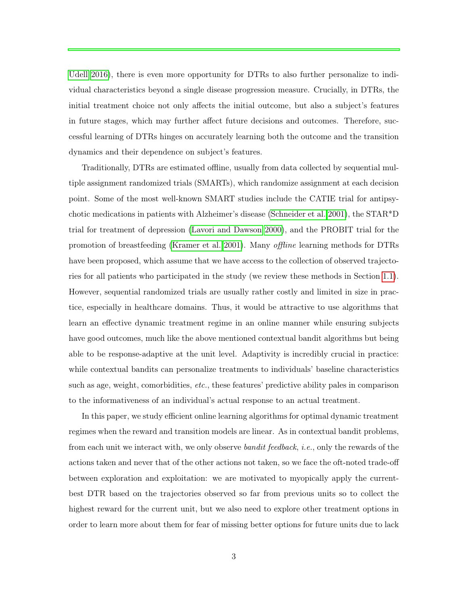[Udell 2016\)](#page-38-1), there is even more opportunity for DTRs to also further personalize to individual characteristics beyond a single disease progression measure. Crucially, in DTRs, the initial treatment choice not only affects the initial outcome, but also a subject's features in future stages, which may further affect future decisions and outcomes. Therefore, successful learning of DTRs hinges on accurately learning both the outcome and the transition dynamics and their dependence on subject's features.

Traditionally, DTRs are estimated offline, usually from data collected by sequential multiple assignment randomized trials (SMARTs), which randomize assignment at each decision point. Some of the most well-known SMART studies include the CATIE trial for antipsychotic medications in patients with Alzheimer's disease [\(Schneider et al. 2001\)](#page-39-2), the STAR\*D trial for treatment of depression [\(Lavori and Dawson 2000\)](#page-38-3), and the PROBIT trial for the promotion of breastfeeding [\(Kramer et al. 2001\)](#page-38-4). Many offline learning methods for DTRs have been proposed, which assume that we have access to the collection of observed trajectories for all patients who participated in the study (we review these methods in Section [1.1\)](#page-3-0). However, sequential randomized trials are usually rather costly and limited in size in practice, especially in healthcare domains. Thus, it would be attractive to use algorithms that learn an effective dynamic treatment regime in an online manner while ensuring subjects have good outcomes, much like the above mentioned contextual bandit algorithms but being able to be response-adaptive at the unit level. Adaptivity is incredibly crucial in practice: while contextual bandits can personalize treatments to individuals' baseline characteristics such as age, weight, comorbidities, etc., these features' predictive ability pales in comparison to the informativeness of an individual's actual response to an actual treatment.

In this paper, we study efficient online learning algorithms for optimal dynamic treatment regimes when the reward and transition models are linear. As in contextual bandit problems, from each unit we interact with, we only observe *bandit feedback*, *i.e.*, only the rewards of the actions taken and never that of the other actions not taken, so we face the oft-noted trade-off between exploration and exploitation: we are motivated to myopically apply the currentbest DTR based on the trajectories observed so far from previous units so to collect the highest reward for the current unit, but we also need to explore other treatment options in order to learn more about them for fear of missing better options for future units due to lack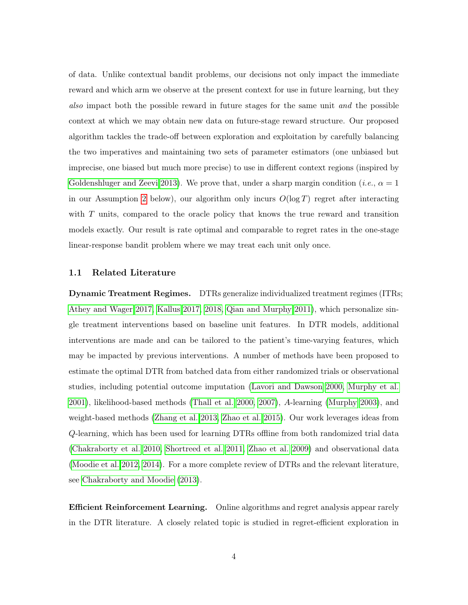of data. Unlike contextual bandit problems, our decisions not only impact the immediate reward and which arm we observe at the present context for use in future learning, but they also impact both the possible reward in future stages for the same unit and the possible context at which we may obtain new data on future-stage reward structure. Our proposed algorithm tackles the trade-off between exploration and exploitation by carefully balancing the two imperatives and maintaining two sets of parameter estimators (one unbiased but imprecise, one biased but much more precise) to use in different context regions (inspired by [Goldenshluger and Zeevi 2013\)](#page-37-1). We prove that, under a sharp margin condition (*i.e.*,  $\alpha = 1$ in our Assumption [2](#page-10-0) below), our algorithm only incurs  $O(\log T)$  regret after interacting with T units, compared to the oracle policy that knows the true reward and transition models exactly. Our result is rate optimal and comparable to regret rates in the one-stage linear-response bandit problem where we may treat each unit only once.

#### <span id="page-3-0"></span>1.1 Related Literature

Dynamic Treatment Regimes. DTRs generalize individualized treatment regimes (ITRs; [Athey and Wager 2017,](#page-36-2) [Kallus 2017,](#page-37-2) [2018,](#page-37-3) [Qian and Murphy 2011\)](#page-39-3), which personalize single treatment interventions based on baseline unit features. In DTR models, additional interventions are made and can be tailored to the patient's time-varying features, which may be impacted by previous interventions. A number of methods have been proposed to estimate the optimal DTR from batched data from either randomized trials or observational studies, including potential outcome imputation [\(Lavori and Dawson 2000,](#page-38-3) [Murphy et al.](#page-38-5) [2001\)](#page-38-5), likelihood-based methods [\(Thall et al. 2000,](#page-40-2) [2007\)](#page-40-3), A-learning [\(Murphy 2003\)](#page-38-2), and weight-based methods [\(Zhang et al. 2013,](#page-40-4) [Zhao et al. 2015\)](#page-40-5). Our work leverages ideas from Q-learning, which has been used for learning DTRs offline from both randomized trial data [\(Chakraborty et al. 2010,](#page-37-4) [Shortreed et al. 2011,](#page-39-4) [Zhao et al. 2009\)](#page-40-6) and observational data [\(Moodie et al. 2012,](#page-38-6) [2014\)](#page-38-7). For a more complete review of DTRs and the relevant literature, see [Chakraborty and Moodie](#page-37-0) [\(2013\)](#page-37-0).

Efficient Reinforcement Learning. Online algorithms and regret analysis appear rarely in the DTR literature. A closely related topic is studied in regret-efficient exploration in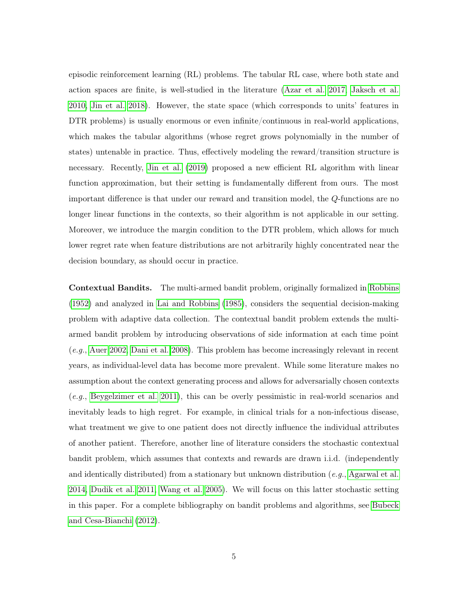episodic reinforcement learning (RL) problems. The tabular RL case, where both state and action spaces are finite, is well-studied in the literature [\(Azar et al. 2017,](#page-36-3) [Jaksch et al.](#page-37-5) [2010,](#page-37-5) [Jin et al. 2018\)](#page-37-6). However, the state space (which corresponds to units' features in DTR problems) is usually enormous or even infinite/continuous in real-world applications, which makes the tabular algorithms (whose regret grows polynomially in the number of states) untenable in practice. Thus, effectively modeling the reward/transition structure is necessary. Recently, [Jin et al.](#page-37-7) [\(2019\)](#page-37-7) proposed a new efficient RL algorithm with linear function approximation, but their setting is fundamentally different from ours. The most important difference is that under our reward and transition model, the Q-functions are no longer linear functions in the contexts, so their algorithm is not applicable in our setting. Moreover, we introduce the margin condition to the DTR problem, which allows for much lower regret rate when feature distributions are not arbitrarily highly concentrated near the decision boundary, as should occur in practice.

Contextual Bandits. The multi-armed bandit problem, originally formalized in [Robbins](#page-39-5) [\(1952\)](#page-39-5) and analyzed in [Lai and Robbins](#page-38-8) [\(1985\)](#page-38-8), considers the sequential decision-making problem with adaptive data collection. The contextual bandit problem extends the multiarmed bandit problem by introducing observations of side information at each time point (e.g., [Auer 2002,](#page-36-4) [Dani et al. 2008\)](#page-37-8). This problem has become increasingly relevant in recent years, as individual-level data has become more prevalent. While some literature makes no assumption about the context generating process and allows for adversarially chosen contexts (e.g., [Beygelzimer et al. 2011\)](#page-36-5), this can be overly pessimistic in real-world scenarios and inevitably leads to high regret. For example, in clinical trials for a non-infectious disease, what treatment we give to one patient does not directly influence the individual attributes of another patient. Therefore, another line of literature considers the stochastic contextual bandit problem, which assumes that contexts and rewards are drawn i.i.d. (independently and identically distributed) from a stationary but unknown distribution  $(e.g., Agarwal et al.$  $(e.g., Agarwal et al.$ [2014,](#page-36-6) [Dudik et al. 2011,](#page-37-9) [Wang et al. 2005\)](#page-40-7). We will focus on this latter stochastic setting in this paper. For a complete bibliography on bandit problems and algorithms, see [Bubeck](#page-36-7) [and Cesa-Bianchi](#page-36-7) [\(2012\)](#page-36-7).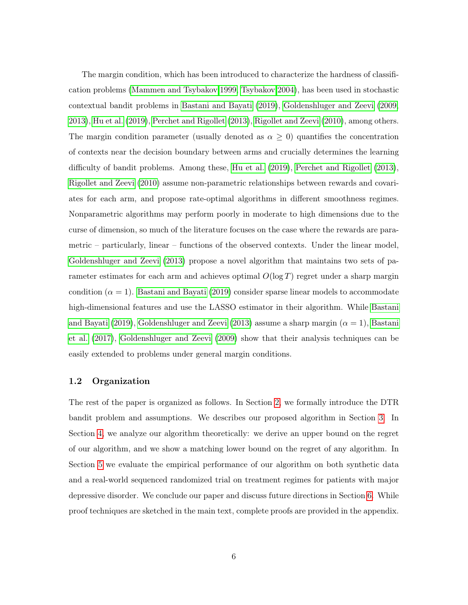The margin condition, which has been introduced to characterize the hardness of classification problems [\(Mammen and Tsybakov 1999,](#page-38-9) [Tsybakov 2004\)](#page-40-8), has been used in stochastic contextual bandit problems in [Bastani and Bayati](#page-36-8) [\(2019\)](#page-36-8), [Goldenshluger and Zeevi](#page-37-10) [\(2009,](#page-37-10) [2013\)](#page-37-1), [Hu et al.](#page-37-11) [\(2019\)](#page-37-11), [Perchet and Rigollet](#page-39-6) [\(2013\)](#page-39-6), [Rigollet and Zeevi](#page-39-7) [\(2010\)](#page-39-7), among others. The margin condition parameter (usually denoted as  $\alpha \geq 0$ ) quantifies the concentration of contexts near the decision boundary between arms and crucially determines the learning difficulty of bandit problems. Among these, [Hu et al.](#page-37-11) [\(2019\)](#page-37-11), [Perchet and Rigollet](#page-39-6) [\(2013\)](#page-39-6), [Rigollet and Zeevi](#page-39-7) [\(2010\)](#page-39-7) assume non-parametric relationships between rewards and covariates for each arm, and propose rate-optimal algorithms in different smoothness regimes. Nonparametric algorithms may perform poorly in moderate to high dimensions due to the curse of dimension, so much of the literature focuses on the case where the rewards are parametric – particularly, linear – functions of the observed contexts. Under the linear model, [Goldenshluger and Zeevi](#page-37-1) [\(2013\)](#page-37-1) propose a novel algorithm that maintains two sets of parameter estimates for each arm and achieves optimal  $O(\log T)$  regret under a sharp margin condition  $(\alpha = 1)$ . [Bastani and Bayati](#page-36-8) [\(2019\)](#page-36-8) consider sparse linear models to accommodate high-dimensional features and use the LASSO estimator in their algorithm. While [Bastani](#page-36-8) [and Bayati](#page-36-8) [\(2019\)](#page-36-8), [Goldenshluger and Zeevi](#page-37-1) [\(2013\)](#page-37-1) assume a sharp margin  $(\alpha = 1)$ , [Bastani](#page-36-9) [et al.](#page-36-9) [\(2017\)](#page-36-9), [Goldenshluger and Zeevi](#page-37-10) [\(2009\)](#page-37-10) show that their analysis techniques can be easily extended to problems under general margin conditions.

#### 1.2 Organization

The rest of the paper is organized as follows. In Section [2,](#page-6-0) we formally introduce the DTR bandit problem and assumptions. We describes our proposed algorithm in Section [3.](#page-12-0) In Section [4,](#page-18-0) we analyze our algorithm theoretically: we derive an upper bound on the regret of our algorithm, and we show a matching lower bound on the regret of any algorithm. In Section [5](#page-27-0) we evaluate the empirical performance of our algorithm on both synthetic data and a real-world sequenced randomized trial on treatment regimes for patients with major depressive disorder. We conclude our paper and discuss future directions in Section [6.](#page-35-0) While proof techniques are sketched in the main text, complete proofs are provided in the appendix.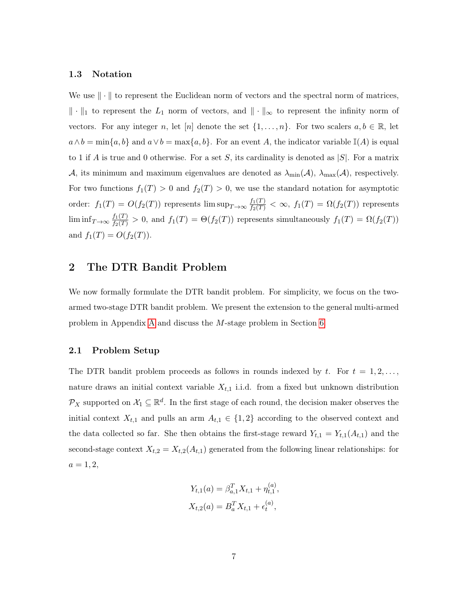#### 1.3 Notation

We use  $\|\cdot\|$  to represent the Euclidean norm of vectors and the spectral norm of matrices,  $\|\cdot\|_1$  to represent the  $L_1$  norm of vectors, and  $\|\cdot\|_{\infty}$  to represent the infinity norm of vectors. For any integer n, let [n] denote the set  $\{1,\ldots,n\}$ . For two scalers  $a, b \in \mathbb{R}$ , let  $a \wedge b = \min\{a, b\}$  and  $a \vee b = \max\{a, b\}$ . For an event A, the indicator variable  $\mathbb{I}(A)$  is equal to 1 if A is true and 0 otherwise. For a set S, its cardinality is denoted as  $|S|$ . For a matrix A, its minimum and maximum eigenvalues are denoted as  $\lambda_{\min}(\mathcal{A})$ ,  $\lambda_{\max}(\mathcal{A})$ , respectively. For two functions  $f_1(T) > 0$  and  $f_2(T) > 0$ , we use the standard notation for asymptotic order:  $f_1(T) = O(f_2(T))$  represents  $\limsup_{T \to \infty} \frac{f_1(T)}{f_2(T)} < \infty$ ,  $f_1(T) = \Omega(f_2(T))$  represents  $\liminf_{T\to\infty} \frac{f_1(T)}{f_2(T)} > 0$ , and  $f_1(T) = \Theta(f_2(T))$  represents simultaneously  $f_1(T) = \Omega(f_2(T))$ and  $f_1(T) = O(f_2(T))$ .

## <span id="page-6-0"></span>2 The DTR Bandit Problem

We now formally formulate the DTR bandit problem. For simplicity, we focus on the twoarmed two-stage DTR bandit problem. We present the extension to the general multi-armed problem in Appendix [A](#page-41-0) and discuss the M-stage problem in Section [6.](#page-35-0)

#### 2.1 Problem Setup

The DTR bandit problem proceeds as follows in rounds indexed by t. For  $t = 1, 2, \ldots$ , nature draws an initial context variable  $X_{t,1}$  i.i.d. from a fixed but unknown distribution  $\mathcal{P}_X$  supported on  $\mathcal{X}_1 \subseteq \mathbb{R}^d$ . In the first stage of each round, the decision maker observes the initial context  $X_{t,1}$  and pulls an arm  $A_{t,1} \in \{1,2\}$  according to the observed context and the data collected so far. She then obtains the first-stage reward  $Y_{t,1} = Y_{t,1}(A_{t,1})$  and the second-stage context  $X_{t,2} = X_{t,2}(A_{t,1})$  generated from the following linear relationships: for  $a = 1, 2,$ 

$$
Y_{t,1}(a) = \beta_{a,1}^T X_{t,1} + \eta_{t,1}^{(a)},
$$
  

$$
X_{t,2}(a) = B_a^T X_{t,1} + \epsilon_t^{(a)},
$$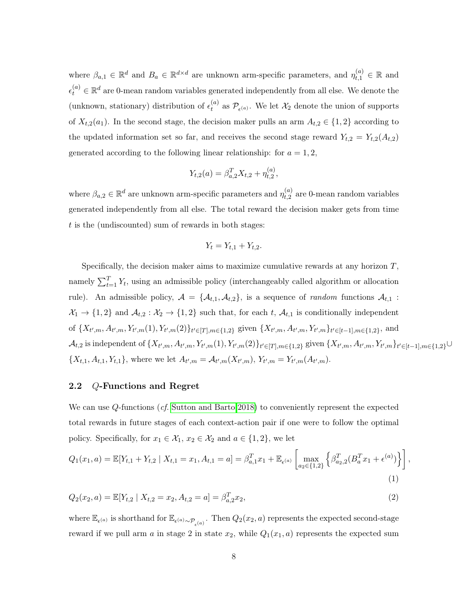where  $\beta_{a,1} \in \mathbb{R}^d$  and  $B_a \in \mathbb{R}^{d \times d}$  are unknown arm-specific parameters, and  $\eta_{t,1}^{(a)} \in \mathbb{R}$  and  $\epsilon_t^{(a)} \in \mathbb{R}^d$  are 0-mean random variables generated independently from all else. We denote the (unknown, stationary) distribution of  $\epsilon_t^{(a)}$  $t_t^{(a)}$  as  $\mathcal{P}_{\epsilon^{(a)}}$ . We let  $\mathcal{X}_2$  denote the union of supports of  $X_{t,2}(a_1)$ . In the second stage, the decision maker pulls an arm  $A_{t,2} \in \{1,2\}$  according to the updated information set so far, and receives the second stage reward  $Y_{t,2} = Y_{t,2}(A_{t,2})$ generated according to the following linear relationship: for  $a = 1, 2$ ,

$$
Y_{t,2}(a) = \beta_{a,2}^T X_{t,2} + \eta_{t,2}^{(a)},
$$

where  $\beta_{a,2} \in \mathbb{R}^d$  are unknown arm-specific parameters and  $\eta_{t,2}^{(a)}$  $t_{t,2}^{(a)}$  are 0-mean random variables generated independently from all else. The total reward the decision maker gets from time t is the (undiscounted) sum of rewards in both stages:

<span id="page-7-0"></span>
$$
Y_t = Y_{t,1} + Y_{t,2}.
$$

Specifically, the decision maker aims to maximize cumulative rewards at any horizon  $T$ , namely  $\sum_{t=1}^{T} Y_t$ , using an admissible policy (interchangeably called algorithm or allocation rule). An admissible policy,  $A = \{A_{t,1}, A_{t,2}\}\$ , is a sequence of *random* functions  $A_{t,1}$ :  $\mathcal{X}_1 \to \{1,2\}$  and  $\mathcal{A}_{t,2} : \mathcal{X}_2 \to \{1,2\}$  such that, for each t,  $\mathcal{A}_{t,1}$  is conditionally independent of  $\{X_{t',m}, A_{t',m}, Y_{t',m}(1), Y_{t',m}(2)\}_{t' \in [T], m \in \{1,2\}}$  given  $\{X_{t',m}, A_{t',m}, Y_{t',m}\}_{t' \in [t-1], m \in \{1,2\}}$ , and  $\mathcal{A}_{t,2}$  is independent of  $\{X_{t',m}, A_{t',m}, Y_{t',m}(1), Y_{t',m}(2)\}_{t' \in [T], m \in \{1,2\}}$  given  $\{X_{t',m}, A_{t',m}, Y_{t',m}\}_{t' \in [t-1], m \in \{1,2\}} \cup$  ${X_{t,1}, A_{t,1}, Y_{t,1}},$  where we let  $A_{t',m} = A_{t',m}(X_{t',m}), Y_{t',m} = Y_{t',m}(A_{t',m}).$ 

## 2.2 Q-Functions and Regret

We can use Q-functions (*cf.* [Sutton and Barto 2018\)](#page-40-9) to conveniently represent the expected total rewards in future stages of each context-action pair if one were to follow the optimal policy. Specifically, for  $x_1 \in \mathcal{X}_1$ ,  $x_2 \in \mathcal{X}_2$  and  $a \in \{1, 2\}$ , we let

$$
Q_1(x_1, a) = \mathbb{E}[Y_{t,1} + Y_{t,2} | X_{t,1} = x_1, A_{t,1} = a] = \beta_{a,1}^T x_1 + \mathbb{E}_{\epsilon^{(a)}} \left[ \max_{a_2 \in \{1,2\}} \left\{ \beta_{a_2,2}^T (B_a^T x_1 + \epsilon^{(a)}) \right\} \right],
$$
\n(1)

$$
Q_2(x_2, a) = \mathbb{E}[Y_{t,2} \mid X_{t,2} = x_2, A_{t,2} = a] = \beta_{a,2}^T x_2,
$$
\n<sup>(2)</sup>

where  $\mathbb{E}_{\epsilon^{(a)}}$  is shorthand for  $\mathbb{E}_{\epsilon^{(a)}\sim\mathcal{P}_{\epsilon^{(a)}}}$ . Then  $Q_2(x_2, a)$  represents the expected second-stage reward if we pull arm a in stage 2 in state  $x_2$ , while  $Q_1(x_1, a)$  represents the expected sum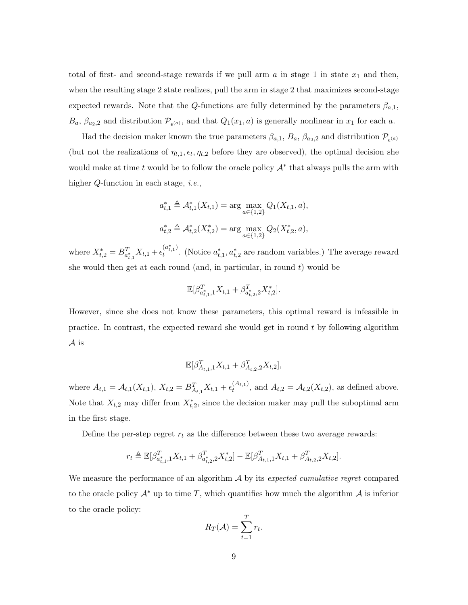total of first- and second-stage rewards if we pull arm  $a$  in stage 1 in state  $x_1$  and then, when the resulting stage 2 state realizes, pull the arm in stage 2 that maximizes second-stage expected rewards. Note that the Q-functions are fully determined by the parameters  $\beta_{a,1}$ ,  $B_a$ ,  $\beta_{a_2,2}$  and distribution  $\mathcal{P}_{\epsilon^{(a)}}$ , and that  $Q_1(x_1, a)$  is generally nonlinear in  $x_1$  for each a.

Had the decision maker known the true parameters  $\beta_{a,1}$ ,  $B_a$ ,  $\beta_{a_2,2}$  and distribution  $\mathcal{P}_{\epsilon^{(a)}}$ (but not the realizations of  $\eta_{t,1}, \epsilon_t, \eta_{t,2}$  before they are observed), the optimal decision she would make at time t would be to follow the oracle policy  $A^*$  that always pulls the arm with higher Q-function in each stage, *i.e.*,

$$
a_{t,1}^* \triangleq \mathcal{A}_{t,1}^*(X_{t,1}) = \arg \max_{a \in \{1,2\}} Q_1(X_{t,1}, a),
$$
  

$$
a_{t,2}^* \triangleq \mathcal{A}_{t,2}^*(X_{t,2}^*) = \arg \max_{a \in \{1,2\}} Q_2(X_{t,2}^*, a),
$$

where  $X_{t,2}^* = B_{a_{t,1}^*}^T X_{t,1} + \epsilon_t^{(a_{t,1}^*)}$  $t^{(a_{t,1})}$ . (Notice  $a_{t,1}^*$ ,  $a_{t,2}^*$  are random variables.) The average reward she would then get at each round (and, in particular, in round  $t$ ) would be

$$
\mathbb{E}[\beta_{a^*_{t,1},1}^TX_{t,1}+\beta_{a^*_{t,2},2}^TX_{t,2}^*].
$$

However, since she does not know these parameters, this optimal reward is infeasible in practice. In contrast, the expected reward she would get in round t by following algorithm A is

$$
\mathbb{E}[\beta_{A_{t,1},1}^TX_{t,1} + \beta_{A_{t,2},2}^TX_{t,2}],
$$

where  $A_{t,1} = A_{t,1}(X_{t,1}), X_{t,2} = B_{A_{t,1}}^T X_{t,1} + \epsilon_t^{(A_{t,1})}$  $t_t^{(A_{t,1})}$ , and  $A_{t,2} = A_{t,2}(X_{t,2})$ , as defined above. Note that  $X_{t,2}$  may differ from  $X_{t,2}^*$ , since the decision maker may pull the suboptimal arm in the first stage.

Define the per-step regret  $r_t$  as the difference between these two average rewards:

$$
r_t \triangleq \mathbb{E}[\beta_{a_{t,1}^*,1}^T X_{t,1} + \beta_{a_{t,2}^*,2}^T X_{t,2}^*] - \mathbb{E}[\beta_{A_{t,1},1}^T X_{t,1} + \beta_{A_{t,2},2}^T X_{t,2}].
$$

We measure the performance of an algorithm  $A$  by its expected cumulative regret compared to the oracle policy  $\mathcal{A}^*$  up to time T, which quantifies how much the algorithm  $\mathcal{A}$  is inferior to the oracle policy:

$$
R_T(\mathcal{A}) = \sum_{t=1}^T r_t.
$$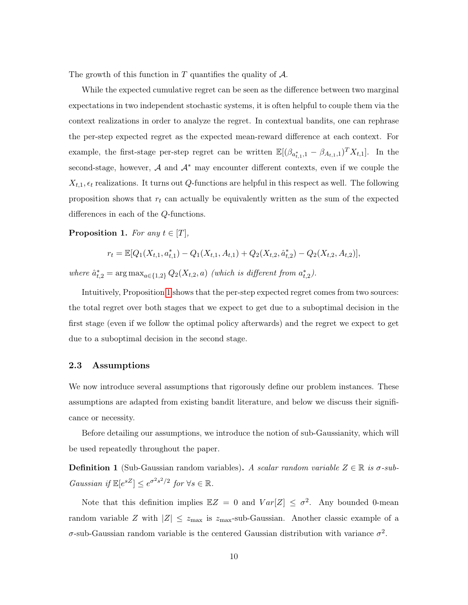The growth of this function in  $T$  quantifies the quality of  $A$ .

While the expected cumulative regret can be seen as the difference between two marginal expectations in two independent stochastic systems, it is often helpful to couple them via the context realizations in order to analyze the regret. In contextual bandits, one can rephrase the per-step expected regret as the expected mean-reward difference at each context. For example, the first-stage per-step regret can be written  $\mathbb{E}[(\beta_{a_{t,1}^*,1} - \beta_{A_{t,1},1})^T X_{t,1}]$ . In the second-stage, however,  $A$  and  $A^*$  may encounter different contexts, even if we couple the  $X_{t,1}, \epsilon_t$  realizations. It turns out Q-functions are helpful in this respect as well. The following proposition shows that  $r_t$  can actually be equivalently written as the sum of the expected differences in each of the Q-functions.

<span id="page-9-0"></span>**Proposition 1.** For any  $t \in [T]$ ,

$$
r_t = \mathbb{E}[Q_1(X_{t,1}, a_{t,1}^*) - Q_1(X_{t,1}, A_{t,1}) + Q_2(X_{t,2}, a_{t,2}^*) - Q_2(X_{t,2}, A_{t,2})],
$$

where  $\hat{a}_{t,2}^* = \arg \max_{a \in \{1,2\}} Q_2(X_{t,2}, a)$  (which is different from  $a_{t,2}^*$ ).

Intuitively, Proposition [1](#page-9-0) shows that the per-step expected regret comes from two sources: the total regret over both stages that we expect to get due to a suboptimal decision in the first stage (even if we follow the optimal policy afterwards) and the regret we expect to get due to a suboptimal decision in the second stage.

### 2.3 Assumptions

We now introduce several assumptions that rigorously define our problem instances. These assumptions are adapted from existing bandit literature, and below we discuss their significance or necessity.

Before detailing our assumptions, we introduce the notion of sub-Gaussianity, which will be used repeatedly throughout the paper.

**Definition 1** (Sub-Gaussian random variables). A scalar random variable  $Z \in \mathbb{R}$  is  $\sigma$ -sub-Gaussian if  $\mathbb{E}[e^{sZ}] \leq e^{\sigma^2 s^2/2}$  for  $\forall s \in \mathbb{R}$ .

Note that this definition implies  $\mathbb{E}Z = 0$  and  $Var[Z] \leq \sigma^2$ . Any bounded 0-mean random variable Z with  $|Z| \leq z_{\text{max}}$  is  $z_{\text{max}}$ -sub-Gaussian. Another classic example of a  $\sigma$ -sub-Gaussian random variable is the centered Gaussian distribution with variance  $\sigma^2$ .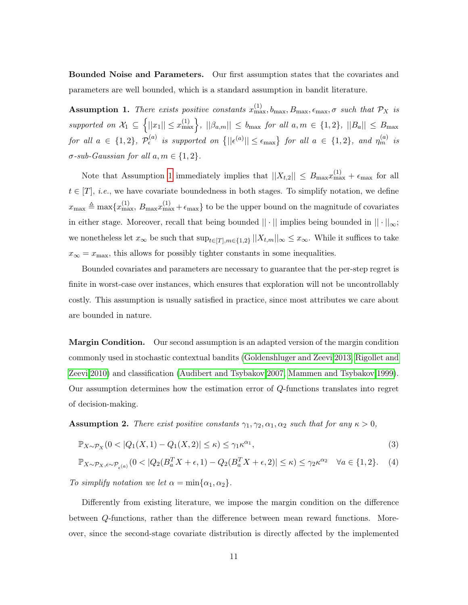Bounded Noise and Parameters. Our first assumption states that the covariates and parameters are well bounded, which is a standard assumption in bandit literature.

<span id="page-10-1"></span>**Assumption 1.** There exists positive constants  $x_{\text{max}}^{(1)}$ ,  $b_{\text{max}}$ ,  $B_{\text{max}}$ ,  $\epsilon_{\text{max}}$ ,  $\sigma$  such that  $\mathcal{P}_X$  is supported on  $\mathcal{X}_1 \subseteq \left\{ ||x_1|| \leq x_{\text{max}}^{(1)} \right\}, ||\beta_{a,m}|| \leq b_{\text{max}}$  for all  $a, m \in \{1,2\}, ||B_a|| \leq B_{\text{max}}$ for all  $a \in \{1,2\}$ ,  $\mathcal{P}_{\epsilon}^{(a)}$  is supported on  $\{||\epsilon^{(a)}|| \leq \epsilon_{\max}\}$  for all  $a \in \{1,2\}$ , and  $\eta_{m}^{(a)}$  is  $\sigma$ -sub-Gaussian for all  $a, m \in \{1, 2\}.$ 

Note that Assumption [1](#page-10-1) immediately implies that  $||X_{t,2}|| \leq B_{\max} x_{\max}^{(1)} + \epsilon_{\max}$  for all  $t \in [T], i.e.,$  we have covariate boundedness in both stages. To simplify notation, we define  $x_{\max} \triangleq \max\{x_{\max}^{(1)}, B_{\max}x_{\max}^{(1)} + \epsilon_{\max}\}\$  to be the upper bound on the magnitude of covariates in either stage. Moreover, recall that being bounded  $|| \cdot ||$  implies being bounded in  $|| \cdot ||_{\infty}$ ; we nonetheless let  $x_{\infty}$  be such that  $\sup_{t\in[T],m\in\{1,2\}}||X_{t,m}||_{\infty}\leq x_{\infty}$ . While it suffices to take  $x_{\infty} = x_{\text{max}}$ , this allows for possibly tighter constants in some inequalities.

Bounded covariates and parameters are necessary to guarantee that the per-step regret is finite in worst-case over instances, which ensures that exploration will not be uncontrollably costly. This assumption is usually satisfied in practice, since most attributes we care about are bounded in nature.

**Margin Condition.** Our second assumption is an adapted version of the margin condition commonly used in stochastic contextual bandits [\(Goldenshluger and Zeevi 2013,](#page-37-1) [Rigollet and](#page-39-7) [Zeevi 2010\)](#page-39-7) and classification [\(Audibert and Tsybakov 2007,](#page-36-10) [Mammen and Tsybakov 1999\)](#page-38-9). Our assumption determines how the estimation error of Q-functions translates into regret of decision-making.

<span id="page-10-0"></span>**Assumption 2.** There exist positive constants  $\gamma_1, \gamma_2, \alpha_1, \alpha_2$  such that for any  $\kappa > 0$ ,

$$
\mathbb{P}_{X \sim \mathcal{P}_X} (0 < |Q_1(X, 1) - Q_1(X, 2)| \le \kappa) \le \gamma_1 \kappa^{\alpha_1},\tag{3}
$$

$$
\mathbb{P}_{X \sim \mathcal{P}_X, \epsilon \sim \mathcal{P}_{\epsilon^{(a)}}}(0 < |Q_2(B_a^T X + \epsilon, 1) - Q_2(B_a^T X + \epsilon, 2)| \leq \kappa) \leq \gamma_2 \kappa^{\alpha_2} \quad \forall a \in \{1, 2\}.\tag{4}
$$

To simplify notation we let  $\alpha = \min{\alpha_1, \alpha_2}$ .

Differently from existing literature, we impose the margin condition on the difference between Q-functions, rather than the difference between mean reward functions. Moreover, since the second-stage covariate distribution is directly affected by the implemented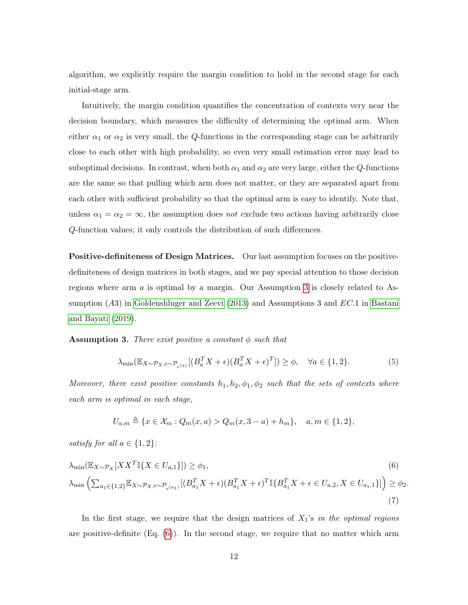algorithm, we explicitly require the margin condition to hold in the second stage for each initial-stage arm.

Intuitively, the margin condition quantifies the concentration of contexts very near the decision boundary, which measures the difficulty of determining the optimal arm. When either  $\alpha_1$  or  $\alpha_2$  is very small, the Q-functions in the corresponding stage can be arbitrarily close to each other with high probability, so even very small estimation error may lead to suboptimal decisions. In contrast, when both  $\alpha_1$  and  $\alpha_2$  are very large, either the Q-functions are the same so that pulling which arm does not matter, or they are separated apart from each other with sufficient probability so that the optimal arm is easy to identify. Note that, unless  $\alpha_1 = \alpha_2 = \infty$ , the assumption does *not* exclude two actions having arbitrarily close Q-function values; it only controls the distribution of such differences.

Positive-definiteness of Design Matrices. Our last assumption focuses on the positivedefiniteness of design matrices in both stages, and we pay special attention to those decision regions where arm  $\alpha$  is optimal by a margin. Our Assumption [3](#page-11-0) is closely related to Assumption  $(A3)$  in [Goldenshluger and Zeevi](#page-37-1)  $(2013)$  and Assumptions 3 and  $EC.1$  in [Bastani](#page-36-8) [and Bayati](#page-36-8) [\(2019\)](#page-36-8).

<span id="page-11-0"></span>**Assumption 3.** There exist positive a constant  $\phi$  such that

<span id="page-11-2"></span>
$$
\lambda_{\min}(\mathbb{E}_{X \sim \mathcal{P}_X, \epsilon \sim \mathcal{P}_{\epsilon^{(a)}}}[(B_a^T X + \epsilon)(B_a^T X + \epsilon)^T]) \ge \phi, \quad \forall a \in \{1, 2\}.
$$
 (5)

Moreover, there exist positive constants  $h_1, h_2, \phi_1, \phi_2$  such that the sets of contexts where each arm is optimal in each stage,

<span id="page-11-3"></span><span id="page-11-1"></span>
$$
U_{a,m} \triangleq \{x \in \mathcal{X}_m : Q_m(x,a) > Q_m(x, 3-a) + h_m\}, \quad a, m \in \{1,2\},\
$$

satisfy for all  $a \in \{1, 2\}$ :

$$
\lambda_{\min}(\mathbb{E}_{X \sim \mathcal{P}_X} [XX^T \mathbb{I}\{X \in U_{a,1}\}]) \ge \phi_1,
$$
\n
$$
\lambda_{\min} \left( \sum_{a_1 \in \{1,2\}} \mathbb{E}_{X \sim \mathcal{P}_X, \epsilon \sim \mathcal{P}_{\epsilon}(a_1)} [(B_{a_1}^T X + \epsilon) (B_{a_1}^T X + \epsilon)^T \mathbb{I}\{B_{a_1}^T X + \epsilon \in U_{a,2}, X \in U_{a_1,1}\}] \right) \ge \phi_2.
$$
\n(7)

In the first stage, we require that the design matrices of  $X_1$ 's in the optimal regions are positive-definite  $(Eq. (6))$  $(Eq. (6))$  $(Eq. (6))$ . In the second stage, we require that no matter which arm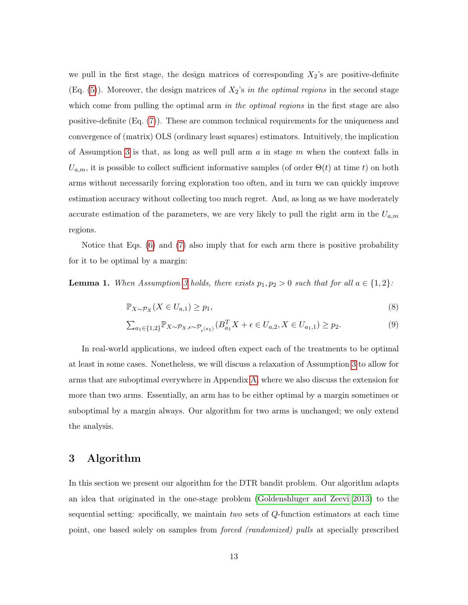we pull in the first stage, the design matrices of corresponding  $X_2$ 's are positive-definite (Eq.  $(5)$ ). Moreover, the design matrices of  $X_2$ 's *in the optimal regions* in the second stage which come from pulling the optimal arm in the optimal regions in the first stage are also positive-definite (Eq. [\(7\)](#page-11-3)). These are common technical requirements for the uniqueness and convergence of (matrix) OLS (ordinary least squares) estimators. Intuitively, the implication of Assumption [3](#page-11-0) is that, as long as well pull arm  $a$  in stage  $m$  when the context falls in  $U_{a,m}$ , it is possible to collect sufficient informative samples (of order  $\Theta(t)$  at time t) on both arms without necessarily forcing exploration too often, and in turn we can quickly improve estimation accuracy without collecting too much regret. And, as long as we have moderately accurate estimation of the parameters, we are very likely to pull the right arm in the  $U_{a,m}$ regions.

Notice that Eqs. [\(6\)](#page-11-1) and [\(7\)](#page-11-3) also imply that for each arm there is positive probability for it to be optimal by a margin:

**Lemma 1.** When Assumption [3](#page-11-0) holds, there exists  $p_1, p_2 > 0$  such that for all  $a \in \{1, 2\}$ :

$$
\mathbb{P}_{X \sim \mathcal{P}_X} (X \in U_{a,1}) \ge p_1,\tag{8}
$$

$$
\sum_{a_1 \in \{1,2\}} \mathbb{P}_{X \sim \mathcal{P}_{X}, \epsilon \sim \mathcal{P}_{\epsilon^{(a_1)}}}(B_{a_1}^T X + \epsilon \in U_{a,2}, X \in U_{a_1,1}) \ge p_2.
$$
\n
$$
(9)
$$

In real-world applications, we indeed often expect each of the treatments to be optimal at least in some cases. Nonetheless, we will discuss a relaxation of Assumption [3](#page-11-0) to allow for arms that are suboptimal everywhere in Appendix [A,](#page-41-0) where we also discuss the extension for more than two arms. Essentially, an arm has to be either optimal by a margin sometimes or suboptimal by a margin always. Our algorithm for two arms is unchanged; we only extend the analysis.

# <span id="page-12-0"></span>3 Algorithm

In this section we present our algorithm for the DTR bandit problem. Our algorithm adapts an idea that originated in the one-stage problem [\(Goldenshluger and Zeevi 2013\)](#page-37-1) to the sequential setting: specifically, we maintain two sets of Q-function estimators at each time point, one based solely on samples from forced (randomized) pulls at specially prescribed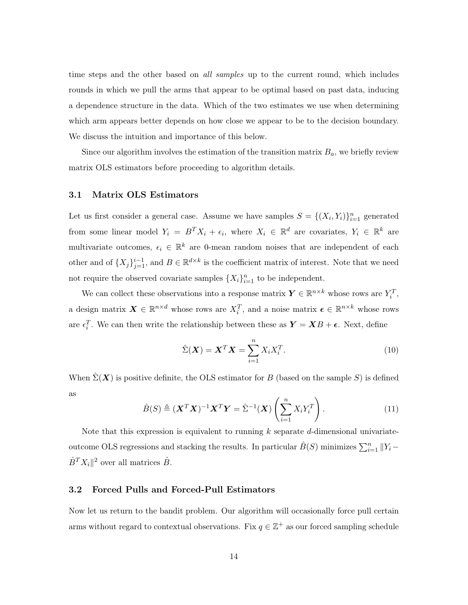time steps and the other based on all samples up to the current round, which includes rounds in which we pull the arms that appear to be optimal based on past data, inducing a dependence structure in the data. Which of the two estimates we use when determining which arm appears better depends on how close we appear to be to the decision boundary. We discuss the intuition and importance of this below.

Since our algorithm involves the estimation of the transition matrix  $B_a$ , we briefly review matrix OLS estimators before proceeding to algorithm details.

#### <span id="page-13-0"></span>3.1 Matrix OLS Estimators

Let us first consider a general case. Assume we have samples  $S = \{(X_i, Y_i)\}_{i=1}^n$  generated from some linear model  $Y_i = B^T X_i + \epsilon_i$ , where  $X_i \in \mathbb{R}^d$  are covariates,  $Y_i \in \mathbb{R}^k$  are multivariate outcomes,  $\epsilon_i \in \mathbb{R}^k$  are 0-mean random noises that are independent of each other and of  $\{X_j\}_{j=1}^{i-1}$ , and  $B \in \mathbb{R}^{d \times k}$  is the coefficient matrix of interest. Note that we need not require the observed covariate samples  $\{X_i\}_{i=1}^n$  to be independent.

We can collect these observations into a response matrix  $\boldsymbol{Y} \in \mathbb{R}^{n \times k}$  whose rows are  $Y_i^T$ , a design matrix  $\boldsymbol{X} \in \mathbb{R}^{n \times d}$  whose rows are  $X_i^T$ , and a noise matrix  $\boldsymbol{\epsilon} \in \mathbb{R}^{n \times k}$  whose rows are  $\epsilon_i^T$ . We can then write the relationship between these as  $\mathbf{Y} = \mathbf{X}B + \boldsymbol{\epsilon}$ . Next, define

$$
\hat{\Sigma}(\boldsymbol{X}) = \boldsymbol{X}^T \boldsymbol{X} = \sum_{i=1}^n X_i X_i^T.
$$
\n(10)

When  $\hat{\Sigma}(\boldsymbol{X})$  is positive definite, the OLS estimator for B (based on the sample S) is defined as

$$
\hat{B}(S) \triangleq (\mathbf{X}^T \mathbf{X})^{-1} \mathbf{X}^T \mathbf{Y} = \hat{\Sigma}^{-1} (\mathbf{X}) \left( \sum_{i=1}^n X_i Y_i^T \right). \tag{11}
$$

Note that this expression is equivalent to running  $k$  separate d-dimensional univariateoutcome OLS regressions and stacking the results. In particular  $\hat{B}(S)$  minimizes  $\sum_{i=1}^{n} ||Y_i \hat{B}^{T} X_{i} \|^{2}$  over all matrices  $\hat{B}$ .

#### 3.2 Forced Pulls and Forced-Pull Estimators

Now let us return to the bandit problem. Our algorithm will occasionally force pull certain arms without regard to contextual observations. Fix  $q \in \mathbb{Z}^+$  as our forced sampling schedule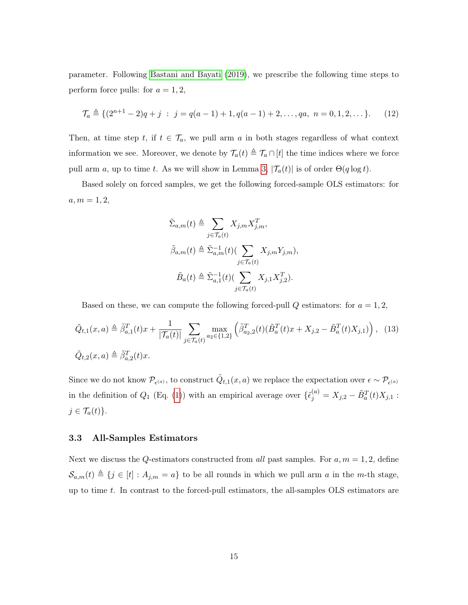parameter. Following [Bastani and Bayati](#page-36-8) [\(2019\)](#page-36-8), we prescribe the following time steps to perform force pulls: for  $a = 1, 2$ ,

$$
\mathcal{T}_a \triangleq \{ (2^{n+1} - 2)q + j \; : \; j = q(a-1) + 1, q(a-1) + 2, \dots, qa, \; n = 0, 1, 2, \dots \}. \tag{12}
$$

Then, at time step t, if  $t \in \mathcal{T}_a$ , we pull arm a in both stages regardless of what context information we see. Moreover, we denote by  $\mathcal{T}_a(t) \triangleq \mathcal{T}_a \cap [t]$  the time indices where we force pull arm a, up to time t. As we will show in Lemma [3,](#page-44-0)  $|\mathcal{T}_a(t)|$  is of order  $\Theta(q \log t)$ .

Based solely on forced samples, we get the following forced-sample OLS estimators: for  $a, m = 1, 2,$ 

$$
\tilde{\Sigma}_{a,m}(t) \triangleq \sum_{j \in \mathcal{T}_a(t)} X_{j,m} X_{j,m}^T,
$$
\n
$$
\tilde{\beta}_{a,m}(t) \triangleq \tilde{\Sigma}_{a,m}^{-1}(t) \left( \sum_{j \in \mathcal{T}_a(t)} X_{j,m} Y_{j,m} \right),
$$
\n
$$
\tilde{B}_a(t) \triangleq \tilde{\Sigma}_{a,1}^{-1}(t) \left( \sum_{j \in \mathcal{T}_a(t)} X_{j,1} X_{j,2}^T \right).
$$

Based on these, we can compute the following forced-pull  $Q$  estimators: for  $a = 1, 2$ ,

$$
\tilde{Q}_{t,1}(x,a) \triangleq \tilde{\beta}_{a,1}^T(t)x + \frac{1}{|\mathcal{T}_a(t)|} \sum_{j \in \mathcal{T}_a(t)} \max_{a_2 \in \{1,2\}} \left( \tilde{\beta}_{a_2,2}^T(t)(\tilde{B}_a^T(t)x + X_{j,2} - \tilde{B}_a^T(t)X_{j,1}) \right), \tag{13}
$$
\n
$$
\tilde{Q}_{t,2}(x,a) \triangleq \tilde{\beta}_{a,2}^T(t)x.
$$

Since we do not know  $\mathcal{P}_{\epsilon^{(a)}}$ , to construct  $\tilde{Q}_{t,1}(x,a)$  we replace the expectation over  $\epsilon \sim \mathcal{P}_{\epsilon^{(a)}}$ in the definition of  $Q_1$  (Eq. [\(1\)](#page-7-0)) with an empirical average over  $\{\tilde{\epsilon}_j^{(a)} = X_{j,2} - \tilde{B}_a^T(t)X_{j,1}$ :  $j \in \mathcal{T}_a(t)$ .

## 3.3 All-Samples Estimators

Next we discuss the Q-estimators constructed from all past samples. For  $a, m = 1, 2$ , define  $\mathcal{S}_{a,m}(t) \triangleq \{j \in [t] : A_{j,m} = a\}$  to be all rounds in which we pull arm a in the m-th stage, up to time t. In contrast to the forced-pull estimators, the all-samples OLS estimators are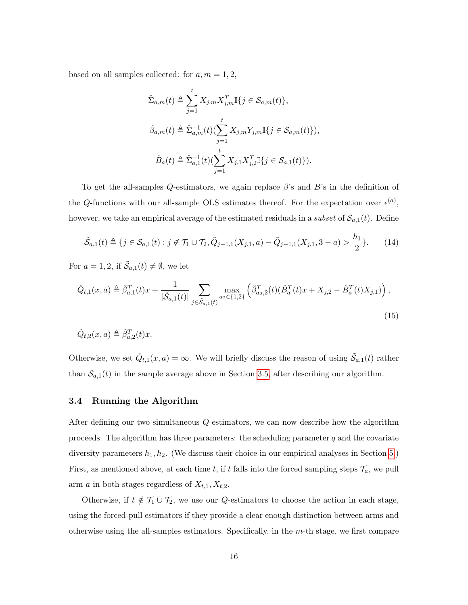based on all samples collected: for  $a, m = 1, 2$ ,

$$
\hat{\Sigma}_{a,m}(t) \triangleq \sum_{j=1}^{t} X_{j,m} X_{j,m}^T \mathbb{I}\{j \in \mathcal{S}_{a,m}(t)\},
$$
  

$$
\hat{\beta}_{a,m}(t) \triangleq \hat{\Sigma}_{a,m}^{-1}(t) (\sum_{j=1}^{t} X_{j,m} Y_{j,m} \mathbb{I}\{j \in \mathcal{S}_{a,m}(t)\}),
$$
  

$$
\hat{B}_a(t) \triangleq \hat{\Sigma}_{a,1}^{-1}(t) (\sum_{j=1}^{t} X_{j,1} X_{j,2}^T \mathbb{I}\{j \in \mathcal{S}_{a,1}(t)\}).
$$

To get the all-samples Q-estimators, we again replace  $\beta$ 's and B's in the definition of the Q-functions with our all-sample OLS estimates thereof. For the expectation over  $\epsilon^{(a)}$ , however, we take an empirical average of the estimated residuals in a *subset* of  $\mathcal{S}_{a,1}(t)$ . Define

<span id="page-15-0"></span>
$$
\tilde{S}_{a,1}(t) \triangleq \{ j \in S_{a,1}(t) : j \notin \mathcal{T}_1 \cup \mathcal{T}_2, \tilde{Q}_{j-1,1}(X_{j,1}, a) - \tilde{Q}_{j-1,1}(X_{j,1}, a - a) > \frac{h_1}{2} \}. \tag{14}
$$

For  $a = 1, 2$ , if  $\tilde{S}_{a,1}(t) \neq \emptyset$ , we let

$$
\hat{Q}_{t,1}(x,a) \triangleq \hat{\beta}_{a,1}^T(t)x + \frac{1}{|\tilde{\mathcal{S}}_{a,1}(t)|} \sum_{j \in \tilde{\mathcal{S}}_{a,1}(t)} \max_{a_2 \in \{1,2\}} \left(\hat{\beta}_{a_2,2}^T(t)(\hat{B}_a^T(t)x + X_{j,2} - \hat{B}_a^T(t)X_{j,1})\right),\tag{15}
$$

$$
\hat{Q}_{t,2}(x,a) \triangleq \hat{\beta}_{a,2}^T(t)x.
$$

Otherwise, we set  $\hat{Q}_{t,1}(x, a) = \infty$ . We will briefly discuss the reason of using  $\tilde{S}_{a,1}(t)$  rather than  $S_{a,1}(t)$  in the sample average above in Section [3.5,](#page-16-0) after describing our algorithm.

#### 3.4 Running the Algorithm

After defining our two simultaneous Q-estimators, we can now describe how the algorithm proceeds. The algorithm has three parameters: the scheduling parameter  $q$  and the covariate diversity parameters  $h_1, h_2$ . (We discuss their choice in our empirical analyses in Section [5.](#page-27-0)) First, as mentioned above, at each time t, if t falls into the forced sampling steps  $\mathcal{T}_a$ , we pull arm *a* in both stages regardless of  $X_{t,1}, X_{t,2}$ .

Otherwise, if  $t \notin \mathcal{T}_1 \cup \mathcal{T}_2$ , we use our Q-estimators to choose the action in each stage, using the forced-pull estimators if they provide a clear enough distinction between arms and otherwise using the all-samples estimators. Specifically, in the  $m$ -th stage, we first compare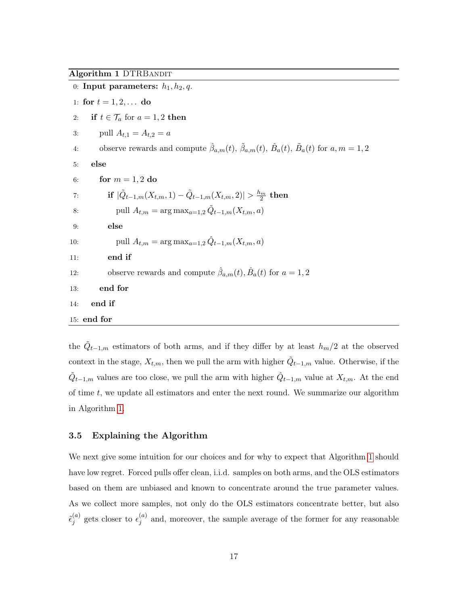#### <span id="page-16-1"></span>Algorithm 1 DTRBANDIT

| 0: Input parameters: $h_1, h_2, q$ .                                                                                                            |
|-------------------------------------------------------------------------------------------------------------------------------------------------|
| 1: for $t = 1, 2, $ do                                                                                                                          |
| if $t \in \mathcal{T}_a$ for $a = 1, 2$ then<br>2:                                                                                              |
| pull $A_{t,1} = A_{t,2} = a$<br>3:                                                                                                              |
| observe rewards and compute $\hat{\beta}_{a,m}(t)$ , $\tilde{\beta}_{a,m}(t)$ , $\tilde{B}_{a}(t)$ , $\tilde{B}_{a}(t)$ for $a, m = 1, 2$<br>4: |
| else<br>5:                                                                                                                                      |
| for $m = 1, 2$ do<br>6:                                                                                                                         |
| if $ \tilde{Q}_{t-1,m}(X_{t,m},1)-\tilde{Q}_{t-1,m}(X_{t,m},2) >\frac{h_m}{2}$ then<br>7:                                                       |
| pull $A_{t,m} = \arg \max_{a=1,2} \tilde{Q}_{t-1,m}(X_{t,m},a)$<br>8:                                                                           |
| else<br>9:                                                                                                                                      |
| pull $A_{t,m} = \arg \max_{a=1,2} \hat{Q}_{t-1,m}(X_{t,m},a)$<br>10:                                                                            |
| end if<br>11:                                                                                                                                   |
| observe rewards and compute $\hat{\beta}_{a,m}(t), \hat{B}_a(t)$ for $a = 1, 2$<br>12:                                                          |
| end for<br>13:                                                                                                                                  |
| 14:<br>end if                                                                                                                                   |
| $15:$ end for                                                                                                                                   |

the  $\tilde{Q}_{t-1,m}$  estimators of both arms, and if they differ by at least  $h_m/2$  at the observed context in the stage,  $X_{t,m}$ , then we pull the arm with higher  $\tilde{Q}_{t-1,m}$  value. Otherwise, if the  $\tilde{Q}_{t-1,m}$  values are too close, we pull the arm with higher  $\hat{Q}_{t-1,m}$  value at  $X_{t,m}$ . At the end of time  $t$ , we update all estimators and enter the next round. We summarize our algorithm in Algorithm [1.](#page-16-1)

#### <span id="page-16-0"></span>3.5 Explaining the Algorithm

We next give some intuition for our choices and for why to expect that Algorithm [1](#page-16-1) should have low regret. Forced pulls offer clean, i.i.d. samples on both arms, and the OLS estimators based on them are unbiased and known to concentrate around the true parameter values. As we collect more samples, not only do the OLS estimators concentrate better, but also  $\tilde{\epsilon}_i^{(a)}$  $j^{(a)}$  gets closer to  $\epsilon_j^{(a)}$  $j^{(a)}$  and, moreover, the sample average of the former for any reasonable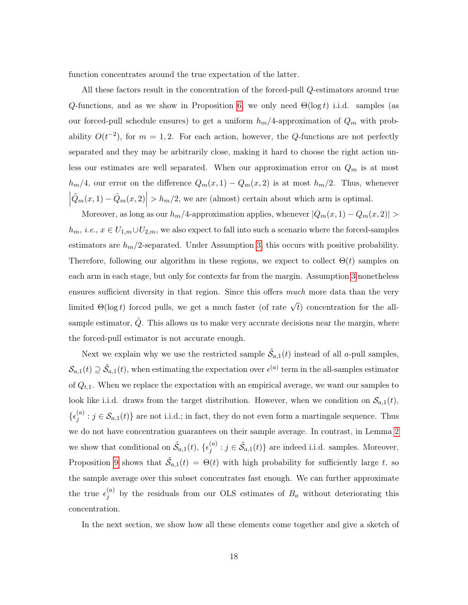function concentrates around the true expectation of the latter.

All these factors result in the concentration of the forced-pull Q-estimators around true Q-functions, and as we show in Proposition [6,](#page-23-0) we only need  $\Theta(\log t)$  i.i.d. samples (as our forced-pull schedule ensures) to get a uniform  $h_m/4$ -approximation of  $Q_m$  with probability  $O(t^{-2})$ , for  $m = 1, 2$ . For each action, however, the Q-functions are not perfectly separated and they may be arbitrarily close, making it hard to choose the right action unless our estimates are well separated. When our approximation error on  $Q_m$  is at most  $h_m/4$ , our error on the difference  $Q_m(x, 1) - Q_m(x, 2)$  is at most  $h_m/2$ . Thus, whenever  $\left| \tilde{Q}_m(x,1) - \tilde{Q}_m(x,2) \right| > h_m/2$ , we are (almost) certain about which arm is optimal.

Moreover, as long as our  $h_m/4$ -approximation applies, whenever  $|Q_m(x, 1) - Q_m(x, 2)| >$  $h_m, i.e., x \in U_{1,m} \cup U_{2,m}$ , we also expect to fall into such a scenario where the forced-samples estimators are  $h_m/2$ -separated. Under Assumption [3,](#page-11-0) this occurs with positive probability. Therefore, following our algorithm in these regions, we expect to collect  $\Theta(t)$  samples on each arm in each stage, but only for contexts far from the margin. Assumption [3](#page-11-0) nonetheless ensures sufficient diversity in that region. Since this offers *much* more data than the very limited  $\Theta(\log t)$  forced pulls, we get a much faster (of rate  $\sqrt{t}$ ) concentration for the allsample estimator,  $\hat{Q}$ . This allows us to make very accurate decisions near the margin, where the forced-pull estimator is not accurate enough.

Next we explain why we use the restricted sample  $\tilde{\mathcal{S}}_{a,1}(t)$  instead of all a-pull samples,  $\mathcal{S}_{a,1}(t) \supseteq \tilde{\mathcal{S}}_{a,1}(t)$ , when estimating the expectation over  $\epsilon^{(a)}$  term in the all-samples estimator of  $Q_{t,1}$ . When we replace the expectation with an empirical average, we want our samples to look like i.i.d. draws from the target distribution. However, when we condition on  $\mathcal{S}_{a,1}(t)$ ,  $\{\epsilon_i^{(a)}\}$  $j^{(a)}$ :  $j \in S_{a,1}(t)$  are not i.i.d.; in fact, they do not even form a martingale sequence. Thus we do not have concentration guarantees on their sample average. In contrast, in Lemma [2](#page-44-1) we show that conditional on  $\tilde{\mathcal{S}}_{a,1}(t)$ ,  $\{\epsilon_j^{(a)}\}$  $j^{(a)}$ :  $j \in \tilde{S}_{a,1}(t)$  are indeed i.i.d. samples. Moreover, Proposition [9](#page-26-0) shows that  $\tilde{S}_{a,1}(t) = \Theta(t)$  with high probability for sufficiently large t, so the sample average over this subset concentrates fast enough. We can further approximate the true  $\epsilon_i^{(a)}$  $j^{(a)}$  by the residuals from our OLS estimates of  $B_a$  without deteriorating this concentration.

In the next section, we show how all these elements come together and give a sketch of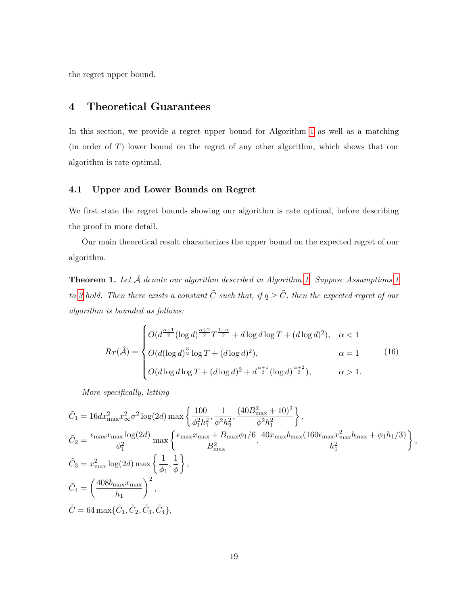the regret upper bound.

# <span id="page-18-0"></span>4 Theoretical Guarantees

In this section, we provide a regret upper bound for Algorithm [1](#page-16-1) as well as a matching (in order of T) lower bound on the regret of any other algorithm, which shows that our algorithm is rate optimal.

## 4.1 Upper and Lower Bounds on Regret

We first state the regret bounds showing our algorithm is rate optimal, before describing the proof in more detail.

Our main theoretical result characterizes the upper bound on the expected regret of our algorithm.

<span id="page-18-2"></span>**Theorem [1.](#page-16-1)** Let  $\hat{A}$  denote our algorithm described in Algorithm [1](#page-10-1). Suppose Assumptions 1 to [3](#page-11-0) hold. Then there exists a constant  $\tilde{C}$  such that, if  $q \geq \tilde{C}$ , then the expected regret of our algorithm is bounded as follows:

<span id="page-18-1"></span>
$$
R_T(\hat{\mathcal{A}}) = \begin{cases} O(d^{\frac{\alpha+1}{2}} (\log d)^{\frac{\alpha+2}{2}} T^{\frac{1-\alpha}{2}} + d \log d \log T + (d \log d)^2), & \alpha < 1\\ O(d (\log d)^{\frac{3}{2}} \log T + (d \log d)^2), & \alpha = 1\\ O(d \log d \log T + (d \log d)^2 + d^{\frac{\alpha+1}{2}} (\log d)^{\frac{\alpha+2}{2}}), & \alpha > 1. \end{cases}
$$
(16)

More specifically, letting

$$
\begin{split} &\tilde{C}_{1}=16dx_{\max}^{2}x_{\infty}^{2}\sigma^{2}\log(2d)\max\left\{\frac{100}{\phi_{1}^{2}h_{1}^{2}},\frac{(40B_{\max}^{2}+10)^{2}}{\phi^{2}h_{1}^{2}}\right\},\\ &\tilde{C}_{2}=\frac{\epsilon_{\max}x_{\max}\log(2d)}{\phi_{1}^{2}}\max\left\{\frac{\epsilon_{\max}x_{\max}+B_{\max}\phi_{1}/6}{B_{\max}^{2}},\frac{40x_{\max}b_{\max}(160\epsilon_{\max}x_{\max}^{2}b_{\max}+\phi_{1}h_{1}/3)}{h_{1}^{2}}\right\},\\ &\tilde{C}_{3}=x_{\max}^{2}\log(2d)\max\left\{\frac{1}{\phi_{1}},\frac{1}{\phi}\right\},\\ &\tilde{C}_{4}=\left(\frac{408b_{\max}x_{\max}}{h_{1}}\right)^{2},\\ &\tilde{C}=64\max\{\tilde{C}_{1},\tilde{C}_{2},\tilde{C}_{3},\tilde{C}_{4}\}, \end{split}
$$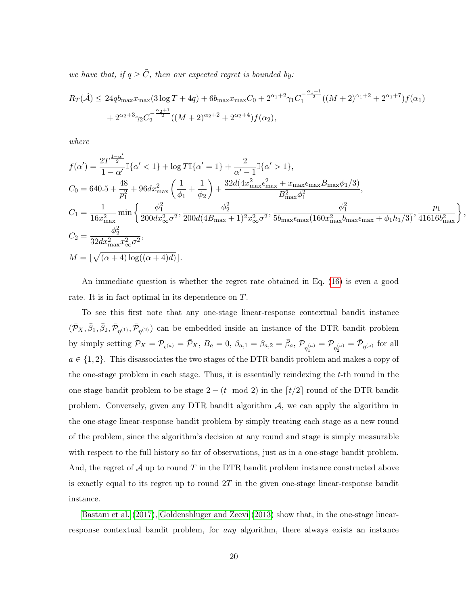we have that, if  $q \geq \tilde{C}$ , then our expected regret is bounded by:

$$
R_T(\hat{\mathcal{A}}) \le 24q b_{\max} x_{\max} (3 \log T + 4q) + 6 b_{\max} x_{\max} C_0 + 2^{\alpha_1 + 2} \gamma_1 C_1^{-\frac{\alpha_1 + 1}{2}} ((M+2)^{\alpha_1 + 2} + 2^{\alpha_1 + 7}) f(\alpha_1)
$$
  
+  $2^{\alpha_2 + 3} \gamma_2 C_2^{-\frac{\alpha_2 + 1}{2}} ((M+2)^{\alpha_2 + 2} + 2^{\alpha_2 + 4}) f(\alpha_2),$ 

where

$$
f(\alpha') = \frac{2T^{\frac{1-\alpha'}{2}}}{1-\alpha'} \mathbb{I}\{\alpha' < 1\} + \log T \mathbb{I}\{\alpha' = 1\} + \frac{2}{\alpha' - 1} \mathbb{I}\{\alpha' > 1\},
$$
\n
$$
C_0 = 640.5 + \frac{48}{p_1^2} + 96 dx_{\text{max}}^2 \left(\frac{1}{\phi_1} + \frac{1}{\phi_2}\right) + \frac{32d(4x_{\text{max}}^2 \epsilon_{\text{max}}^2 + x_{\text{max}} \epsilon_{\text{max}} B_{\text{max}} \phi_1/3)}{B_{\text{max}}^2 \phi_1^2},
$$
\n
$$
C_1 = \frac{1}{16x_{\text{max}}^2} \min \left\{ \frac{\phi_1^2}{200 dx_{\infty}^2 \sigma^2}, \frac{\phi_2^2}{200d(4B_{\text{max}} + 1)^2 x_{\infty}^2 \sigma^2}, \frac{\phi_1^2}{5b_{\text{max}} \epsilon_{\text{max}} (160x_{\text{max}}^2 b_{\text{max}} + \phi_1 h_1/3)}, \frac{p_1}{41616b_{\text{max}}^2} \right\}
$$
\n
$$
C_2 = \frac{\phi_2^2}{32 dx_{\text{max}}^2 x_{\infty}^2 \sigma^2},
$$
\n
$$
M = \lfloor \sqrt{(\alpha + 4) \log((\alpha + 4)d)} \rfloor.
$$

,

An immediate question is whether the regret rate obtained in Eq. [\(16\)](#page-18-1) is even a good rate. It is in fact optimal in its dependence on T.

To see this first note that any one-stage linear-response contextual bandit instance  $(\bar{\mathcal{P}}_X,\bar{\beta}_1,\bar{\beta}_2,\bar{\mathcal{P}}_{\eta^{(1)}},\bar{\mathcal{P}}_{\eta^{(2)}})$  can be embedded inside an instance of the DTR bandit problem by simply setting  $\mathcal{P}_X = \mathcal{P}_{\epsilon^{(a)}} = \bar{\mathcal{P}}_X$ ,  $B_a = 0$ ,  $\beta_{a,1} = \beta_{a,2} = \bar{\beta}_a$ ,  $\mathcal{P}_{\eta_1^{(a)}} = \mathcal{P}_{\eta_2^{(a)}} = \bar{\mathcal{P}}_{\eta^{(a)}}$  for all  $a \in \{1, 2\}$ . This disassociates the two stages of the DTR bandit problem and makes a copy of the one-stage problem in each stage. Thus, it is essentially reindexing the t-th round in the one-stage bandit problem to be stage  $2 - (t \mod 2)$  in the  $\lceil t/2 \rceil$  round of the DTR bandit problem. Conversely, given any DTR bandit algorithm  $A$ , we can apply the algorithm in the one-stage linear-response bandit problem by simply treating each stage as a new round of the problem, since the algorithm's decision at any round and stage is simply measurable with respect to the full history so far of observations, just as in a one-stage bandit problem. And, the regret of  $\mathcal A$  up to round  $T$  in the DTR bandit problem instance constructed above is exactly equal to its regret up to round  $2T$  in the given one-stage linear-response bandit instance.

[Bastani et al.](#page-36-9) [\(2017\)](#page-36-9), [Goldenshluger and Zeevi](#page-37-1) [\(2013\)](#page-37-1) show that, in the one-stage linearresponse contextual bandit problem, for any algorithm, there always exists an instance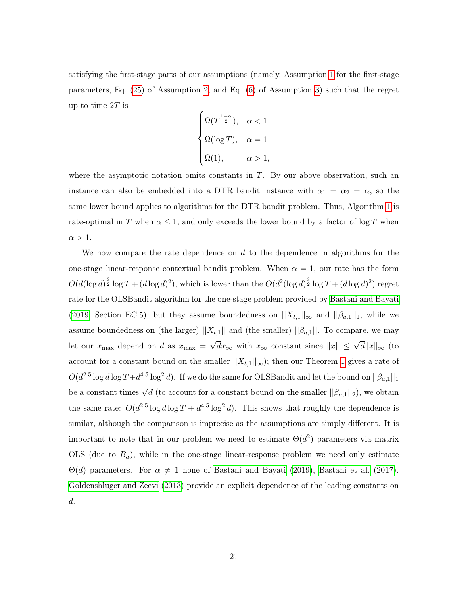satisfying the first-stage parts of our assumptions (namely, Assumption [1](#page-10-1) for the first-stage parameters, Eq. [\(25\)](#page-41-1) of Assumption [2,](#page-10-0) and Eq. [\(6\)](#page-11-1) of Assumption [3\)](#page-11-0) such that the regret up to time  $2T$  is  $\overline{\phantom{a}}$ 

$$
\begin{cases} \Omega(T^{\frac{1-\alpha}{2}}), & \alpha < 1 \\ \Omega(\log T), & \alpha = 1 \\ \Omega(1), & \alpha > 1, \end{cases}
$$

where the asymptotic notation omits constants in  $T$ . By our above observation, such an instance can also be embedded into a DTR bandit instance with  $\alpha_1 = \alpha_2 = \alpha$ , so the same lower bound applies to algorithms for the DTR bandit problem. Thus, Algorithm [1](#page-16-1) is rate-optimal in T when  $\alpha \leq 1$ , and only exceeds the lower bound by a factor of log T when  $\alpha > 1$ .

We now compare the rate dependence on  $d$  to the dependence in algorithms for the one-stage linear-response contextual bandit problem. When  $\alpha = 1$ , our rate has the form  $O(d(\log d)^{\frac{3}{2}} \log T + (d \log d)^2)$ , which is lower than the  $O(d^2(\log d)^{\frac{3}{2}} \log T + (d \log d)^2)$  regret rate for the OLSBandit algorithm for the one-stage problem provided by [Bastani and Bayati](#page-36-8) [\(2019,](#page-36-8) Section EC.5), but they assume boundedness on  $||X_{t,1}||_{\infty}$  and  $||\beta_{a,1}||_1$ , while we assume boundedness on (the larger)  $||X_{t,1}||$  and (the smaller)  $||\beta_{a,1}||$ . To compare, we may let our  $x_{\text{max}}$  depend on d as  $x_{\text{max}} =$  $\sqrt{dx}_{\infty}$  with  $x_{\infty}$  constant since  $||x|| \leq \sqrt{d} ||x||_{\infty}$  (to account for a constant bound on the smaller  $||X_{t,1}||_{\infty}$ ; then our Theorem [1](#page-18-2) gives a rate of  $O(d^{2.5}\log d\log T+d^{4.5}\log^2 d)$ . If we do the same for OLSBandit and let the bound on  $||\beta_{a,1}||_1$ be a constant times  $\sqrt{d}$  (to account for a constant bound on the smaller  $||\beta_{a,1}||_2$ ), we obtain the same rate:  $O(d^{2.5} \log d \log T + d^{4.5} \log^2 d)$ . This shows that roughly the dependence is similar, although the comparison is imprecise as the assumptions are simply different. It is important to note that in our problem we need to estimate  $\Theta(d^2)$  parameters via matrix OLS (due to  $B_a$ ), while in the one-stage linear-response problem we need only estimate  $\Theta(d)$  parameters. For  $\alpha \neq 1$  none of [Bastani and Bayati](#page-36-8) [\(2019\)](#page-36-8), [Bastani et al.](#page-36-9) [\(2017\)](#page-36-9), [Goldenshluger and Zeevi](#page-37-1) [\(2013\)](#page-37-1) provide an explicit dependence of the leading constants on d.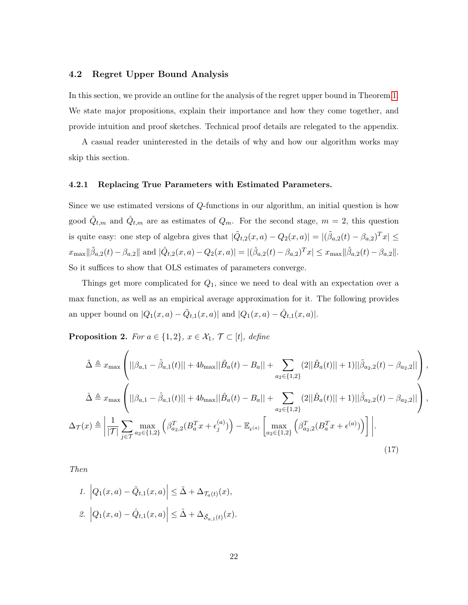#### 4.2 Regret Upper Bound Analysis

In this section, we provide an outline for the analysis of the regret upper bound in Theorem [1.](#page-18-2) We state major propositions, explain their importance and how they come together, and provide intuition and proof sketches. Technical proof details are relegated to the appendix.

A casual reader uninterested in the details of why and how our algorithm works may skip this section.

#### <span id="page-21-0"></span>4.2.1 Replacing True Parameters with Estimated Parameters.

Since we use estimated versions of Q-functions in our algorithm, an initial question is how good  $\tilde{Q}_{t,m}$  and  $\hat{Q}_{t,m}$  are as estimates of  $Q_m$ . For the second stage,  $m = 2$ , this question is quite easy: one step of algebra gives that  $|\tilde{Q}_{t,2}(x, a) - Q_2(x, a)| = |(\tilde{\beta}_{a,2}(t) - \beta_{a,2})^T x| \leq$  $x_{\text{max}} || \tilde{\beta}_{a,2}(t) - \beta_{a,2} ||$  and  $|\hat{Q}_{t,2}(x, a) - Q_2(x, a) | = |(\hat{\beta}_{a,2}(t) - \beta_{a,2})^T x | \leq x_{\text{max}} || \hat{\beta}_{a,2}(t) - \beta_{a,2} ||$ . So it suffices to show that OLS estimates of parameters converge.

Things get more complicated for  $Q_1$ , since we need to deal with an expectation over a max function, as well as an empirical average approximation for it. The following provides an upper bound on  $|Q_1(x, a) - \tilde{Q}_{t,1}(x, a)|$  and  $|Q_1(x, a) - \hat{Q}_{t,1}(x, a)|$ .

<span id="page-21-1"></span>**Proposition 2.** For  $a \in \{1,2\}$ ,  $x \in \mathcal{X}_1$ ,  $\mathcal{T} \subset [t]$ , define

$$
\tilde{\Delta} \triangleq x_{\text{max}} \left( ||\beta_{a,1} - \tilde{\beta}_{a,1}(t)|| + 4b_{\text{max}} ||\tilde{B}_a(t) - B_a|| + \sum_{a_2 \in \{1,2\}} (2||\tilde{B}_a(t)|| + 1)||\tilde{\beta}_{a_2,2}(t) - \beta_{a_2,2}|| \right),
$$
  

$$
\hat{\Delta} \triangleq x_{\text{max}} \left( ||\beta_{a,1} - \hat{\beta}_{a,1}(t)|| + 4b_{\text{max}} ||\hat{B}_a(t) - B_a|| + \sum_{a_2 \in \{1,2\}} (2||\hat{B}_a(t)|| + 1)||\hat{\beta}_{a_2,2}(t) - \beta_{a_2,2}|| \right),
$$
  

$$
\Delta_{\mathcal{T}}(x) \triangleq \left| \frac{1}{|\mathcal{T}|} \sum_{j \in \mathcal{T}} \max_{a_2 \in \{1,2\}} \left( \beta_{a_2,2}^T (B_a^T x + \epsilon_j^{(a)}) \right) - \mathbb{E}_{\epsilon^{(a)}} \left[ \max_{a_2 \in \{1,2\}} \left( \beta_{a_2,2}^T (B_a^T x + \epsilon^{(a)}) \right) \right] \right|.
$$
  
(17)

Then

<span id="page-21-2"></span>1. 
$$
\left| Q_1(x,a) - \tilde{Q}_{t,1}(x,a) \right| \leq \tilde{\Delta} + \Delta_{\mathcal{T}_a(t)}(x),
$$
  
2. 
$$
\left| Q_1(x,a) - \hat{Q}_{t,1}(x,a) \right| \leq \hat{\Delta} + \Delta_{\tilde{\mathcal{S}}_{a,1}(t)}(x).
$$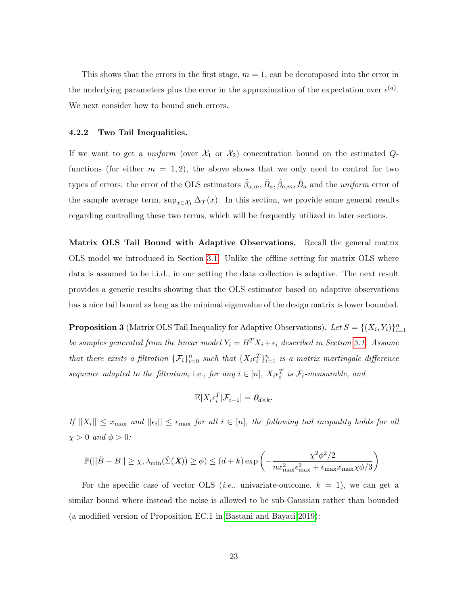This shows that the errors in the first stage,  $m = 1$ , can be decomposed into the error in the underlying parameters plus the error in the approximation of the expectation over  $\epsilon^{(a)}$ . We next consider how to bound such errors.

#### <span id="page-22-2"></span>4.2.2 Two Tail Inequalities.

If we want to get a *uniform* (over  $\mathcal{X}_1$  or  $\mathcal{X}_2$ ) concentration bound on the estimated Qfunctions (for either  $m = 1, 2$ ), the above shows that we only need to control for two types of errors: the error of the OLS estimators  $\tilde{\beta}_{a,m}, \tilde{B}_a, \hat{\beta}_{a,m}, \hat{B}_a$  and the *uniform* error of the sample average term,  $\sup_{x \in \mathcal{X}_1} \Delta_{\mathcal{T}}(x)$ . In this section, we provide some general results regarding controlling these two terms, which will be frequently utilized in later sections.

Matrix OLS Tail Bound with Adaptive Observations. Recall the general matrix OLS model we introduced in Section [3.1.](#page-13-0) Unlike the offline setting for matrix OLS where data is assumed to be i.i.d., in our setting the data collection is adaptive. The next result provides a generic results showing that the OLS estimator based on adaptive observations has a nice tail bound as long as the minimal eigenvalue of the design matrix is lower bounded.

<span id="page-22-0"></span>**Proposition 3** (Matrix OLS Tail Inequality for Adaptive Observations). Let  $S = \{(X_i, Y_i)\}_{i=1}^n$ be samples generated from the linear model  $Y_i = B^T X_i + \epsilon_i$  described in Section [3.1.](#page-13-0) Assume that there exists a filtration  $\{\mathcal{F}_i\}_{i=0}^n$  such that  $\{X_i \epsilon_i^T\}_{i=1}^n$  is a matrix martingale difference sequence adapted to the filtration, i.e., for any  $i \in [n]$ ,  $X_i \epsilon_i^T$  is  $\mathcal{F}_i$ -measurable, and

$$
\mathbb{E}[X_i \epsilon_i^T | \mathcal{F}_{i-1}] = \mathbf{0}_{d \times k}.
$$

If  $||X_i|| \leq x_{\text{max}}$  and  $||\epsilon_i|| \leq \epsilon_{\text{max}}$  for all  $i \in [n]$ , the following tail inequality holds for all  $\chi > 0$  and  $\phi > 0$ :

$$
\mathbb{P}(||\hat{B} - B|| \geq \chi, \lambda_{\min}(\hat{\Sigma}(\boldsymbol{X})) \geq \phi) \leq (d + k) \exp\left(-\frac{\chi^2 \phi^2 / 2}{n x_{\max}^2 \epsilon_{\max}^2 + \epsilon_{\max} x_{\max} \chi \phi / 3}\right).
$$

<span id="page-22-1"></span>For the specific case of vector OLS (*i.e.*, univariate-outcome,  $k = 1$ ), we can get a similar bound where instead the noise is allowed to be sub-Gaussian rather than bounded (a modified version of Proposition EC.1 in [Bastani and Bayati 2019\)](#page-36-8):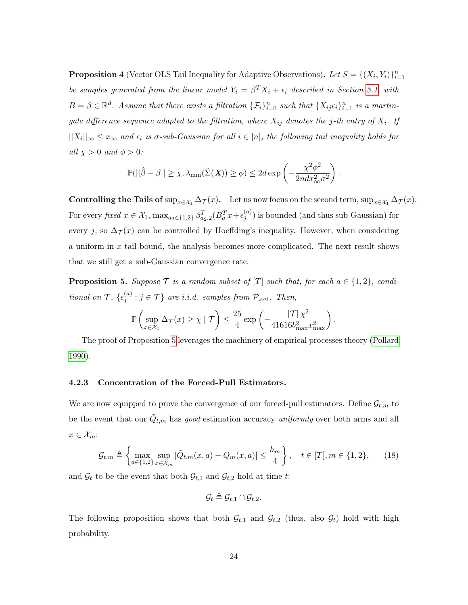**Proposition 4** (Vector OLS Tail Inequality for Adaptive Observations). Let  $S = \{(X_i, Y_i)\}_{i=1}^n$ be samples generated from the linear model  $Y_i = \beta^T X_i + \epsilon_i$  described in Section [3.1,](#page-13-0) with  $B = \beta \in \mathbb{R}^d$ . Assume that there exists a filtration  $\{\mathcal{F}_i\}_{i=0}^n$  such that  $\{X_{ij}\epsilon_i\}_{i=1}^n$  is a martingale difference sequence adapted to the filtration, where  $X_{ij}$  denotes the j-th entry of  $X_i$ . If  $||X_i||_{\infty} \leq x_{\infty}$  and  $\epsilon_i$  is  $\sigma$ -sub-Gaussian for all  $i \in [n]$ , the following tail inequality holds for all  $\chi > 0$  and  $\phi > 0$ :

$$
\mathbb{P}(||\hat{\beta} - \beta|| \geq \chi, \lambda_{\min}(\hat{\Sigma}(\boldsymbol{X})) \geq \phi) \leq 2d \exp\left(-\frac{\chi^2 \phi^2}{2ndx_{\infty}^2 \sigma^2}\right).
$$

Controlling the Tails of  $\sup_{x \in \mathcal{X}_1} \Delta_{\mathcal{T}}(x)$ . Let us now focus on the second term,  $\sup_{x \in \mathcal{X}_1} \Delta_{\mathcal{T}}(x)$ . For every fixed  $x \in \mathcal{X}_1$ ,  $\max_{a_2 \in \{1,2\}} \beta_{a_2,2}^T (B_a^T x + \epsilon_j^{(a)})$  $j^{(u)}_j$ ) is bounded (and thus sub-Gaussian) for every j, so  $\Delta_{\mathcal{T}}(x)$  can be controlled by Hoeffding's inequality. However, when considering a uniform-in- $x$  tail bound, the analysis becomes more complicated. The next result shows that we still get a sub-Gaussian convergence rate.

<span id="page-23-1"></span>**Proposition 5.** Suppose  $\mathcal{T}$  is a random subset of  $[T]$  such that, for each  $a \in \{1,2\}$ , conditional on  $\mathcal{T}, \{\epsilon_i^{(a)}\}$  $j^{(a)}$ :  $j \in \mathcal{T}$  are i.i.d. samples from  $\mathcal{P}_{\epsilon^{(a)}}$ . Then,

$$
\mathbb{P}\left(\sup_{x\in\mathcal{X}_1}\Delta_{\mathcal{T}}(x)\geq \chi \mid \mathcal{T}\right)\leq \frac{25}{4}\exp\left(-\frac{|\mathcal{T}|\chi^2}{41616b_{\max}^2x_{\max}^2}\right).
$$

The proof of Proposition [5](#page-23-1) leverages the machinery of empirical processes theory [\(Pollard](#page-39-8) [1990\)](#page-39-8).

#### <span id="page-23-2"></span>4.2.3 Concentration of the Forced-Pull Estimators.

We are now equipped to prove the convergence of our forced-pull estimators. Define  $\mathcal{G}_{t,m}$  to be the event that our  $\tilde{Q}_{t,m}$  has good estimation accuracy uniformly over both arms and all  $x \in \mathcal{X}_m$ :

$$
\mathcal{G}_{t,m} \triangleq \left\{ \max_{a \in \{1,2\}} \sup_{x \in \mathcal{X}_m} |\tilde{Q}_{t,m}(x,a) - Q_m(x,a)| \le \frac{h_m}{4} \right\}, \quad t \in [T], m \in \{1,2\},\tag{18}
$$

and  $\mathcal{G}_t$  to be the event that both  $\mathcal{G}_{t,1}$  and  $\mathcal{G}_{t,2}$  hold at time t:

$$
\mathcal{G}_t \triangleq \mathcal{G}_{t,1} \cap \mathcal{G}_{t,2}.
$$

<span id="page-23-0"></span>The following proposition shows that both  $\mathcal{G}_{t,1}$  and  $\mathcal{G}_{t,2}$  (thus, also  $\mathcal{G}_t$ ) hold with high probability.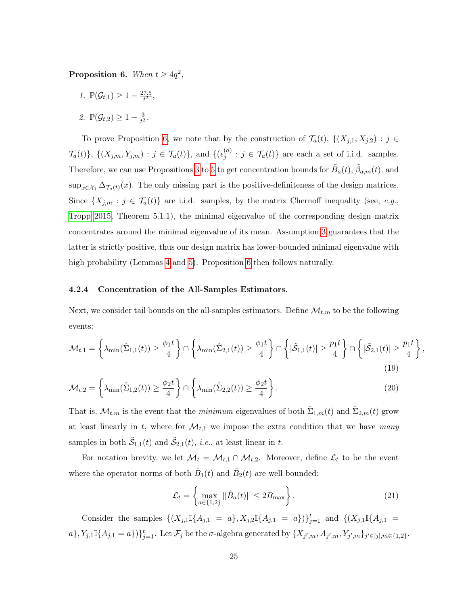<span id="page-24-2"></span>Proposition 6. When  $t \geq 4q^2$ ,

1.  $\mathbb{P}(\mathcal{G}_{t,1}) \geq 1 - \frac{27.5}{t^2}$  $\frac{7.5}{t^2}$ ,

<span id="page-24-3"></span>
$$
\mathcal{Z}.\ \mathbb{P}(\mathcal{G}_{t,2}) \geq 1 - \tfrac{3}{t^2}.
$$

To prove Proposition [6,](#page-23-0) we note that by the construction of  $\mathcal{T}_a(t)$ ,  $\{(X_{j,1}, X_{j,2}) : j \in$  $\{\mathcal{T}_a(t)\},\ \{(X_{j,m},Y_{j,m}) : j \in \mathcal{T}_a(t)\},\$  and  $\{(\epsilon_j^{(a)})$  $j_j^{(a)}$ :  $j \in \mathcal{T}_a(t)$  are each a set of i.i.d. samples. Therefore, we can use Propositions [3](#page-22-0) to [5](#page-23-1) to get concentration bounds for  $\tilde{B}_a(t)$ ,  $\tilde{\beta}_{a,m}(t)$ , and  $\sup_{x \in \mathcal{X}_1} \Delta_{\mathcal{T}_a(t)}(x)$ . The only missing part is the positive-definiteness of the design matrices. Since  $\{X_{j,m} : j \in \mathcal{T}_a(t)\}\$  are i.i.d. samples, by the matrix Chernoff inequality (see, e.g., [Tropp 2015,](#page-40-10) Theorem 5.1.1), the minimal eigenvalue of the corresponding design matrix concentrates around the minimal eigenvalue of its mean. Assumption [3](#page-11-0) guarantees that the latter is strictly positive, thus our design matrix has lower-bounded minimal eigenvalue with high probability (Lemmas [4](#page-49-0) and [5\)](#page-50-0). Proposition [6](#page-23-0) then follows naturally.

#### <span id="page-24-4"></span>4.2.4 Concentration of the All-Samples Estimators.

Next, we consider tail bounds on the all-samples estimators. Define  $\mathcal{M}_{t,m}$  to be the following events:

$$
\mathcal{M}_{t,1} = \left\{ \lambda_{\min}(\hat{\Sigma}_{1,1}(t)) \ge \frac{\phi_1 t}{4} \right\} \cap \left\{ \lambda_{\min}(\hat{\Sigma}_{2,1}(t)) \ge \frac{\phi_1 t}{4} \right\} \cap \left\{ |\tilde{\mathcal{S}}_{1,1}(t)| \ge \frac{p_1 t}{4} \right\} \cap \left\{ |\tilde{\mathcal{S}}_{2,1}(t)| \ge \frac{p_1 t}{4} \right\},\tag{19}
$$

$$
\mathcal{M}_{t,2} = \left\{ \lambda_{\min}(\hat{\Sigma}_{1,2}(t)) \ge \frac{\phi_2 t}{4} \right\} \cap \left\{ \lambda_{\min}(\hat{\Sigma}_{2,2}(t)) \ge \frac{\phi_2 t}{4} \right\}.
$$
\n(20)

That is,  $\mathcal{M}_{t,m}$  is the event that the *minimum* eigenvalues of both  $\hat{\Sigma}_{1,m}(t)$  and  $\hat{\Sigma}_{2,m}(t)$  grow at least linearly in t, where for  $\mathcal{M}_{t,1}$  we impose the extra condition that we have many samples in both  $\tilde{S}_{1,1}(t)$  and  $\tilde{S}_{2,1}(t)$ , *i.e.*, at least linear in t.

For notation brevity, we let  $\mathcal{M}_t = \mathcal{M}_{t,1} \cap \mathcal{M}_{t,2}$ . Moreover, define  $\mathcal{L}_t$  to be the event where the operator norms of both  $\hat{B}_1(t)$  and  $\hat{B}_2(t)$  are well bounded:

<span id="page-24-1"></span><span id="page-24-0"></span>
$$
\mathcal{L}_t = \left\{ \max_{a \in \{1,2\}} ||\hat{B}_a(t)|| \le 2B_{\text{max}} \right\}.
$$
\n(21)

Consider the samples  $\{(X_{j,1}\mathbb{I}\{A_{j,1} = a\}, X_{j,2}\mathbb{I}\{A_{j,1} = a\})\}_{j=1}^t$  and  $\{(X_{j,1}\mathbb{I}\{A_{j,1} = a\})\}_{j=1}^t$  $a\}, Y_{j,1}\mathbb{I}\{A_{j,1}=a\})\}_{j=1}^t$ . Let  $\mathcal{F}_j$  be the  $\sigma$ -algebra generated by  $\{X_{j',m}, A_{j',m}, Y_{j',m}\}_{j'\in[j], m\in\{1,2\}}$ .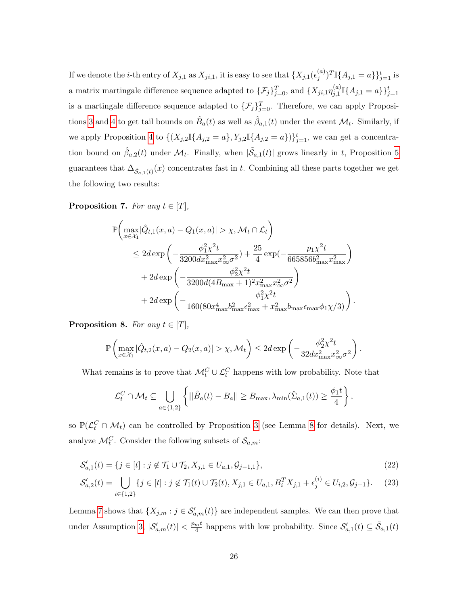If we denote the *i*-th entry of  $X_{j,1}$  as  $X_{ji,1}$ , it is easy to see that  $\{X_{j,1}(\epsilon_i^{(a)})\}$  $j^{(a)})^T \mathbb{I}\{A_{j,1} = a\}\}_{j=1}^t$  is a matrix martingale difference sequence adapted to  $\{\mathcal{F}_j\}_{j=0}^T$ , and  $\{X_{ji,1}\eta_{j,1}^{(a)}\}$  $_{j,1}^{(a)}\mathbb{I}\{A_{j,1}=a\}\}_{j=1}^{t}$ is a martingale difference sequence adapted to  $\{\mathcal{F}_j\}_{j=0}^T$ . Therefore, we can apply Proposi-tions [3](#page-22-0) and [4](#page-22-1) to get tail bounds on  $\hat{B}_a(t)$  as well as  $\hat{\beta}_{a,1}(t)$  under the event  $\mathcal{M}_t$ . Similarly, if we apply Proposition [4](#page-22-1) to  $\{(X_{j,2}\mathbb{I}\{A_{j,2}=a\},Y_{j,2}\mathbb{I}\{A_{j,2}=a\})\}_{j=1}^t$ , we can get a concentration bound on  $\hat{\beta}_{a,2}(t)$  under  $\mathcal{M}_t$ . Finally, when  $|\tilde{\mathcal{S}}_{a,1}(t)|$  grows linearly in t, Proposition [5](#page-23-1) guarantees that  $\Delta_{\tilde{S}_{a,1}(t)}(x)$  concentrates fast in t. Combining all these parts together we get the following two results:

<span id="page-25-0"></span>**Proposition 7.** For any  $t \in [T]$ ,

$$
\mathbb{P}\left(\max_{x \in \mathcal{X}_1} |\hat{Q}_{t,1}(x, a) - Q_1(x, a)| > \chi, \mathcal{M}_t \cap \mathcal{L}_t\right) \le 2d \exp\left(-\frac{\phi_1^2 \chi^2 t}{3200 dx_{\text{max}}^2 x_{\infty}^2 \sigma^2} + \frac{25}{4} \exp\left(-\frac{p_1 \chi^2 t}{665856 b_{\text{max}}^2 x_{\text{max}}^2}\right) + 2d \exp\left(-\frac{\phi_2^2 \chi^2 t}{3200 d (4B_{\text{max}} + 1)^2 x_{\text{max}}^2 x_{\infty}^2 \sigma^2}\right) + 2d \exp\left(-\frac{\phi_1^2 \chi^2 t}{160 (80 x_{\text{max}}^4 b_{\text{max}}^2 \epsilon_{\text{max}}^2 + x_{\text{max}}^2 b_{\text{max}} \epsilon_{\text{max}} \phi_1 \chi/3)}\right).
$$

<span id="page-25-1"></span>**Proposition 8.** For any  $t \in [T]$ ,

$$
\mathbb{P}\left(\max_{x \in \mathcal{X}_1}|\hat{Q}_{t,2}(x,a) - Q_2(x,a)| > \chi, \mathcal{M}_t\right) \leq 2d \exp\left(-\frac{\phi_2^2 \chi^2 t}{32dx_{\max}^2 x_\infty^2 \sigma^2}\right).
$$

What remains is to prove that  $\mathcal{M}_t^C \cup \mathcal{L}_t^C$  happens with low probability. Note that

$$
\mathcal{L}_t^C \cap \mathcal{M}_t \subseteq \bigcup_{a \in \{1,2\}} \left\{ ||\hat{B}_a(t) - B_a|| \geq B_{\max}, \lambda_{\min}(\hat{\Sigma}_{a,1}(t)) \geq \frac{\phi_1 t}{4} \right\},\
$$

so  $\mathbb{P}(\mathcal{L}_{t}^{C} \cap \mathcal{M}_{t})$  can be controlled by Proposition [3](#page-22-0) (see Lemma [8](#page-56-0) for details). Next, we analyze  $\mathcal{M}_t^C$ . Consider the following subsets of  $\mathcal{S}_{a,m}$ :

$$
\mathcal{S}'_{a,1}(t) = \{ j \in [t] : j \notin \mathcal{T}_1 \cup \mathcal{T}_2, X_{j,1} \in U_{a,1}, \mathcal{G}_{j-1,1} \},\tag{22}
$$

$$
\mathcal{S}_{a,2}'(t) = \bigcup_{i \in \{1,2\}} \{ j \in [t] : j \notin \mathcal{T}_1(t) \cup \mathcal{T}_2(t), X_{j,1} \in U_{a,1}, B_i^T X_{j,1} + \epsilon_j^{(i)} \in U_{i,2}, \mathcal{G}_{j-1} \}. \tag{23}
$$

Lemma [7](#page-54-0) shows that  $\{X_{j,m}: j \in \mathcal{S}'_{a,m}(t)\}$  are independent samples. We can then prove that under Assumption [3,](#page-11-0)  $|\mathcal{S}'_{a,m}(t)| < \frac{p_{m}t}{4}$  $\frac{m^t}{4}$  happens with low probability. Since  $\mathcal{S}'_{a,1}(t) \subseteq \tilde{\mathcal{S}}_{a,1}(t)$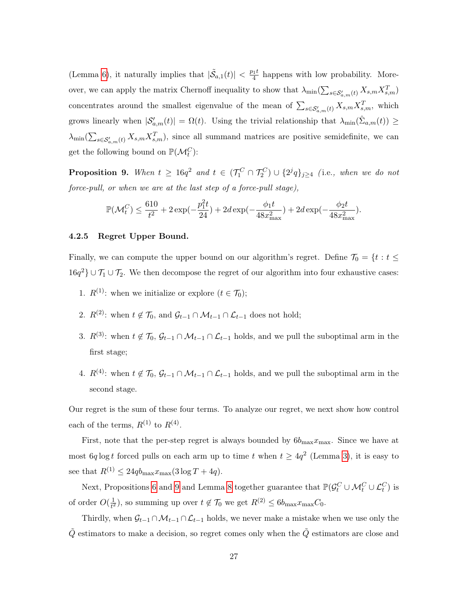(Lemma [6\)](#page-53-0), it naturally implies that  $|\tilde{\mathcal{S}}_{a,1}(t)| < \frac{p_1 t}{4}$  $\frac{q_1 t}{4}$  happens with low probability. Moreover, we can apply the matrix Chernoff inequality to show that  $\lambda_{\min}(\sum_{s \in \mathcal{S}'_{a,m}(t)} X_{s,m} X_{s,m}^T)$ concentrates around the smallest eigenvalue of the mean of  $\sum_{s \in \mathcal{S}'_{a,m}(t)} X_{s,m} X_{s,m}^T$ , which grows linearly when  $|S'_{a,m}(t)| = \Omega(t)$ . Using the trivial relationship that  $\lambda_{\min}(\hat{\Sigma}_{a,m}(t)) \ge$  $\lambda_{\min}(\sum_{s\in\mathcal{S}'_{a,m}(t)}X_{s,m}X_{s,m}^T)$ , since all summand matrices are positive semidefinite, we can get the following bound on  $\mathbb{P}(\mathcal{M}_t^C)$ :

<span id="page-26-0"></span>**Proposition 9.** When  $t \ge 16q^2$  and  $t \in (\mathcal{T}_1^C \cap \mathcal{T}_2^C) \cup \{2^jq\}_{j\geq 4}$  (i.e., when we do not force-pull, or when we are at the last step of a force-pull stage),

$$
\mathbb{P}(\mathcal{M}^C_t) \leq \frac{610}{t^2} + 2\exp(-\frac{p_1^2t}{24}) + 2d\exp(-\frac{\phi_1t}{48x_{\max}^2}) + 2d\exp(-\frac{\phi_2t}{48x_{\max}^2}).
$$

#### 4.2.5 Regret Upper Bound.

Finally, we can compute the upper bound on our algorithm's regret. Define  $\mathcal{T}_0 = \{t : t \leq t \}$  $16q^2$  ∪  $\mathcal{T}_1 \cup \mathcal{T}_2$ . We then decompose the regret of our algorithm into four exhaustive cases:

- 1.  $R^{(1)}$ : when we initialize or explore  $(t \in \mathcal{T}_0)$ ;
- 2.  $R^{(2)}$ : when  $t \notin \mathcal{T}_0$ , and  $\mathcal{G}_{t-1} \cap \mathcal{M}_{t-1} \cap \mathcal{L}_{t-1}$  does not hold;
- 3.  $R^{(3)}$ : when  $t \notin \mathcal{T}_0$ ,  $\mathcal{G}_{t-1} \cap \mathcal{M}_{t-1} \cap \mathcal{L}_{t-1}$  holds, and we pull the suboptimal arm in the first stage;
- 4.  $R^{(4)}$ : when  $t \notin \mathcal{T}_0$ ,  $\mathcal{G}_{t-1} \cap \mathcal{M}_{t-1} \cap \mathcal{L}_{t-1}$  holds, and we pull the suboptimal arm in the second stage.

Our regret is the sum of these four terms. To analyze our regret, we next show how control each of the terms,  $R^{(1)}$  to  $R^{(4)}$ .

First, note that the per-step regret is always bounded by  $6b_{\text{max}}x_{\text{max}}$ . Since we have at most 6q log t forced pulls on each arm up to time t when  $t \geq 4q^2$  (Lemma [3\)](#page-44-0), it is easy to see that  $R^{(1)} \leq 24q b_{\text{max}}x_{\text{max}}(3 \log T + 4q)$ .

Next, Propositions [6](#page-23-0) and [9](#page-26-0) and Lemma [8](#page-56-0) together guarantee that  $\mathbb{P}(\mathcal{G}_t^C \cup \mathcal{M}_t^C \cup \mathcal{L}_t^C)$  is of order  $O(\frac{1}{t^2})$  $\frac{1}{t^2}$ , so summing up over  $t \notin \mathcal{T}_0$  we get  $R^{(2)} \leq 6b_{\max}x_{\max}C_0$ .

Thirdly, when  $\mathcal{G}_{t-1} \cap \mathcal{M}_{t-1} \cap \mathcal{L}_{t-1}$  holds, we never make a mistake when we use only the  $\tilde{Q}$  estimators to make a decision, so regret comes only when the  $\tilde{Q}$  estimators are close and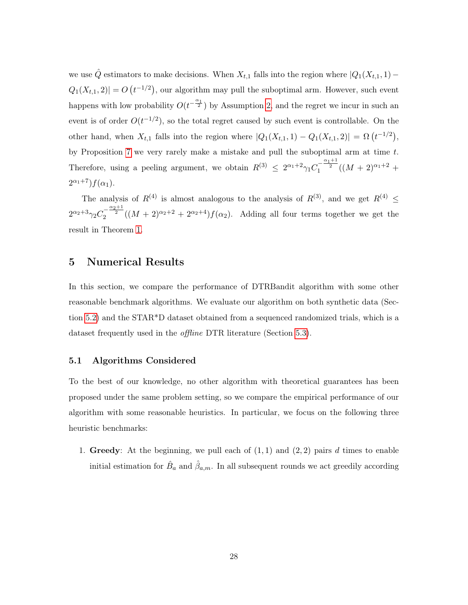we use  $\hat{Q}$  estimators to make decisions. When  $X_{t,1}$  falls into the region where  $|Q_1(X_{t,1}, 1) Q_1(X_{t,1}, 2)| = O(t^{-1/2}),$  our algorithm may pull the suboptimal arm. However, such event happens with low probability  $O(t^{-\frac{\alpha_1}{2}})$  by Assumption [2,](#page-10-0) and the regret we incur in such an event is of order  $O(t^{-1/2})$ , so the total regret caused by such event is controllable. On the other hand, when  $X_{t,1}$  falls into the region where  $|Q_1(X_{t,1}, 1) - Q_1(X_{t,1}, 2)| = \Omega\left(t^{-1/2}\right)$ , by Proposition [7](#page-25-0) we very rarely make a mistake and pull the suboptimal arm at time  $t$ . Therefore, using a peeling argument, we obtain  $R^{(3)} \leq 2^{\alpha_1+2} \gamma_1 C_1^{-\frac{\alpha_1+1}{2}} ((M+2)^{\alpha_1+2} +$  $2^{\alpha_1+7}$ ) $f(\alpha_1)$ .

The analysis of  $R^{(4)}$  is almost analogous to the analysis of  $R^{(3)}$ , and we get  $R^{(4)} \leq$  $2^{\alpha_2+3}\gamma_2C_2^{-\frac{\alpha_2+1}{2}}((M+2)^{\alpha_2+2}+2^{\alpha_2+4})f(\alpha_2)$ . Adding all four terms together we get the result in Theorem [1.](#page-18-2)

## <span id="page-27-0"></span>5 Numerical Results

In this section, we compare the performance of DTRBandit algorithm with some other reasonable benchmark algorithms. We evaluate our algorithm on both synthetic data (Section [5.2\)](#page-28-0) and the STAR\*D dataset obtained from a sequenced randomized trials, which is a dataset frequently used in the *offline* DTR literature (Section [5.3\)](#page-30-0).

#### <span id="page-27-1"></span>5.1 Algorithms Considered

To the best of our knowledge, no other algorithm with theoretical guarantees has been proposed under the same problem setting, so we compare the empirical performance of our algorithm with some reasonable heuristics. In particular, we focus on the following three heuristic benchmarks:

1. Greedy: At the beginning, we pull each of  $(1, 1)$  and  $(2, 2)$  pairs d times to enable initial estimation for  $\hat{B}_a$  and  $\hat{\beta}_{a,m}$ . In all subsequent rounds we act greedily according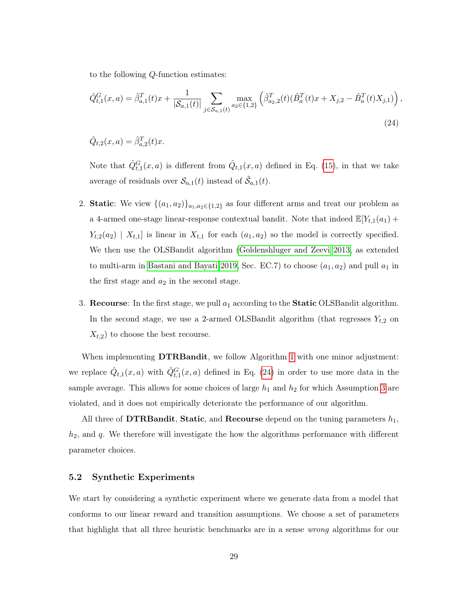to the following Q-function estimates:

<span id="page-28-1"></span>
$$
\hat{Q}_{t,1}^G(x,a) = \hat{\beta}_{a,1}^T(t)x + \frac{1}{|\mathcal{S}_{a,1}(t)|} \sum_{j \in \mathcal{S}_{a,1}(t)} \max_{a_2 \in \{1,2\}} \left(\hat{\beta}_{a_2,2}^T(t)(\hat{B}_a^T(t)x + X_{j,2} - \hat{B}_a^T(t)X_{j,1})\right),\tag{24}
$$

 $\hat{Q}_{t,2}(x,a) = \hat{\beta}_{a,2}^{T}(t)x.$ 

Note that  $\hat{Q}_{t,1}^G(x,a)$  is different from  $\hat{Q}_{t,1}(x,a)$  defined in Eq. [\(15\)](#page-15-0), in that we take average of residuals over  $\mathcal{S}_{a,1}(t)$  instead of  $\tilde{\mathcal{S}}_{a,1}(t)$ .

- 2. Static: We view  $\{(a_1, a_2)\}_{a_1, a_2 \in \{1,2\}}$  as four different arms and treat our problem as a 4-armed one-stage linear-response contextual bandit. Note that indeed  $\mathbb{E}[Y_{t,1}(a_1) +$  $Y_{t,2}(a_2) \mid X_{t,1}$  is linear in  $X_{t,1}$  for each  $(a_1, a_2)$  so the model is correctly specified. We then use the OLSBandit algorithm [\(Goldenshluger and Zeevi 2013,](#page-37-1) as extended to multi-arm in [Bastani and Bayati 2019,](#page-36-8) Sec. EC.7) to choose  $(a_1, a_2)$  and pull  $a_1$  in the first stage and  $a_2$  in the second stage.
- 3. Recourse: In the first stage, we pull  $a_1$  according to the **Static** OLSBandit algorithm. In the second stage, we use a 2-armed OLSBandit algorithm (that regresses  $Y_{t,2}$  on  $X_{t,2}$ ) to choose the best recourse.

When implementing **DTRBandit**, we follow Algorithm [1](#page-16-1) with one minor adjustment: we replace  $\hat{Q}_{t,1}(x,a)$  with  $\hat{Q}_{t,1}^G(x,a)$  defined in Eq. [\(24\)](#page-28-1) in order to use more data in the sample average. This allows for some choices of large  $h_1$  and  $h_2$  for which Assumption [3](#page-11-0) are violated, and it does not empirically deteriorate the performance of our algorithm.

All three of **DTRBandit, Static**, and **Recourse** depend on the tuning parameters  $h_1$ ,  $h_2$ , and  $q$ . We therefore will investigate the how the algorithms performance with different parameter choices.

### <span id="page-28-0"></span>5.2 Synthetic Experiments

We start by considering a synthetic experiment where we generate data from a model that conforms to our linear reward and transition assumptions. We choose a set of parameters that highlight that all three heuristic benchmarks are in a sense wrong algorithms for our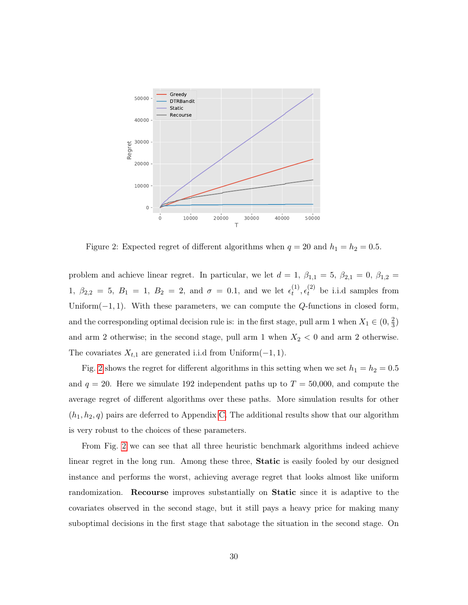<span id="page-29-0"></span>

Figure 2: Expected regret of different algorithms when  $q = 20$  and  $h_1 = h_2 = 0.5$ .

problem and achieve linear regret. In particular, we let  $d = 1$ ,  $\beta_{1,1} = 5$ ,  $\beta_{2,1} = 0$ ,  $\beta_{1,2} = 1$ 1,  $\beta_{2,2} = 5$ ,  $B_1 = 1$ ,  $B_2 = 2$ , and  $\sigma = 0.1$ , and we let  $\epsilon_t^{(1)}$  $t_t^{(1)}, t_t^{(2)}$  be i.i.d samples from Uniform $(-1, 1)$ . With these parameters, we can compute the Q-functions in closed form, and the corresponding optimal decision rule is: in the first stage, pull arm 1 when  $X_1 \in (0, \frac{2}{3})$  $\frac{2}{3})$ and arm 2 otherwise; in the second stage, pull arm 1 when  $X_2 < 0$  and arm 2 otherwise. The covariates  $X_{t,1}$  are generated i.i.d from Uniform $(-1, 1)$ .

Fig. [2](#page-29-0) shows the regret for different algorithms in this setting when we set  $h_1 = h_2 = 0.5$ and  $q = 20$ . Here we simulate 192 independent paths up to  $T = 50,000$ , and compute the average regret of different algorithms over these paths. More simulation results for other  $(h_1, h_2, q)$  pairs are deferred to Appendix [C.](#page-62-0) The additional results show that our algorithm is very robust to the choices of these parameters.

From Fig. [2](#page-29-0) we can see that all three heuristic benchmark algorithms indeed achieve linear regret in the long run. Among these three, Static is easily fooled by our designed instance and performs the worst, achieving average regret that looks almost like uniform randomization. Recourse improves substantially on Static since it is adaptive to the covariates observed in the second stage, but it still pays a heavy price for making many suboptimal decisions in the first stage that sabotage the situation in the second stage. On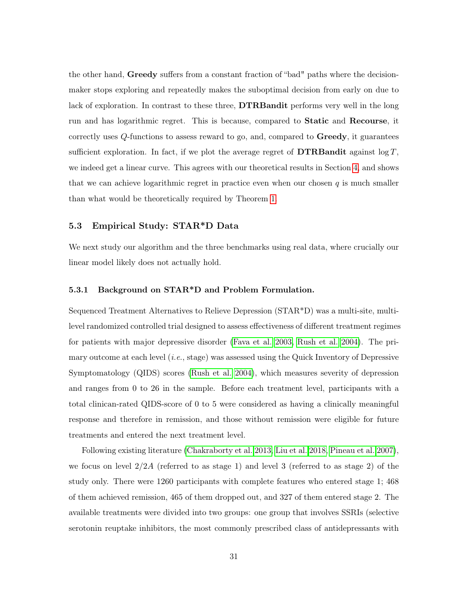the other hand, Greedy suffers from a constant fraction of "bad" paths where the decisionmaker stops exploring and repeatedly makes the suboptimal decision from early on due to lack of exploration. In contrast to these three, **DTRBandit** performs very well in the long run and has logarithmic regret. This is because, compared to Static and Recourse, it correctly uses  $Q$ -functions to assess reward to go, and, compared to  $\mathbf{Greedy}$ , it guarantees sufficient exploration. In fact, if we plot the average regret of **DTRB** and it against  $\log T$ , we indeed get a linear curve. This agrees with our theoretical results in Section [4,](#page-18-0) and shows that we can achieve logarithmic regret in practice even when our chosen  $q$  is much smaller than what would be theoretically required by Theorem [1.](#page-18-2)

## <span id="page-30-0"></span>5.3 Empirical Study: STAR\*D Data

We next study our algorithm and the three benchmarks using real data, where crucially our linear model likely does not actually hold.

#### 5.3.1 Background on STAR\*D and Problem Formulation.

Sequenced Treatment Alternatives to Relieve Depression (STAR\*D) was a multi-site, multilevel randomized controlled trial designed to assess effectiveness of different treatment regimes for patients with major depressive disorder [\(Fava et al. 2003,](#page-37-12) [Rush et al. 2004\)](#page-39-9). The primary outcome at each level  $(i.e., stage)$  was assessed using the Quick Inventory of Depressive Symptomatology (QIDS) scores [\(Rush et al. 2004\)](#page-39-9), which measures severity of depression and ranges from 0 to 26 in the sample. Before each treatment level, participants with a total clinican-rated QIDS-score of 0 to 5 were considered as having a clinically meaningful response and therefore in remission, and those without remission were eligible for future treatments and entered the next treatment level.

Following existing literature [\(Chakraborty et al. 2013,](#page-37-13) [Liu et al. 2018,](#page-38-10) [Pineau et al. 2007\)](#page-39-10), we focus on level  $2/2A$  (referred to as stage 1) and level 3 (referred to as stage 2) of the study only. There were 1260 participants with complete features who entered stage 1; 468 of them achieved remission, 465 of them dropped out, and 327 of them entered stage 2. The available treatments were divided into two groups: one group that involves SSRIs (selective serotonin reuptake inhibitors, the most commonly prescribed class of antidepressants with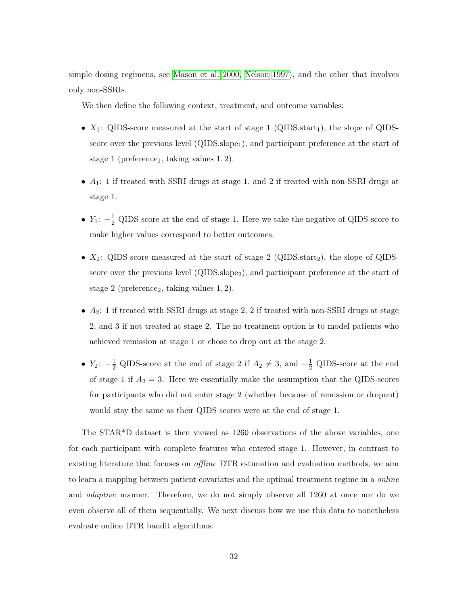simple dosing regimens, see [Mason et al. 2000,](#page-38-11) [Nelson 1997\)](#page-39-11), and the other that involves only non-SSRIs.

We then define the following context, treatment, and outcome variables:

- $X_1$ : QIDS-score measured at the start of stage 1 (QIDS.start<sub>1</sub>), the slope of QIDSscore over the previous level  $(QIDS.sleep<sub>1</sub>)$ , and participant preference at the start of stage 1 (preference<sub>1</sub>, taking values  $1, 2$ ).
- $A_1$ : 1 if treated with SSRI drugs at stage 1, and 2 if treated with non-SSRI drugs at stage 1.
- $Y_1$ :  $-\frac{1}{2}$  QIDS-score at the end of stage 1. Here we take the negative of QIDS-score to make higher values correspond to better outcomes.
- $X_2$ : QIDS-score measured at the start of stage 2 (QIDS.start<sub>2</sub>), the slope of QIDSscore over the previous level (QIDS.slope<sub>2</sub>), and participant preference at the start of stage 2 (preference<sub>2</sub>, taking values  $1, 2$ ).
- $A_2$ : 1 if treated with SSRI drugs at stage 2, 2 if treated with non-SSRI drugs at stage 2, and 3 if not treated at stage 2. The no-treatment option is to model patients who achieved remission at stage 1 or chose to drop out at the stage 2.
- $Y_2$ :  $-\frac{1}{2}$  QIDS-score at the end of stage 2 if  $A_2 \neq 3$ , and  $-\frac{1}{2}$  QIDS-score at the end of stage 1 if  $A_2 = 3$ . Here we essentially make the assumption that the QIDS-scores for participants who did not enter stage 2 (whether because of remission or dropout) would stay the same as their QIDS scores were at the end of stage 1.

The STAR\*D dataset is then viewed as 1260 observations of the above variables, one for each participant with complete features who entered stage 1. However, in contrast to existing literature that focuses on *offline* DTR estimation and evaluation methods, we aim to learn a mapping between patient covariates and the optimal treatment regime in a online and adaptive manner. Therefore, we do not simply observe all 1260 at once nor do we even observe all of them sequentially. We next discuss how we use this data to nonetheless evaluate online DTR bandit algorithms.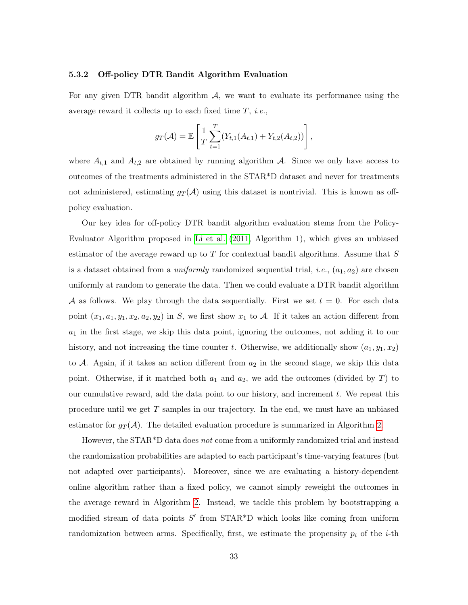#### 5.3.2 Off-policy DTR Bandit Algorithm Evaluation

For any given DTR bandit algorithm  $A$ , we want to evaluate its performance using the average reward it collects up to each fixed time  $T$ , *i.e.*,

$$
g_T(\mathcal{A}) = \mathbb{E}\left[\frac{1}{T}\sum_{t=1}^T(Y_{t,1}(A_{t,1}) + Y_{t,2}(A_{t,2}))\right],
$$

where  $A_{t,1}$  and  $A_{t,2}$  are obtained by running algorithm A. Since we only have access to outcomes of the treatments administered in the STAR\*D dataset and never for treatments not administered, estimating  $g_T(A)$  using this dataset is nontrivial. This is known as offpolicy evaluation.

Our key idea for off-policy DTR bandit algorithm evaluation stems from the Policy-Evaluator Algorithm proposed in [Li et al.](#page-38-12) [\(2011,](#page-38-12) Algorithm 1), which gives an unbiased estimator of the average reward up to  $T$  for contextual bandit algorithms. Assume that  $S$ is a dataset obtained from a *uniformly* randomized sequential trial, *i.e.*,  $(a_1, a_2)$  are chosen uniformly at random to generate the data. Then we could evaluate a DTR bandit algorithm A as follows. We play through the data sequentially. First we set  $t = 0$ . For each data point  $(x_1, a_1, y_1, x_2, a_2, y_2)$  in S, we first show  $x_1$  to A. If it takes an action different from  $a_1$  in the first stage, we skip this data point, ignoring the outcomes, not adding it to our history, and not increasing the time counter t. Otherwise, we additionally show  $(a_1, y_1, x_2)$ to  $A$ . Again, if it takes an action different from  $a_2$  in the second stage, we skip this data point. Otherwise, if it matched both  $a_1$  and  $a_2$ , we add the outcomes (divided by T) to our cumulative reward, add the data point to our history, and increment  $t$ . We repeat this procedure until we get  $T$  samples in our trajectory. In the end, we must have an unbiased estimator for  $g_T(\mathcal{A})$ . The detailed evaluation procedure is summarized in Algorithm [2.](#page-33-0)

However, the STAR<sup>\*</sup>D data does not come from a uniformly randomized trial and instead the randomization probabilities are adapted to each participant's time-varying features (but not adapted over participants). Moreover, since we are evaluating a history-dependent online algorithm rather than a fixed policy, we cannot simply reweight the outcomes in the average reward in Algorithm [2.](#page-33-0) Instead, we tackle this problem by bootstrapping a modified stream of data points  $S'$  from STAR\*D which looks like coming from uniform randomization between arms. Specifically, first, we estimate the propensity  $p_i$  of the *i*-th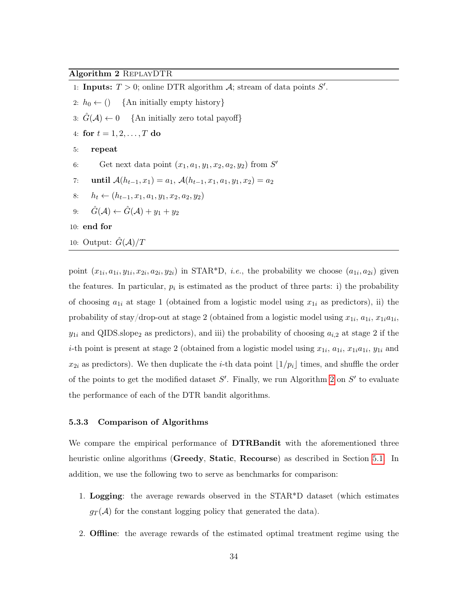### <span id="page-33-0"></span>Algorithm 2 ReplayDTR

- 1: Inputs:  $T > 0$ ; online DTR algorithm A; stream of data points  $S'$ .
- 2:  $h_0 \leftarrow ()$  {An initially empty history}
- 3:  $\hat{G}(\mathcal{A}) \leftarrow 0$  {An initially zero total payoff}
- 4: for  $t = 1, 2, ..., T$  do
- 5: repeat
- 6: Get next data point  $(x_1, a_1, y_1, x_2, a_2, y_2)$  from  $S'$
- 7: until  $\mathcal{A}(h_{t-1}, x_1) = a_1, \, \mathcal{A}(h_{t-1}, x_1, a_1, y_1, x_2) = a_2$
- 8:  $h_t \leftarrow (h_{t-1}, x_1, a_1, y_1, x_2, a_2, y_2)$
- 9:  $\hat{G}(\mathcal{A}) \leftarrow \hat{G}(\mathcal{A}) + y_1 + y_2$

10: end for

10: Output:  $G(A)/T$ 

point  $(x_{1i}, a_{1i}, y_{1i}, x_{2i}, a_{2i}, y_{2i})$  in STAR\*D, *i.e.*, the probability we choose  $(a_{1i}, a_{2i})$  given the features. In particular,  $p_i$  is estimated as the product of three parts: i) the probability of choosing  $a_{1i}$  at stage 1 (obtained from a logistic model using  $x_{1i}$  as predictors), ii) the probability of stay/drop-out at stage 2 (obtained from a logistic model using  $x_{1i}$ ,  $a_{1i}$ ,  $x_{1i}a_{1i}$ ,  $y_{1i}$  and QIDS.slope<sub>2</sub> as predictors), and iii) the probability of choosing  $a_{i,2}$  at stage 2 if the *i*-th point is present at stage 2 (obtained from a logistic model using  $x_{1i}$ ,  $a_{1i}$ ,  $x_{1i}a_{1i}$ ,  $y_{1i}$  and  $x_{2i}$  as predictors). We then duplicate the *i*-th data point  $\lfloor 1/p_i \rfloor$  times, and shuffle the order of the points to get the modified dataset  $S'$ . Finally, we run Algorithm [2](#page-33-0) on  $S'$  to evaluate the performance of each of the DTR bandit algorithms.

#### 5.3.3 Comparison of Algorithms

We compare the empirical performance of **DTRBandit** with the aforementioned three heuristic online algorithms (Greedy, Static, Recourse) as described in Section [5.1.](#page-27-1) In addition, we use the following two to serve as benchmarks for comparison:

- 1. Logging: the average rewards observed in the STAR\*D dataset (which estimates  $g_T(\mathcal{A})$  for the constant logging policy that generated the data).
- 2. Offline: the average rewards of the estimated optimal treatment regime using the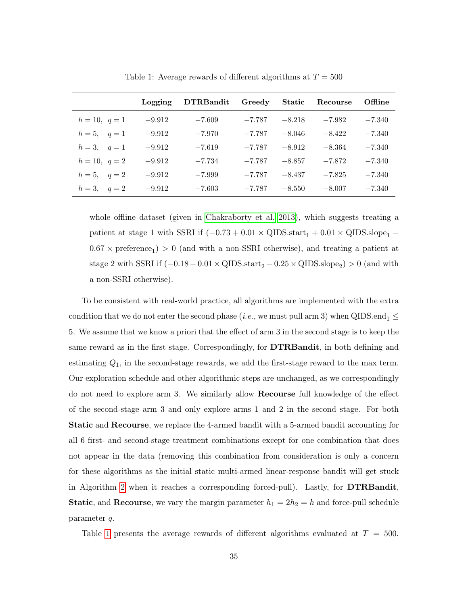<span id="page-34-0"></span>

|                      | Logging  | <b>DTRBandit</b> | Greedy Static |          | Recourse | Offline  |
|----------------------|----------|------------------|---------------|----------|----------|----------|
| $h = 10, q = 1$      | $-9.912$ | $-7.609$         | $-7.787$      | $-8.218$ | $-7.982$ | $-7.340$ |
| $h = 5, \quad q = 1$ | $-9.912$ | $-7.970$         | $-7.787$      | $-8.046$ | $-8.422$ | $-7.340$ |
| $h=3, q=1$           | $-9.912$ | $-7.619$         | $-7.787$      | $-8.912$ | $-8.364$ | $-7.340$ |
| $h = 10, q = 2$      | $-9.912$ | $-7.734$         | $-7.787$      | $-8.857$ | $-7.872$ | $-7.340$ |
| $h = 5, \quad q = 2$ | $-9.912$ | $-7.999$         | $-7.787$      | $-8.437$ | $-7.825$ | $-7.340$ |
| $h = 3, \quad q = 2$ | $-9.912$ | $-7.603$         | $-7.787$      | $-8.550$ | $-8.007$ | $-7.340$ |

Table 1: Average rewards of different algorithms at  $T = 500$ 

whole offline dataset (given in [Chakraborty et al. 2013\)](#page-37-13), which suggests treating a patient at stage 1 with SSRI if  $(-0.73 + 0.01 \times \text{QIDS}.\text{start}_1 + 0.01 \times \text{QIDS}.\text{slope}_1 0.67 \times \text{preference}_1$ ) > 0 (and with a non-SSRI otherwise), and treating a patient at stage 2 with SSRI if  $(-0.18 - 0.01 \times \text{QIDS}.\text{start}_2 - 0.25 \times \text{QIDS}.\text{slope}_2) > 0$  (and with a non-SSRI otherwise).

To be consistent with real-world practice, all algorithms are implemented with the extra condition that we do not enter the second phase (*i.e.*, we must pull arm 3) when QIDS.end<sub>1</sub>  $\leq$ 5. We assume that we know a priori that the effect of arm 3 in the second stage is to keep the same reward as in the first stage. Correspondingly, for DTRBandit, in both defining and estimating Q1, in the second-stage rewards, we add the first-stage reward to the max term. Our exploration schedule and other algorithmic steps are unchanged, as we correspondingly do not need to explore arm 3. We similarly allow Recourse full knowledge of the effect of the second-stage arm 3 and only explore arms 1 and 2 in the second stage. For both Static and Recourse, we replace the 4-armed bandit with a 5-armed bandit accounting for all 6 first- and second-stage treatment combinations except for one combination that does not appear in the data (removing this combination from consideration is only a concern for these algorithms as the initial static multi-armed linear-response bandit will get stuck in Algorithm [2](#page-33-0) when it reaches a corresponding forced-pull). Lastly, for  $DTRBandit$ , **Static**, and **Recourse**, we vary the margin parameter  $h_1 = 2h_2 = h$  and force-pull schedule parameter q.

Table [1](#page-34-0) presents the average rewards of different algorithms evaluated at  $T = 500$ .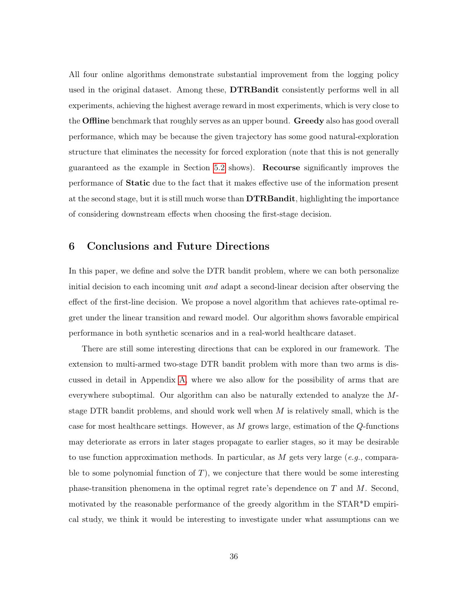All four online algorithms demonstrate substantial improvement from the logging policy used in the original dataset. Among these, **DTRBandit** consistently performs well in all experiments, achieving the highest average reward in most experiments, which is very close to the **Offline** benchmark that roughly serves as an upper bound. Greedy also has good overall performance, which may be because the given trajectory has some good natural-exploration structure that eliminates the necessity for forced exploration (note that this is not generally guaranteed as the example in Section [5.2](#page-28-0) shows). Recourse significantly improves the performance of Static due to the fact that it makes effective use of the information present at the second stage, but it is still much worse than **DTRBandit**, highlighting the importance of considering downstream effects when choosing the first-stage decision.

## <span id="page-35-0"></span>6 Conclusions and Future Directions

In this paper, we define and solve the DTR bandit problem, where we can both personalize initial decision to each incoming unit *and* adapt a second-linear decision after observing the effect of the first-line decision. We propose a novel algorithm that achieves rate-optimal regret under the linear transition and reward model. Our algorithm shows favorable empirical performance in both synthetic scenarios and in a real-world healthcare dataset.

There are still some interesting directions that can be explored in our framework. The extension to multi-armed two-stage DTR bandit problem with more than two arms is discussed in detail in Appendix [A,](#page-41-0) where we also allow for the possibility of arms that are everywhere suboptimal. Our algorithm can also be naturally extended to analyze the Mstage DTR bandit problems, and should work well when  $M$  is relatively small, which is the case for most healthcare settings. However, as  $M$  grows large, estimation of the  $Q$ -functions may deteriorate as errors in later stages propagate to earlier stages, so it may be desirable to use function approximation methods. In particular, as  $M$  gets very large (e.g., comparable to some polynomial function of  $T$ ), we conjecture that there would be some interesting phase-transition phenomena in the optimal regret rate's dependence on T and M. Second, motivated by the reasonable performance of the greedy algorithm in the STAR\*D empirical study, we think it would be interesting to investigate under what assumptions can we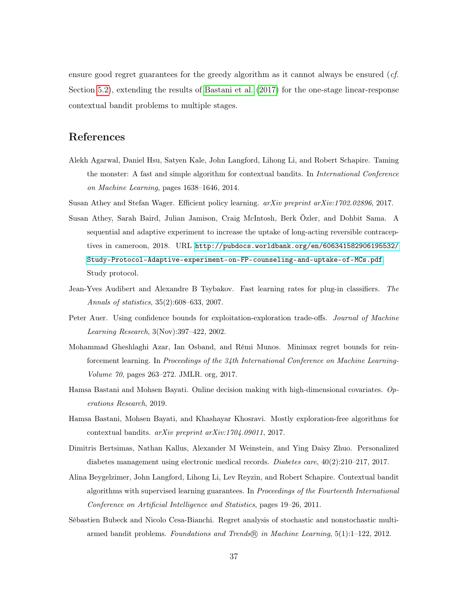ensure good regret guarantees for the greedy algorithm as it cannot always be ensured (*cf.* Section [5.2\)](#page-28-0), extending the results of [Bastani et al.](#page-36-9) [\(2017\)](#page-36-9) for the one-stage linear-response contextual bandit problems to multiple stages.

# References

- <span id="page-36-6"></span>Alekh Agarwal, Daniel Hsu, Satyen Kale, John Langford, Lihong Li, and Robert Schapire. Taming the monster: A fast and simple algorithm for contextual bandits. In International Conference on Machine Learning, pages 1638–1646, 2014.
- <span id="page-36-2"></span><span id="page-36-0"></span>Susan Athey and Stefan Wager. Efficient policy learning.  $arXiv$  preprint  $arXiv:1702.02896, 2017$ .
- Susan Athey, Sarah Baird, Julian Jamison, Craig McIntosh, Berk Özler, and Dohbit Sama. A sequential and adaptive experiment to increase the uptake of long-acting reversible contraceptives in cameroon, 2018. URL [http://pubdocs.worldbank.org/en/606341582906195532/](http://pubdocs.worldbank.org/en/606341582906195532/Study-Protocol-Adaptive-experiment-on-FP-counseling-and-uptake-of-MCs.pdf) [Study-Protocol-Adaptive-experiment-on-FP-counseling-and-uptake-of-MCs.pdf](http://pubdocs.worldbank.org/en/606341582906195532/Study-Protocol-Adaptive-experiment-on-FP-counseling-and-uptake-of-MCs.pdf). Study protocol.
- <span id="page-36-10"></span>Jean-Yves Audibert and Alexandre B Tsybakov. Fast learning rates for plug-in classifiers. The Annals of statistics, 35(2):608–633, 2007.
- <span id="page-36-4"></span>Peter Auer. Using confidence bounds for exploitation-exploration trade-offs. Journal of Machine Learning Research, 3(Nov):397–422, 2002.
- <span id="page-36-3"></span>Mohammad Gheshlaghi Azar, Ian Osband, and Rémi Munos. Minimax regret bounds for reinforcement learning. In Proceedings of the 34th International Conference on Machine Learning-Volume 70, pages 263–272. JMLR. org, 2017.
- <span id="page-36-8"></span>Hamsa Bastani and Mohsen Bayati. Online decision making with high-dimensional covariates. Operations Research, 2019.
- <span id="page-36-9"></span>Hamsa Bastani, Mohsen Bayati, and Khashayar Khosravi. Mostly exploration-free algorithms for contextual bandits. arXiv preprint arXiv:1704.09011, 2017.
- <span id="page-36-1"></span>Dimitris Bertsimas, Nathan Kallus, Alexander M Weinstein, and Ying Daisy Zhuo. Personalized diabetes management using electronic medical records. *Diabetes care*,  $40(2):210-217$ , 2017.
- <span id="page-36-5"></span>Alina Beygelzimer, John Langford, Lihong Li, Lev Reyzin, and Robert Schapire. Contextual bandit algorithms with supervised learning guarantees. In Proceedings of the Fourteenth International Conference on Artificial Intelligence and Statistics, pages 19–26, 2011.
- <span id="page-36-7"></span>Sébastien Bubeck and Nicolo Cesa-Bianchi. Regret analysis of stochastic and nonstochastic multiarmed bandit problems. Foundations and Trends® in Machine Learning, 5(1):1–122, 2012.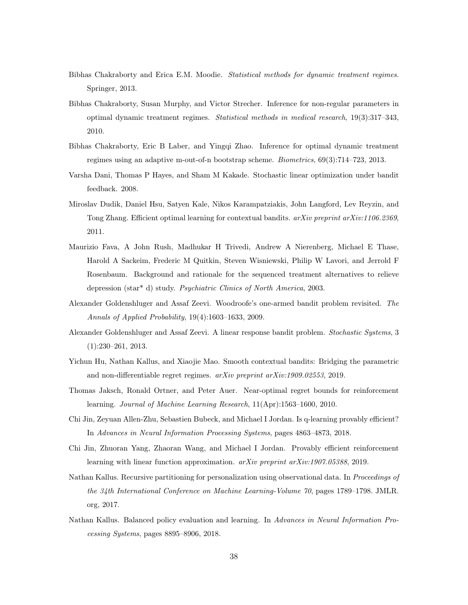- <span id="page-37-0"></span>Bibhas Chakraborty and Erica E.M. Moodie. Statistical methods for dynamic treatment regimes. Springer, 2013.
- <span id="page-37-4"></span>Bibhas Chakraborty, Susan Murphy, and Victor Strecher. Inference for non-regular parameters in optimal dynamic treatment regimes. Statistical methods in medical research, 19(3):317–343, 2010.
- <span id="page-37-13"></span>Bibhas Chakraborty, Eric B Laber, and Yingqi Zhao. Inference for optimal dynamic treatment regimes using an adaptive m-out-of-n bootstrap scheme. Biometrics, 69(3):714–723, 2013.
- <span id="page-37-8"></span>Varsha Dani, Thomas P Hayes, and Sham M Kakade. Stochastic linear optimization under bandit feedback. 2008.
- <span id="page-37-9"></span>Miroslav Dudik, Daniel Hsu, Satyen Kale, Nikos Karampatziakis, John Langford, Lev Reyzin, and Tong Zhang. Efficient optimal learning for contextual bandits. arXiv preprint arXiv:1106.2369, 2011.
- <span id="page-37-12"></span>Maurizio Fava, A John Rush, Madhukar H Trivedi, Andrew A Nierenberg, Michael E Thase, Harold A Sackeim, Frederic M Quitkin, Steven Wisniewski, Philip W Lavori, and Jerrold F Rosenbaum. Background and rationale for the sequenced treatment alternatives to relieve depression (star\* d) study. Psychiatric Clinics of North America, 2003.
- <span id="page-37-10"></span>Alexander Goldenshluger and Assaf Zeevi. Woodroofe's one-armed bandit problem revisited. The Annals of Applied Probability, 19(4):1603–1633, 2009.
- <span id="page-37-1"></span>Alexander Goldenshluger and Assaf Zeevi. A linear response bandit problem. Stochastic Systems, 3 (1):230–261, 2013.
- <span id="page-37-11"></span>Yichun Hu, Nathan Kallus, and Xiaojie Mao. Smooth contextual bandits: Bridging the parametric and non-differentiable regret regimes. arXiv preprint arXiv:1909.02553, 2019.
- <span id="page-37-5"></span>Thomas Jaksch, Ronald Ortner, and Peter Auer. Near-optimal regret bounds for reinforcement learning. Journal of Machine Learning Research, 11(Apr):1563–1600, 2010.
- <span id="page-37-6"></span>Chi Jin, Zeyuan Allen-Zhu, Sebastien Bubeck, and Michael I Jordan. Is q-learning provably efficient? In Advances in Neural Information Processing Systems, pages 4863–4873, 2018.
- <span id="page-37-7"></span>Chi Jin, Zhuoran Yang, Zhaoran Wang, and Michael I Jordan. Provably efficient reinforcement learning with linear function approximation. arXiv preprint arXiv:1907.05388, 2019.
- <span id="page-37-2"></span>Nathan Kallus. Recursive partitioning for personalization using observational data. In Proceedings of the 34th International Conference on Machine Learning-Volume 70, pages 1789–1798. JMLR. org, 2017.
- <span id="page-37-3"></span>Nathan Kallus. Balanced policy evaluation and learning. In Advances in Neural Information Processing Systems, pages 8895–8906, 2018.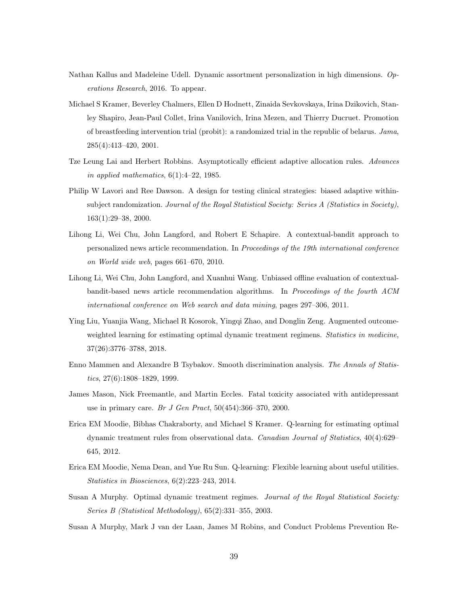- <span id="page-38-1"></span>Nathan Kallus and Madeleine Udell. Dynamic assortment personalization in high dimensions. Operations Research, 2016. To appear.
- <span id="page-38-4"></span>Michael S Kramer, Beverley Chalmers, Ellen D Hodnett, Zinaida Sevkovskaya, Irina Dzikovich, Stanley Shapiro, Jean-Paul Collet, Irina Vanilovich, Irina Mezen, and Thierry Ducruet. Promotion of breastfeeding intervention trial (probit): a randomized trial in the republic of belarus. Jama, 285(4):413–420, 2001.
- <span id="page-38-8"></span>Tze Leung Lai and Herbert Robbins. Asymptotically efficient adaptive allocation rules. Advances in applied mathematics,  $6(1):4-22$ , 1985.
- <span id="page-38-3"></span>Philip W Lavori and Ree Dawson. A design for testing clinical strategies: biased adaptive withinsubject randomization. Journal of the Royal Statistical Society: Series A (Statistics in Society), 163(1):29–38, 2000.
- <span id="page-38-0"></span>Lihong Li, Wei Chu, John Langford, and Robert E Schapire. A contextual-bandit approach to personalized news article recommendation. In Proceedings of the 19th international conference on World wide web, pages 661–670, 2010.
- <span id="page-38-12"></span>Lihong Li, Wei Chu, John Langford, and Xuanhui Wang. Unbiased offline evaluation of contextualbandit-based news article recommendation algorithms. In Proceedings of the fourth ACM international conference on Web search and data mining, pages 297–306, 2011.
- <span id="page-38-10"></span>Ying Liu, Yuanjia Wang, Michael R Kosorok, Yingqi Zhao, and Donglin Zeng. Augmented outcomeweighted learning for estimating optimal dynamic treatment regimens. Statistics in medicine, 37(26):3776–3788, 2018.
- <span id="page-38-9"></span>Enno Mammen and Alexandre B Tsybakov. Smooth discrimination analysis. The Annals of Statistics, 27(6):1808–1829, 1999.
- <span id="page-38-11"></span>James Mason, Nick Freemantle, and Martin Eccles. Fatal toxicity associated with antidepressant use in primary care. Br J Gen Pract,  $50(454):366-370$ ,  $2000$ .
- <span id="page-38-6"></span>Erica EM Moodie, Bibhas Chakraborty, and Michael S Kramer. Q-learning for estimating optimal dynamic treatment rules from observational data. Canadian Journal of Statistics, 40(4):629– 645, 2012.
- <span id="page-38-7"></span>Erica EM Moodie, Nema Dean, and Yue Ru Sun. Q-learning: Flexible learning about useful utilities. Statistics in Biosciences, 6(2):223–243, 2014.
- <span id="page-38-2"></span>Susan A Murphy. Optimal dynamic treatment regimes. Journal of the Royal Statistical Society: Series B (Statistical Methodology), 65(2):331–355, 2003.
- <span id="page-38-5"></span>Susan A Murphy, Mark J van der Laan, James M Robins, and Conduct Problems Prevention Re-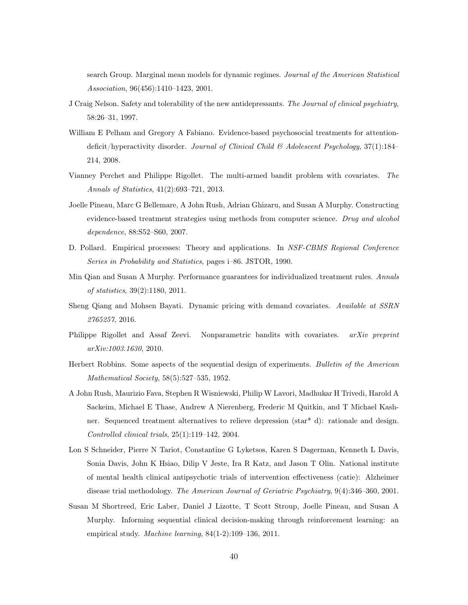search Group. Marginal mean models for dynamic regimes. Journal of the American Statistical Association, 96(456):1410–1423, 2001.

- <span id="page-39-11"></span>J Craig Nelson. Safety and tolerability of the new antidepressants. The Journal of clinical psychiatry, 58:26–31, 1997.
- <span id="page-39-0"></span>William E Pelham and Gregory A Fabiano. Evidence-based psychosocial treatments for attentiondeficit/hyperactivity disorder. Journal of Clinical Child & Adolescent Psychology, 37(1):184– 214, 2008.
- <span id="page-39-6"></span>Vianney Perchet and Philippe Rigollet. The multi-armed bandit problem with covariates. The Annals of Statistics, 41(2):693–721, 2013.
- <span id="page-39-10"></span>Joelle Pineau, Marc G Bellemare, A John Rush, Adrian Ghizaru, and Susan A Murphy. Constructing evidence-based treatment strategies using methods from computer science. Drug and alcohol dependence, 88:S52–S60, 2007.
- <span id="page-39-8"></span>D. Pollard. Empirical processes: Theory and applications. In NSF-CBMS Regional Conference Series in Probability and Statistics, pages i–86. JSTOR, 1990.
- <span id="page-39-3"></span>Min Qian and Susan A Murphy. Performance guarantees for individualized treatment rules. Annals of statistics, 39(2):1180, 2011.
- <span id="page-39-1"></span>Sheng Qiang and Mohsen Bayati. Dynamic pricing with demand covariates. Available at SSRN 2765257, 2016.
- <span id="page-39-7"></span>Philippe Rigollet and Assaf Zeevi. Nonparametric bandits with covariates. arXiv preprint arXiv:1003.1630, 2010.
- <span id="page-39-5"></span>Herbert Robbins. Some aspects of the sequential design of experiments. Bulletin of the American Mathematical Society, 58(5):527–535, 1952.
- <span id="page-39-9"></span>A John Rush, Maurizio Fava, Stephen R Wisniewski, Philip W Lavori, Madhukar H Trivedi, Harold A Sackeim, Michael E Thase, Andrew A Nierenberg, Frederic M Quitkin, and T Michael Kashner. Sequenced treatment alternatives to relieve depression (star\* d): rationale and design. Controlled clinical trials, 25(1):119–142, 2004.
- <span id="page-39-2"></span>Lon S Schneider, Pierre N Tariot, Constantine G Lyketsos, Karen S Dagerman, Kenneth L Davis, Sonia Davis, John K Hsiao, Dilip V Jeste, Ira R Katz, and Jason T Olin. National institute of mental health clinical antipsychotic trials of intervention effectiveness (catie): Alzheimer disease trial methodology. The American Journal of Geriatric Psychiatry, 9(4):346–360, 2001.
- <span id="page-39-4"></span>Susan M Shortreed, Eric Laber, Daniel J Lizotte, T Scott Stroup, Joelle Pineau, and Susan A Murphy. Informing sequential clinical decision-making through reinforcement learning: an empirical study. Machine learning, 84(1-2):109–136, 2011.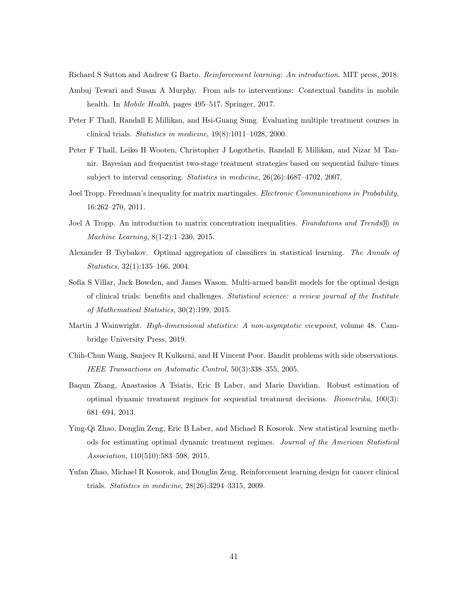<span id="page-40-9"></span><span id="page-40-0"></span>Richard S Sutton and Andrew G Barto. Reinforcement learning: An introduction. MIT press, 2018.

- Ambuj Tewari and Susan A Murphy. From ads to interventions: Contextual bandits in mobile health. In Mobile Health, pages 495–517. Springer, 2017.
- <span id="page-40-2"></span>Peter F Thall, Randall E Millikan, and Hsi-Guang Sung. Evaluating multiple treatment courses in clinical trials. Statistics in medicine, 19(8):1011–1028, 2000.
- <span id="page-40-3"></span>Peter F Thall, Leiko H Wooten, Christopher J Logothetis, Randall E Millikan, and Nizar M Tannir. Bayesian and frequentist two-stage treatment strategies based on sequential failure times subject to interval censoring. Statistics in medicine, 26(26):4687–4702, 2007.
- <span id="page-40-11"></span>Joel Tropp. Freedman's inequality for matrix martingales. Electronic Communications in Probability, 16:262–270, 2011.
- <span id="page-40-10"></span>Joel A Tropp. An introduction to matrix concentration inequalities. Foundations and Trends® in Machine Learning, 8(1-2):1–230, 2015.
- <span id="page-40-8"></span>Alexander B Tsybakov. Optimal aggregation of classifiers in statistical learning. The Annals of Statistics, 32(1):135–166, 2004.
- <span id="page-40-1"></span>Sofía S Villar, Jack Bowden, and James Wason. Multi-armed bandit models for the optimal design of clinical trials: benefits and challenges. Statistical science: a review journal of the Institute of Mathematical Statistics, 30(2):199, 2015.
- <span id="page-40-12"></span>Martin J Wainwright. *High-dimensional statistics: A non-asymptotic viewpoint*, volume 48. Cambridge University Press, 2019.
- <span id="page-40-7"></span>Chih-Chun Wang, Sanjeev R Kulkarni, and H Vincent Poor. Bandit problems with side observations. IEEE Transactions on Automatic Control, 50(3):338–355, 2005.
- <span id="page-40-4"></span>Baqun Zhang, Anastasios A Tsiatis, Eric B Laber, and Marie Davidian. Robust estimation of optimal dynamic treatment regimes for sequential treatment decisions. Biometrika, 100(3): 681–694, 2013.
- <span id="page-40-5"></span>Ying-Qi Zhao, Donglin Zeng, Eric B Laber, and Michael R Kosorok. New statistical learning methods for estimating optimal dynamic treatment regimes. Journal of the American Statistical Association, 110(510):583–598, 2015.
- <span id="page-40-6"></span>Yufan Zhao, Michael R Kosorok, and Donglin Zeng. Reinforcement learning design for cancer clinical trials. Statistics in medicine, 28(26):3294–3315, 2009.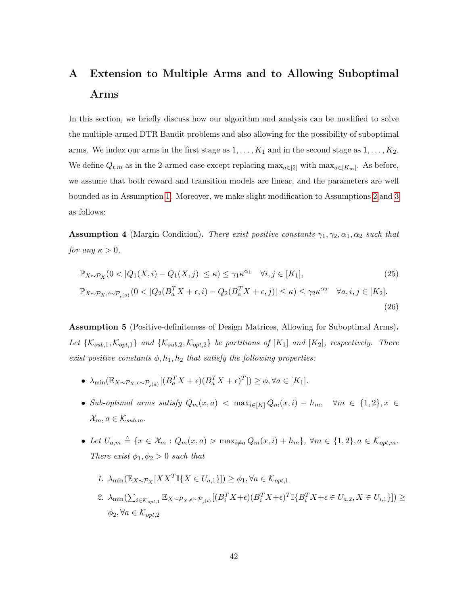# <span id="page-41-0"></span>A Extension to Multiple Arms and to Allowing Suboptimal Arms

In this section, we briefly discuss how our algorithm and analysis can be modified to solve the multiple-armed DTR Bandit problems and also allowing for the possibility of suboptimal arms. We index our arms in the first stage as  $1, \ldots, K_1$  and in the second stage as  $1, \ldots, K_2$ . We define  $Q_{t,m}$  as in the 2-armed case except replacing  $\max_{a \in [2]}$  with  $\max_{a \in [K_m]}$ . As before, we assume that both reward and transition models are linear, and the parameters are well bounded as in Assumption [1.](#page-10-1) Moreover, we make slight modification to Assumptions [2](#page-10-0) and [3](#page-11-0) as follows:

**Assumption 4** (Margin Condition). There exist positive constants  $\gamma_1, \gamma_2, \alpha_1, \alpha_2$  such that for any  $\kappa > 0$ ,

<span id="page-41-1"></span>
$$
\mathbb{P}_{X \sim \mathcal{P}_X}(0 < |Q_1(X, i) - Q_1(X, j)| \le \kappa) \le \gamma_1 \kappa^{\alpha_1} \quad \forall i, j \in [K_1], \tag{25}
$$
\n
$$
\mathbb{P}_{X \sim \mathcal{P}_X, \epsilon \sim \mathcal{P}_{\epsilon^{(a)}}}(0 < |Q_2(B_a^T X + \epsilon, i) - Q_2(B_a^T X + \epsilon, j)| \le \kappa) \le \gamma_2 \kappa^{\alpha_2} \quad \forall a, i, j \in [K_2]. \tag{26}
$$

<span id="page-41-2"></span>Assumption 5 (Positive-definiteness of Design Matrices, Allowing for Suboptimal Arms). Let  $\{K_{sub,1}, K_{opt,1}\}$  and  $\{K_{sub,2}, K_{opt,2}\}$  be partitions of  $[K_1]$  and  $[K_2]$ , respectively. There exist positive constants  $\phi$ ,  $h_1$ ,  $h_2$  that satisfy the following properties:

- $\lambda_{\min}(\mathbb{E}_{X \sim \mathcal{P}_X, \epsilon \sim \mathcal{P}_{\epsilon(a)}}[(B_a^T X + \epsilon)(B_a^T X + \epsilon)^T]) \ge \phi, \forall a \in [K_1].$
- Sub-optimal arms satisfy  $Q_m(x, a) < \max_{i \in [K]} Q_m(x, i) h_m$ ,  $\forall m \in \{1, 2\}, x \in$  $\mathcal{X}_m, a \in \mathcal{K}_{sub,m}$ .
- Let  $U_{a,m} \triangleq \{x \in \mathcal{X}_m : Q_m(x,a) > \max_{i \neq a} Q_m(x,i) + h_m\}, \forall m \in \{1,2\}, a \in \mathcal{K}_{opt,m}.$ There exist  $\phi_1, \phi_2 > 0$  such that
	- 1.  $\lambda_{\min}(\mathbb{E}_{X \sim \mathcal{P}_X}[XX^T \mathbb{I}\{X \in U_{a,1}\}]) \ge \phi_1, \forall a \in \mathcal{K}_{opt,1}$
	- 2.  $\lambda_{\min}(\sum_{i \in \mathcal{K}_{opt,1}} \mathbb{E}_{X \sim \mathcal{P}_X, \epsilon \sim \mathcal{P}_{\epsilon}(i)}[(B_i^T X + \epsilon)(B_i^T X + \epsilon)^T \mathbb{I}\{B_i^T X + \epsilon \in U_{a,2}, X \in U_{i,1}\}]) \geq$  $\phi_2, \forall a \in \mathcal{K}_{opt,2}$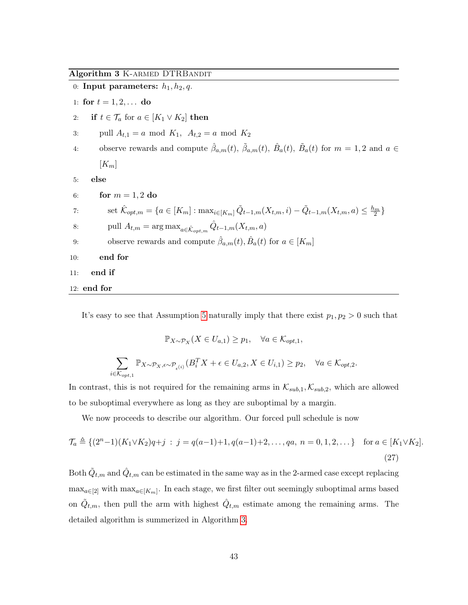<span id="page-42-0"></span>Algorithm 3 K-ARMED DTRBANDIT

|     | 0: Input parameters: $h_1, h_2, q$ .                                                                                                               |
|-----|----------------------------------------------------------------------------------------------------------------------------------------------------|
|     | 1: for $t = 1, 2, $ do                                                                                                                             |
| 2:  | if $t \in \mathcal{T}_a$ for $a \in [K_1 \vee K_2]$ then                                                                                           |
| 3:  | pull $A_{t,1} = a \mod K_1$ , $A_{t,2} = a \mod K_2$                                                                                               |
| 4:  | observe rewards and compute $\hat{\beta}_{a,m}(t)$ , $\tilde{\beta}_{a,m}(t)$ , $\hat{B}_{a}(t)$ , $\tilde{B}_{a}(t)$ for $m = 1, 2$ and $a \in$   |
|     | $[K_m]$                                                                                                                                            |
| 5:  | else                                                                                                                                               |
| 6:  | for $m = 1, 2$ do                                                                                                                                  |
| 7:  | set $\mathcal{K}_{opt,m} = \{a \in [K_m] : \max_{i \in [K_m]} \tilde{Q}_{t-1,m}(X_{t,m}, i) - \tilde{Q}_{t-1,m}(X_{t,m}, a) \leq \frac{h_m}{2}\}\$ |
| 8:  | pull $A_{t,m} = \arg \max_{a \in \hat{\mathcal{K}}_{\text{out } m}} \hat{Q}_{t-1,m}(X_{t,m},a)$                                                    |
| 9:  | observe rewards and compute $\hat{\beta}_{a,m}(t), \hat{B}_{a}(t)$ for $a \in [K_m]$                                                               |
| 10: | end for                                                                                                                                            |
| 11: | end if                                                                                                                                             |
|     | $12:$ end for                                                                                                                                      |

It's easy to see that Assumption [5](#page-41-2) naturally imply that there exist  $p_1, p_2 > 0$  such that

$$
\mathbb{P}_{X \sim \mathcal{P}_X}(X \in U_{a,1}) \ge p_1, \quad \forall a \in \mathcal{K}_{opt,1},
$$
  

$$
\sum_{i \in \mathcal{K}_{opt,1}} \mathbb{P}_{X \sim \mathcal{P}_X, \epsilon \sim \mathcal{P}_{\epsilon(i)}}(B_i^T X + \epsilon \in U_{a,2}, X \in U_{i,1}) \ge p_2, \quad \forall a \in \mathcal{K}_{opt,2}.
$$

In contrast, this is not required for the remaining arms in  $\mathcal{K}_{sub,1}, \mathcal{K}_{sub,2}$ , which are allowed to be suboptimal everywhere as long as they are suboptimal by a margin.

We now proceeds to describe our algorithm. Our forced pull schedule is now

$$
\mathcal{T}_a \triangleq \{ (2^n - 1)(K_1 \vee K_2)q + j \; : \; j = q(a - 1) + 1, q(a - 1) + 2, \dots, qa, \; n = 0, 1, 2, \dots \} \quad \text{for } a \in [K_1 \vee K_2].
$$
\n
$$
(27)
$$

Both  $\tilde{Q}_{t,m}$  and  $\hat{Q}_{t,m}$  can be estimated in the same way as in the 2-armed case except replacing  $\max_{a \in [2]}$  with  $\max_{a \in [K_m]}$ . In each stage, we first filter out seemingly suboptimal arms based on  $\tilde{Q}_{t,m}$ , then pull the arm with highest  $\hat{Q}_{t,m}$  estimate among the remaining arms. The detailed algorithm is summerized in Algorithm [3.](#page-42-0)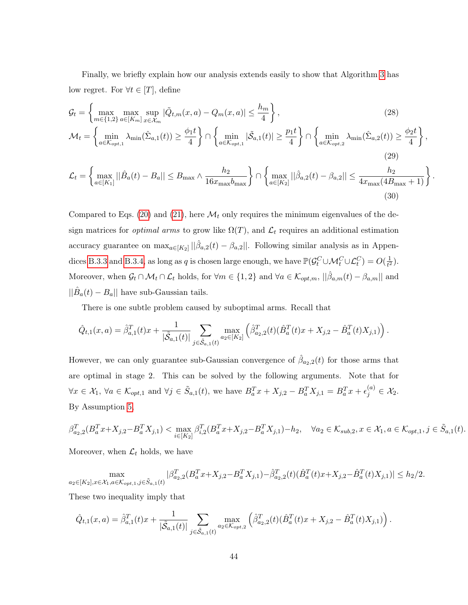Finally, we briefly explain how our analysis extends easily to show that Algorithm [3](#page-42-0) has low regret. For  $\forall t \in [T]$ , define

$$
\mathcal{G}_t = \left\{ \max_{m \in \{1,2\}} \max_{a \in [K_m]} \sup_{x \in \mathcal{X}_m} |\tilde{Q}_{t,m}(x, a) - Q_m(x, a)| \le \frac{h_m}{4} \right\},\tag{28}
$$

$$
\mathcal{M}_t = \left\{ \min_{a \in \mathcal{K}_{opt,1}} \lambda_{\min}(\hat{\Sigma}_{a,1}(t)) \ge \frac{\phi_1 t}{4} \right\} \cap \left\{ \min_{a \in \mathcal{K}_{opt,1}} |\tilde{\mathcal{S}}_{a,1}(t)| \ge \frac{p_1 t}{4} \right\} \cap \left\{ \min_{a \in \mathcal{K}_{opt,2}} \lambda_{\min}(\hat{\Sigma}_{a,2}(t)) \ge \frac{\phi_2 t}{4} \right\},\tag{29}
$$

$$
\mathcal{L}_{t} = \left\{ \max_{a \in [K_{1}]} ||\hat{B}_{a}(t) - B_{a}|| \leq B_{\max} \wedge \frac{h_{2}}{16x_{\max}b_{\max}} \right\} \cap \left\{ \max_{a \in [K_{2}]} ||\hat{\beta}_{a,2}(t) - \beta_{a,2}|| \leq \frac{h_{2}}{4x_{\max}(4B_{\max} + 1)} \right\}.
$$
\n(30)

Compared to Eqs. [\(20\)](#page-24-0) and [\(21\)](#page-24-1), here  $\mathcal{M}_t$  only requires the minimum eigenvalues of the design matrices for *optimal arms* to grow like  $\Omega(T)$ , and  $\mathcal{L}_t$  requires an additional estimation accuracy guarantee on  $\max_{a \in [K_2]} ||\hat{\beta}_{a,2}(t) - \beta_{a,2}||$ . Following similar analysis as in Appen-dices [B.3.3](#page-49-1) and [B.3.4,](#page-53-1) as long as q is chosen large enough, we have  $\mathbb{P}(\mathcal{G}_t^C \cup \mathcal{M}_t^C \cup \mathcal{L}_t^C) = O(\frac{1}{t^2})$  $\frac{1}{t^2}$ . Moreover, when  $\mathcal{G}_t \cap \mathcal{M}_t \cap \mathcal{L}_t$  holds, for  $\forall m \in \{1, 2\}$  and  $\forall a \in \mathcal{K}_{opt,m}$ ,  $||\hat{\beta}_{a,m}(t) - \beta_{a,m}||$  and  $||\hat{B}_a(t) - B_a||$  have sub-Gaussian tails.

There is one subtle problem caused by suboptimal arms. Recall that

$$
\hat{Q}_{t,1}(x,a) = \hat{\beta}_{a,1}^T(t)x + \frac{1}{|\tilde{\mathcal{S}}_{a,1}(t)|} \sum_{j \in \tilde{\mathcal{S}}_{a,1}(t)} \max_{a_2 \in [K_2]} \left( \hat{\beta}_{a_2,2}^T(t)(\hat{B}_a^T(t)x + X_{j,2} - \hat{B}_a^T(t)X_{j,1}) \right).
$$

However, we can only guarantee sub-Gaussian convergence of  $\hat{\beta}_{a_2,2}(t)$  for those arms that are optimal in stage 2. This can be solved by the following arguments. Note that for  $\forall x \in \mathcal{X}_1, \ \forall a \in \mathcal{K}_{opt,1} \text{ and } \forall j \in \tilde{S}_{a,1}(t), \text{ we have } B_a^T x + X_{j,2} - B_a^T X_{j,1} = B_a^T x + \epsilon_j^{(a)} \in \mathcal{X}_2.$ By Assumption [5,](#page-41-2)

$$
\beta_{a_2,2}^T (B_a^T x + X_{j,2} - B_a^T X_{j,1}) < \max_{i \in [K_2]} \beta_{i,2}^T (B_a^T x + X_{j,2} - B_a^T X_{j,1}) - h_2, \quad \forall a_2 \in \mathcal{K}_{sub,2}, x \in \mathcal{X}_1, a \in \mathcal{K}_{opt,1}, j \in \tilde{S}_{a,1}(t).
$$

Moreover, when  $\mathcal{L}_t$  holds, we have

$$
\max_{a_2 \in [K_2], x \in \mathcal{X}_1, a \in \mathcal{K}_{opt,1}, j \in \tilde{S}_{a,1}(t)} |\beta_{a_2,2}^T (B_a^T x + X_{j,2} - B_a^T X_{j,1}) - \hat{\beta}_{a_2,2}^T(t)(\hat{B}_a^T (t)x + X_{j,2} - \hat{B}_a^T(t)X_{j,1})| \le h_2/2.
$$

These two inequality imply that

$$
\hat{Q}_{t,1}(x,a) = \hat{\beta}_{a,1}^T(t)x + \frac{1}{|\tilde{\mathcal{S}}_{a,1}(t)|} \sum_{j \in \tilde{\mathcal{S}}_{a,1}(t)} \max_{a_2 \in \mathcal{K}_{opt,2}} \left( \hat{\beta}_{a_2,2}^T(t)(\hat{B}_a^T(t)x + X_{j,2} - \hat{B}_a^T(t)X_{j,1}) \right).
$$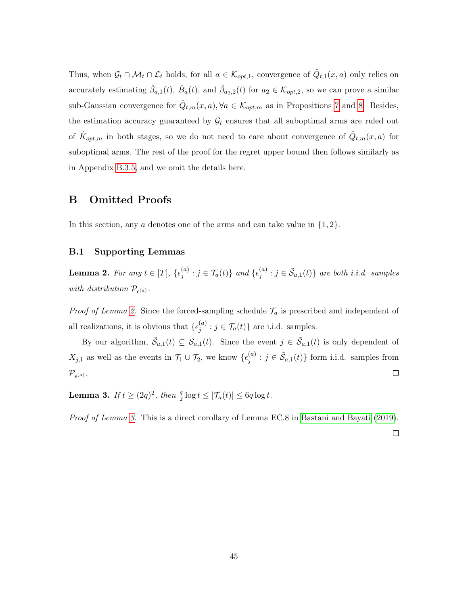Thus, when  $\mathcal{G}_t \cap \mathcal{M}_t \cap \mathcal{L}_t$  holds, for all  $a \in \mathcal{K}_{opt,1}$ , convergence of  $\hat{Q}_{t,1}(x,a)$  only relies on accurately estimating  $\hat{\beta}_{a,1}(t)$ ,  $\hat{B}_a(t)$ , and  $\hat{\beta}_{a_2,2}(t)$  for  $a_2 \in \mathcal{K}_{opt,2}$ , so we can prove a similar sub-Gaussian convergence for  $\hat{Q}_{t,m}(x,a), \forall a \in \mathcal{K}_{opt,m}$  as in Propositions [7](#page-25-0) and [8.](#page-25-1) Besides, the estimation accuracy guaranteed by  $\mathcal{G}_t$  ensures that all suboptimal arms are ruled out of  $\hat{K}_{opt,m}$  in both stages, so we do not need to care about convergence of  $\hat{Q}_{t,m}(x, a)$  for suboptimal arms. The rest of the proof for the regret upper bound then follows similarly as in Appendix [B.3.5,](#page-58-0) and we omit the details here.

## B Omitted Proofs

In this section, any  $\alpha$  denotes one of the arms and can take value in  $\{1, 2\}$ .

## B.1 Supporting Lemmas

<span id="page-44-1"></span>**Lemma 2.** For any  $t \in [T]$ ,  $\{\epsilon_i^{(a)}\}$  $j^{(a)}$  :  $j \in \mathcal{T}_a(t)$ } and  $\{\epsilon_j^{(a)}\}$  $j^{(a)}$  :  $j \in \tilde{\mathcal{S}}_{a,1}(t)$ } are both i.i.d. samples with distribution  $\mathcal{P}_{\epsilon^{(a)}}$ .

*Proof of Lemma [2.](#page-44-1)* Since the forced-sampling schedule  $\mathcal{T}_a$  is prescribed and independent of all realizations, it is obvious that  $\{\epsilon_i^{(a)}\}$  $j^{(a)}$ :  $j \in \mathcal{T}_a(t)$  are i.i.d. samples.

By our algorithm,  $\tilde{S}_{a,1}(t) \subseteq S_{a,1}(t)$ . Since the event  $j \in \tilde{S}_{a,1}(t)$  is only dependent of  $X_{j,1}$  as well as the events in  $\mathcal{T}_1 \cup \mathcal{T}_2$ , we know  $\{\epsilon_j^{(a)}\}$  $j^{(a)}$  :  $j \in \tilde{\mathcal{S}}_{a,1}(t)$  form i.i.d. samples from  $\Box$  $\mathcal{P}_{\epsilon^{(a)}}$ .

<span id="page-44-0"></span>**Lemma 3.** If  $t \geq (2q)^2$ , then  $\frac{q}{2} \log t \leq |\mathcal{T}_a(t)| \leq 6q \log t$ .

Proof of Lemma [3.](#page-44-0) This is a direct corollary of Lemma EC.8 in [Bastani and Bayati](#page-36-8) [\(2019\)](#page-36-8).

 $\Box$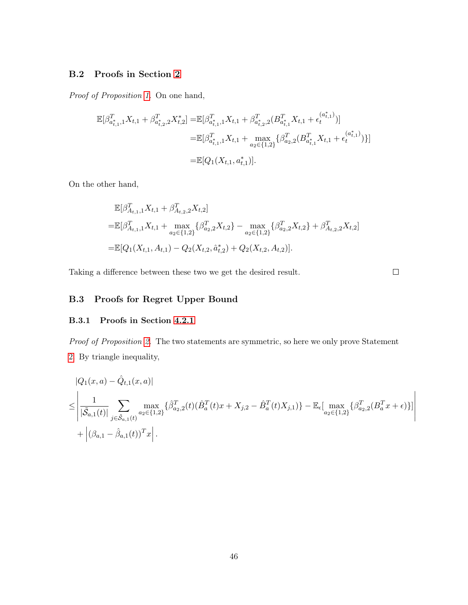## B.2 Proofs in Section [2](#page-6-0)

Proof of Proposition [1.](#page-9-0) On one hand,

$$
\begin{aligned} \mathbb{E}[\beta_{a_{t,1}^*,1}^T X_{t,1}+\beta_{a_{t,2}^*,2}^T X_{t,2}^*] = & \mathbb{E}[\beta_{a_{t,1}^*,1}^T X_{t,1}+\beta_{a_{t,2}^*,2}^T (B_{a_{t,1}^*}^T X_{t,1}+\epsilon_{t}^{(a_{t,1}^*)})] \\ = & \mathbb{E}[\beta_{a_{t,1}^*,1}^T X_{t,1} + \max_{a_2 \in \{1,2\}} \{\beta_{a_2,2}^T (B_{a_{t,1}^*}^T X_{t,1}+\epsilon_{t}^{(a_{t,1}^*)})\}] \\ = & \mathbb{E}[Q_1(X_{t,1},a_{t,1}^*)]. \end{aligned}
$$

On the other hand,

$$
\mathbb{E}[\beta_{A_{t,1},1}^T X_{t,1} + \beta_{A_{t,2},2}^T X_{t,2}]
$$
\n
$$
= \mathbb{E}[\beta_{A_{t,1},1}^T X_{t,1} + \max_{a_2 \in \{1,2\}} \{\beta_{a_2,2}^T X_{t,2}\} - \max_{a_2 \in \{1,2\}} \{\beta_{a_2,2}^T X_{t,2}\} + \beta_{A_{t,2},2}^T X_{t,2}]
$$
\n
$$
= \mathbb{E}[Q_1(X_{t,1}, A_{t,1}) - Q_2(X_{t,2}, \hat{a}_{t,2}^*) + Q_2(X_{t,2}, A_{t,2})].
$$

Taking a difference between these two we get the desired result.

 $\Box$ 

# B.3 Proofs for Regret Upper Bound

## B.3.1 Proofs in Section [4.2.1](#page-21-0)

Proof of Proposition [2.](#page-21-1) The two statements are symmetric, so here we only prove Statement [2.](#page-21-2) By triangle inequality,

$$
|Q_{1}(x, a) - \hat{Q}_{t,1}(x, a)|
$$
  
\n
$$
\leq \left| \frac{1}{|\tilde{\mathcal{S}}_{a,1}(t)|} \sum_{j \in \tilde{\mathcal{S}}_{a,1}(t)} \max_{a_{2} \in \{1, 2\}} \{ \hat{\beta}_{a_{2},2}^{T}(t) (\hat{B}_{a}^{T}(t)x + X_{j,2} - \hat{B}_{a}^{T}(t)X_{j,1}) \} - \mathbb{E}_{\epsilon}[\max_{a_{2} \in \{1, 2\}} \{ \beta_{a_{2},2}^{T}(B_{a}^{T}x + \epsilon) \} ] \right|
$$
  
\n
$$
+ |(\beta_{a,1} - \hat{\beta}_{a,1}(t))^{T} x |.
$$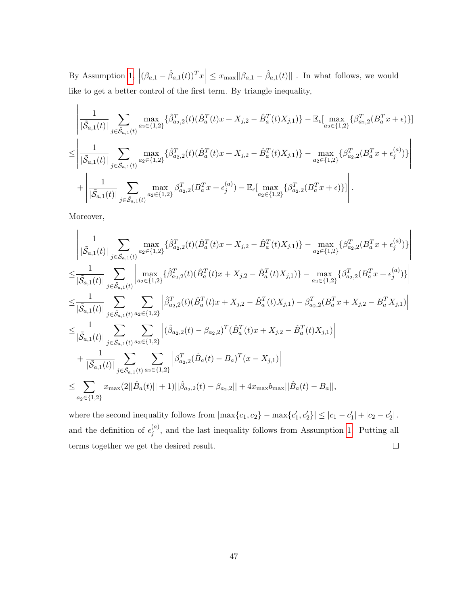By Assumption [1,](#page-10-1)  $|(\beta_{a,1} - \hat{\beta}_{a,1}(t))^T x| \leq x_{\text{max}} ||\beta_{a,1} - \hat{\beta}_{a,1}(t)||$ . In what follows, we would like to get a better control of the first term. By triangle inequality,

$$
\begin{split} &\left|\frac{1}{|\tilde{\mathcal{S}}_{a,1}(t)|}\sum_{j\in\tilde{\mathcal{S}}_{a,1}(t)}\max_{a_2\in\{1,2\}}\{\hat{\beta}^T_{a_2,2}(t)(\hat{B}^T_a(t)x+X_{j,2}-\hat{B}^T_a(t)X_{j,1})\}-\mathbb{E}_{\epsilon}[\max_{a_2\in\{1,2\}}\{\beta^T_{a_2,2}(B^T_a x+\epsilon)\}] \right| \\ &\leq \left|\frac{1}{|\tilde{\mathcal{S}}_{a,1}(t)|}\sum_{j\in\tilde{\mathcal{S}}_{a,1}(t)}\max_{a_2\in\{1,2\}}\{\hat{\beta}^T_{a_2,2}(t)(\hat{B}^T_a(t)x+X_{j,2}-\hat{B}^T_a(t)X_{j,1})\}-\max_{a_2\in\{1,2\}}\{\beta^T_{a_2,2}(B^T_a x+\epsilon_j^{(a)})\}\right| \\ &+\left|\frac{1}{|\tilde{\mathcal{S}}_{a,1}(t)|}\sum_{j\in\tilde{\mathcal{S}}_{a,1}(t)}\max_{a_2\in\{1,2\}}\beta^T_{a_2,2}(B^T_a x+\epsilon_j^{(a)})-\mathbb{E}_{\epsilon}[\max_{a_2\in\{1,2\}}\{\beta^T_{a_2,2}(B^T_a x+\epsilon)\}] \right|. \end{split}
$$

 $\overline{\phantom{a}}$  $\overline{\phantom{a}}$ I I  $\overline{\phantom{a}}$  $\overline{\phantom{a}}$ 

Moreover,

$$
\begin{split} &\left|\frac{1}{|\tilde{\mathcal{S}}_{a,1}(t)|}\sum_{j\in \tilde{\mathcal{S}}_{a,1}(t)}\max_{a_2\in\{1,2\}}\{\hat{\beta}^T_{a_2,2}(t)(\hat{B}^T_a(t)x+X_{j,2}-\hat{B}^T_a(t)X_{j,1})\}-\max_{a_2\in\{1,2\}}\{\beta^T_{a_2,2}(B^T_a x+\epsilon_j^{(a)})\}\right|\\ &\leq \frac{1}{|\tilde{\mathcal{S}}_{a,1}(t)|}\sum_{j\in \tilde{\mathcal{S}}_{a,1}(t)}\left|\max_{a_2\in\{1,2\}}\{\hat{\beta}^T_{a_2,2}(t)(\hat{B}^T_a(t)x+X_{j,2}-\hat{B}^T_a(t)X_{j,1})\}-\max_{a_2\in\{1,2\}}\{\beta^T_{a_2,2}(B^T_a x+\epsilon_j^{(a)})\}\right|\\ &\leq \frac{1}{|\tilde{\mathcal{S}}_{a,1}(t)|}\sum_{j\in \tilde{\mathcal{S}}_{a,1}(t)}\sum_{a_2\in\{1,2\}}\left|\hat{\beta}^T_{a_2,2}(t)(\hat{B}^T_a(t)x+X_{j,2}-\hat{B}^T_a(t)X_{j,1})-\beta^T_{a_2,2}(B^T_a x+X_{j,2}-B^T_a X_{j,1})\right|\\ &\leq \frac{1}{|\tilde{\mathcal{S}}_{a,1}(t)|}\sum_{j\in \tilde{\mathcal{S}}_{a,1}(t)}\sum_{a_2\in\{1,2\}}\left|(\hat{\beta}_{a_2,2}(t)-\beta_{a_2,2})^T(\hat{B}^T_a(t)x+X_{j,2}-\hat{B}^T_a(t)X_{j,1})\right|\\ &+\frac{1}{|\tilde{\mathcal{S}}_{a,1}(t)|}\sum_{j\in \tilde{\mathcal{S}}_{a,1}(t)}\sum_{a_2\in\{1,2\}}\left|\beta^T_{a_2,2}(\hat{B}_a(t)-B_a)^T(x-X_{j,1})\right|\\ &\leq \sum_{a_2\in\{1,2\}}x_{\max}(2||\hat{B}_a(t)||+1)||\hat{\beta}_{a_2,2}(t)-\beta_{a_2,2}||+4x_{\max}
$$

where the second inequality follows from  $|\max\{c_1, c_2\} - \max\{c'_1, c'_2\}| \leq |c_1 - c'_1| + |c_2 - c'_2|$ . and the definition of  $\epsilon_i^{(a)}$  $j^{(a)}$ , and the last inequality follows from Assumption [1.](#page-10-1) Putting all terms together we get the desired result.  $\Box$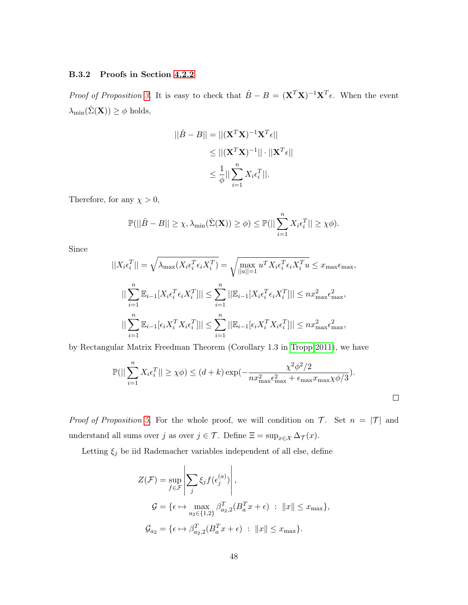#### B.3.2 Proofs in Section [4.2.2](#page-22-2)

*Proof of Proposition [3.](#page-22-0)* It is easy to check that  $\hat{B} - B = (\mathbf{X}^T \mathbf{X})^{-1} \mathbf{X}^T \epsilon$ . When the event  $\lambda_{\min}(\hat{\Sigma}(\mathbf{X})) \geq \phi$  holds,

$$
||\hat{B} - B|| = ||(\mathbf{X}^T \mathbf{X})^{-1} \mathbf{X}^T \boldsymbol{\epsilon}||
$$
  
\n
$$
\leq ||(\mathbf{X}^T \mathbf{X})^{-1}|| \cdot ||\mathbf{X}^T \boldsymbol{\epsilon}||
$$
  
\n
$$
\leq \frac{1}{\phi} || \sum_{i=1}^n X_i \boldsymbol{\epsilon}_i^T ||.
$$

Therefore, for any  $\chi > 0$ ,

$$
\mathbb{P}(||\hat{B} - B|| \geq \chi, \lambda_{\min}(\hat{\Sigma}(\mathbf{X})) \geq \phi) \leq \mathbb{P}(||\sum_{i=1}^{n} X_i \epsilon_i^T|| \geq \chi \phi).
$$

Since

$$
||X_i \epsilon_i^T|| = \sqrt{\lambda_{\max}(X_i \epsilon_i^T \epsilon_i X_i^T)} = \sqrt{\max_{||u||=1} u^T X_i \epsilon_i^T \epsilon_i X_i^T u} \leq x_{\max} \epsilon_{\max},
$$
  

$$
||\sum_{i=1}^n \mathbb{E}_{i-1}[X_i \epsilon_i^T \epsilon_i X_i^T]|| \leq \sum_{i=1}^n ||\mathbb{E}_{i-1}[X_i \epsilon_i^T \epsilon_i X_i^T]|| \leq n x_{\max}^2 \epsilon_{\max}^2,
$$
  

$$
||\sum_{i=1}^n \mathbb{E}_{i-1}[\epsilon_i X_i^T X_i \epsilon_i^T]|| \leq \sum_{i=1}^n ||\mathbb{E}_{i-1}[\epsilon_i X_i^T X_i \epsilon_i^T]|| \leq n x_{\max}^2 \epsilon_{\max}^2,
$$

by Rectangular Matrix Freedman Theorem (Corollary 1.3 in [Tropp 2011\)](#page-40-11), we have

$$
\mathbb{P}(||\sum_{i=1}^{n} X_i \epsilon_i^T|| \ge \chi \phi) \le (d+k) \exp(-\frac{\chi^2 \phi^2/2}{nx_{\text{max}}^2 \epsilon_{\text{max}}^2 + \epsilon_{\text{max}} x_{\text{max}} \chi \phi/3}).
$$

 $\Box$ 

*Proof of Proposition [5.](#page-23-1)* For the whole proof, we will condition on  $\mathcal{T}$ . Set  $n = |\mathcal{T}|$  and understand all sums over  $j$  as over  $j \in \mathcal{T}$ . Define  $\Xi = \sup_{x \in \mathcal{X}} \Delta_{\mathcal{T}}(x)$ .

Letting  $\xi_j$  be iid Rademacher variables independent of all else, define

$$
Z(\mathcal{F}) = \sup_{f \in \mathcal{F}} \left| \sum_{j} \xi_j f(\epsilon_j^{(a)}) \right|,
$$
  

$$
\mathcal{G} = \{ \epsilon \mapsto \max_{a_2 \in \{1, 2\}} \beta_{a_2, 2}^T (B_a^T x + \epsilon) : ||x|| \le x_{\text{max}} \},
$$
  

$$
\mathcal{G}_{a_2} = \{ \epsilon \mapsto \beta_{a_2, 2}^T (B_a^T x + \epsilon) : ||x|| \le x_{\text{max}} \}.
$$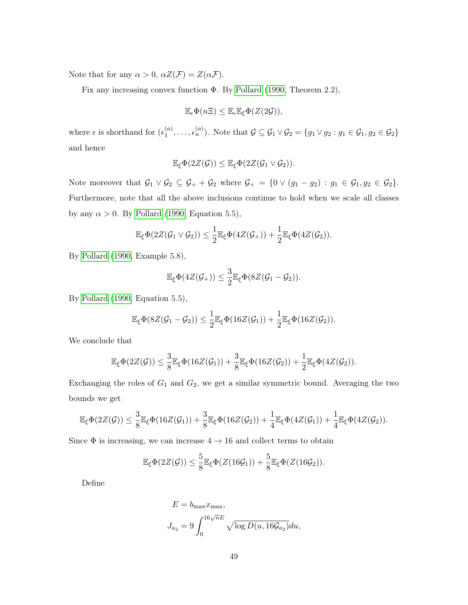Note that for any  $\alpha > 0$ ,  $\alpha Z(\mathcal{F}) = Z(\alpha \mathcal{F})$ .

Fix any increasing convex function Φ. By [Pollard](#page-39-8) [\(1990,](#page-39-8) Theorem 2.2),

$$
\mathbb{E}_{\epsilon} \Phi(n\Xi) \leq \mathbb{E}_{\epsilon} \mathbb{E}_{\xi} \Phi(Z(2\mathcal{G})),
$$

where  $\epsilon$  is shorthand for  $(\epsilon_1^{(a)})$  $\mathcal{A}_1^{(a)}, \ldots, \mathcal{A}_n^{(a)}$ ). Note that  $\mathcal{G} \subseteq \mathcal{G}_1 \vee \mathcal{G}_2 = \{g_1 \vee g_2 : g_1 \in \mathcal{G}_1, g_2 \in \mathcal{G}_2\}$ and hence

$$
\mathbb{E}_{\xi} \Phi(2Z(\mathcal{G})) \leq \mathbb{E}_{\xi} \Phi(2Z(\mathcal{G}_1 \vee \mathcal{G}_2)).
$$

Note moreover that  $\mathcal{G}_1 \vee \mathcal{G}_2 \subseteq \mathcal{G}_+ + \mathcal{G}_2$  where  $\mathcal{G}_+ = \{0 \vee (g_1 - g_2) : g_1 \in \mathcal{G}_1, g_2 \in \mathcal{G}_2\}.$ Furthermore, note that all the above inclusions continue to hold when we scale all classes by any  $\alpha > 0$ . By [Pollard](#page-39-8) [\(1990,](#page-39-8) Equation 5.5),

$$
\mathbb{E}_{\xi} \Phi(2Z(\mathcal{G}_1 \vee \mathcal{G}_2)) \leq \frac{1}{2} \mathbb{E}_{\xi} \Phi(4Z(\mathcal{G}_+)) + \frac{1}{2} \mathbb{E}_{\xi} \Phi(4Z(\mathcal{G}_2)).
$$

By [Pollard](#page-39-8) [\(1990,](#page-39-8) Example 5.8),

$$
\mathbb{E}_{\xi}\Phi(4Z(\mathcal{G}_{+}))\leq \frac{3}{2}\mathbb{E}_{\xi}\Phi(8Z(\mathcal{G}_{1}-\mathcal{G}_{2})).
$$

By [Pollard](#page-39-8) [\(1990,](#page-39-8) Equation 5.5),

$$
\mathbb{E}_{\xi}\Phi(8Z(\mathcal{G}_1-\mathcal{G}_2))\leq \frac{1}{2}\mathbb{E}_{\xi}\Phi(16Z(\mathcal{G}_1))+\frac{1}{2}\mathbb{E}_{\xi}\Phi(16Z(\mathcal{G}_2)).
$$

We conclude that

$$
\mathbb{E}_{\xi}\Phi(2Z(\mathcal{G}))\leq \frac{3}{8}\mathbb{E}_{\xi}\Phi(16Z(\mathcal{G}_1))+\frac{3}{8}\mathbb{E}_{\xi}\Phi(16Z(\mathcal{G}_2))+\frac{1}{2}\mathbb{E}_{\xi}\Phi(4Z(\mathcal{G}_2)).
$$

Exchanging the roles of  $G_1$  and  $G_2$ , we get a similar symmetric bound. Averaging the two bounds we get

$$
\mathbb{E}_{\xi}\Phi(2Z(\mathcal{G})) \leq \frac{3}{8}\mathbb{E}_{\xi}\Phi(16Z(\mathcal{G}_1)) + \frac{3}{8}\mathbb{E}_{\xi}\Phi(16Z(\mathcal{G}_2)) + \frac{1}{4}\mathbb{E}_{\xi}\Phi(4Z(\mathcal{G}_1)) + \frac{1}{4}\mathbb{E}_{\xi}\Phi(4Z(\mathcal{G}_2)).
$$

Since  $\Phi$  is increasing, we can increase  $4 \rightarrow 16$  and collect terms to obtain

$$
\mathbb{E}_{\xi} \Phi(2Z(\mathcal{G})) \leq \frac{5}{8} \mathbb{E}_{\xi} \Phi(Z(16\mathcal{G}_1)) + \frac{5}{8} \mathbb{E}_{\xi} \Phi(Z(16\mathcal{G}_2)).
$$

Define

$$
E = b_{\text{max}} x_{\text{max}},
$$
  

$$
J_{a_2} = 9 \int_0^{16\sqrt{n}E} \sqrt{\log D(u, 16\mathcal{G}_{a_2})} du,
$$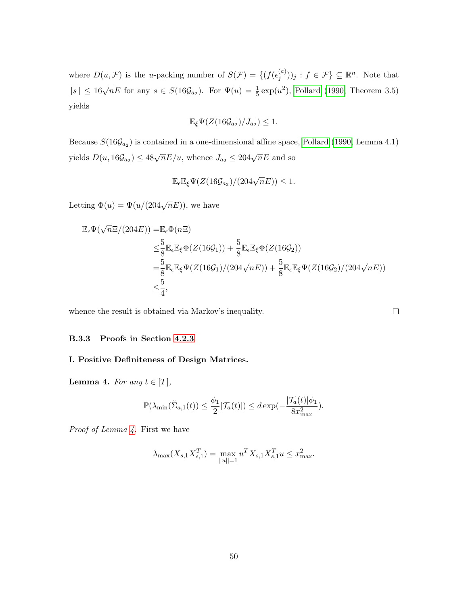where  $D(u, \mathcal{F})$  is the u-packing number of  $S(\mathcal{F}) = \{ (f(\epsilon_i^{(a)}))$  $\binom{(a)}{j}$  ;  $f \in \mathcal{F}$   $\subseteq \mathbb{R}^n$ . Note that  $||s||$  ≤ 16 $\sqrt{n}E$  for any  $s \in S(16\mathcal{G}_{a_2})$ . For  $\Psi(u) = \frac{1}{5} \exp(u^2)$ , [Pollard](#page-39-8) [\(1990,](#page-39-8) Theorem 3.5) yields

$$
\mathbb{E}_{\xi}\Psi(Z(16\mathcal{G}_{a_2})/J_{a_2})\leq 1.
$$

Because  $S(16\mathcal{G}_{a_2})$  is contained in a one-dimensional affine space, [Pollard](#page-39-8) [\(1990,](#page-39-8) Lemma 4.1) yields  $D(u, 16\mathcal{G}_{a_2}) \leq 48\sqrt{n}E/u$ , whence  $J_{a_2} \leq 204\sqrt{n}E$  and so

$$
\mathbb{E}_{\epsilon} \mathbb{E}_{\xi} \Psi(Z(16\mathcal{G}_{a_2})/(204\sqrt{n}E)) \leq 1.
$$

Letting  $\Phi(u) = \Psi(u/(204\sqrt{n}E))$ , we have

$$
\mathbb{E}_{\epsilon} \Psi(\sqrt{n}\Xi/(204E)) = \mathbb{E}_{\epsilon} \Phi(n\Xi)
$$
\n
$$
\leq \frac{5}{8} \mathbb{E}_{\epsilon} \mathbb{E}_{\xi} \Phi(Z(16\mathcal{G}_{1})) + \frac{5}{8} \mathbb{E}_{\epsilon} \mathbb{E}_{\xi} \Phi(Z(16\mathcal{G}_{2}))
$$
\n
$$
= \frac{5}{8} \mathbb{E}_{\epsilon} \mathbb{E}_{\xi} \Psi(Z(16\mathcal{G}_{1})/(204\sqrt{n}E)) + \frac{5}{8} \mathbb{E}_{\epsilon} \mathbb{E}_{\xi} \Psi(Z(16\mathcal{G}_{2})/(204\sqrt{n}E))
$$
\n
$$
\leq \frac{5}{4},
$$

whence the result is obtained via Markov's inequality.

#### <span id="page-49-1"></span>B.3.3 Proofs in Section [4.2.3](#page-23-2)

#### <span id="page-49-0"></span>I. Positive Definiteness of Design Matrices.

**Lemma 4.** For any  $t \in [T]$ ,

$$
\mathbb{P}(\lambda_{\min}(\tilde{\Sigma}_{a,1}(t)) \leq \frac{\phi_1}{2}|\mathcal{T}_a(t)|) \leq d \exp(-\frac{|\mathcal{T}_a(t)|\phi_1}{8x_{\max}^2}).
$$

Proof of Lemma [4.](#page-49-0) First we have

$$
\lambda_{\max}(X_{s,1}X_{s,1}^T) = \max_{||u||=1} u^T X_{s,1} X_{s,1}^T u \leq x_{\max}^2.
$$

 $\Box$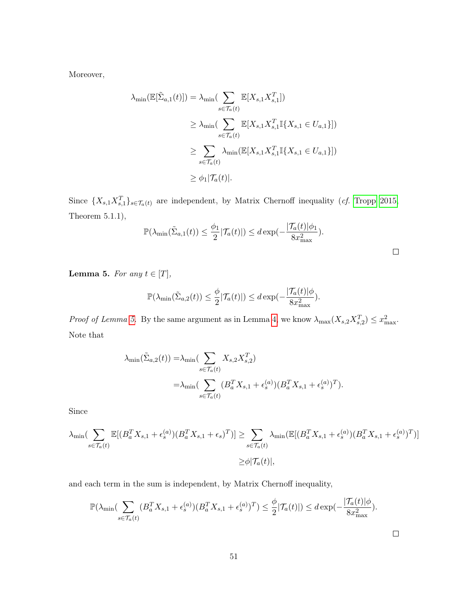Moreover,

$$
\lambda_{\min}(\mathbb{E}[\tilde{\Sigma}_{a,1}(t)]) = \lambda_{\min}(\sum_{s \in \mathcal{T}_a(t)} \mathbb{E}[X_{s,1} X_{s,1}^T])
$$
\n
$$
\geq \lambda_{\min}(\sum_{s \in \mathcal{T}_a(t)} \mathbb{E}[X_{s,1} X_{s,1}^T \mathbb{I}\{X_{s,1} \in U_{a,1}\}])
$$
\n
$$
\geq \sum_{s \in \mathcal{T}_a(t)} \lambda_{\min}(\mathbb{E}[X_{s,1} X_{s,1}^T \mathbb{I}\{X_{s,1} \in U_{a,1}\}])
$$
\n
$$
\geq \phi_1|\mathcal{T}_a(t)|.
$$

Since  $\{X_{s,1}X_{s,1}^T\}_{s\in\mathcal{T}_a(t)}$  are independent, by Matrix Chernoff inequality (*cf.* [Tropp 2015,](#page-40-10) Theorem 5.1.1),

$$
\mathbb{P}(\lambda_{\min}(\tilde{\Sigma}_{a,1}(t)) \leq \frac{\phi_1}{2}|\mathcal{T}_a(t)|) \leq d \exp(-\frac{|\mathcal{T}_a(t)|\phi_1}{8x_{\max}^2}).
$$

<span id="page-50-0"></span>**Lemma 5.** For any  $t \in [T]$ ,

$$
\mathbb{P}(\lambda_{\min}(\tilde{\Sigma}_{a,2}(t)) \leq \frac{\phi}{2}|\mathcal{T}_a(t)|) \leq d \exp(-\frac{|\mathcal{T}_a(t)|\phi}{8x_{\max}^2}).
$$

*Proof of Lemma [5.](#page-50-0)* By the same argument as in Lemma [4,](#page-49-0) we know  $\lambda_{\max}(X_{s,2}X_{s,2}^T) \leq x_{\max}^2$ . Note that

$$
\lambda_{\min}(\tilde{\Sigma}_{a,2}(t)) = \lambda_{\min}(\sum_{s \in \mathcal{T}_a(t)} X_{s,2} X_{s,2}^T)
$$
  
= 
$$
\lambda_{\min}(\sum_{s \in \mathcal{T}_a(t)} (B_a^T X_{s,1} + \epsilon_s^{(a)}) (B_a^T X_{s,1} + \epsilon_s^{(a)})^T).
$$

Since

$$
\lambda_{\min}\left(\sum_{s\in\mathcal{T}_a(t)}\mathbb{E}[(B_a^T X_{s,1} + \epsilon_s^{(a)})(B_a^T X_{s,1} + \epsilon_s)^T]\right) \ge \sum_{s\in\mathcal{T}_a(t)} \lambda_{\min}\left(\mathbb{E}[(B_a^T X_{s,1} + \epsilon_s^{(a)})(B_a^T X_{s,1} + \epsilon_s^{(a)})^T]\right)
$$
  

$$
\ge \phi|\mathcal{T}_a(t)|,
$$

and each term in the sum is independent, by Matrix Chernoff inequality,

$$
\mathbb{P}(\lambda_{\min}\left(\sum_{s\in\mathcal{T}_a(t)} (B_a^T X_{s,1} + \epsilon_s^{(a)})(B_a^T X_{s,1} + \epsilon_s^{(a)})^T\right) \le \frac{\phi}{2}|\mathcal{T}_a(t)| \le d \exp(-\frac{|\mathcal{T}_a(t)|\phi}{8x_{\max}^2}).
$$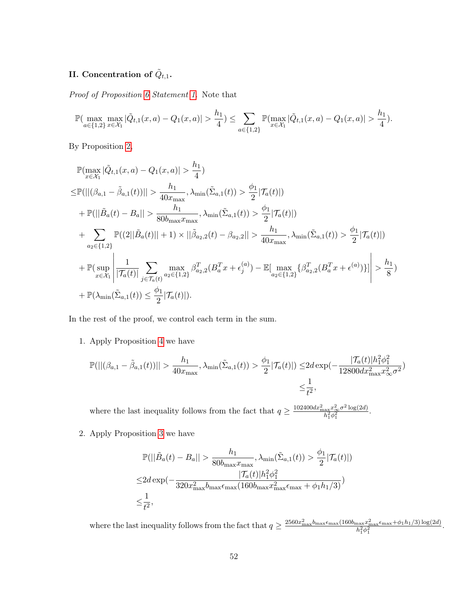# II. Concentration of  $\tilde{Q}_{t,1}.$

Proof of Proposition [6](#page-23-0) Statement [1.](#page-24-2) Note that

$$
\mathbb{P}(\max_{a\in\{1,2\}}\max_{x\in\mathcal{X}_1}|\tilde{Q}_{t,1}(x,a)-Q_1(x,a)|>\frac{h_1}{4})\leq \sum_{a\in\{1,2\}}\mathbb{P}(\max_{x\in\mathcal{X}_1}|\tilde{Q}_{t,1}(x,a)-Q_1(x,a)|>\frac{h_1}{4}).
$$

By Proposition [2,](#page-21-1)

$$
\mathbb{P}(\max_{x \in \mathcal{X}_1} |\tilde{Q}_{t,1}(x, a) - Q_1(x, a)| > \frac{h_1}{4})
$$
\n
$$
\leq \mathbb{P}(||(\beta_{a,1} - \tilde{\beta}_{a,1}(t))|| > \frac{h_1}{40x_{\text{max}}}, \lambda_{\min}(\tilde{\Sigma}_{a,1}(t)) > \frac{\phi_1}{2} |T_a(t)|)
$$
\n
$$
+ \mathbb{P}(||\tilde{B}_a(t) - B_a|| > \frac{h_1}{80b_{\text{max}}x_{\text{max}}}, \lambda_{\min}(\tilde{\Sigma}_{a,1}(t)) > \frac{\phi_1}{2} |T_a(t)|)
$$
\n
$$
+ \sum_{a_2 \in \{1,2\}} \mathbb{P}((2||\tilde{B}_a(t)|| + 1) \times ||\tilde{\beta}_{a_2,2}(t) - \beta_{a_2,2}|| > \frac{h_1}{40x_{\text{max}}}, \lambda_{\min}(\tilde{\Sigma}_{a,1}(t)) > \frac{\phi_1}{2} |T_a(t)|)
$$
\n
$$
+ \mathbb{P}(\sup_{x \in \mathcal{X}_1} \left| \frac{1}{|T_a(t)|} \sum_{j \in T_a(t)} \max_{a_2 \in \{1,2\}} \beta_{a_2,2}^T (B_a^T x + \epsilon_j^{(a)}) - \mathbb{E}[\max_{a_2 \in \{1,2\}} \{\beta_{a_2,2}^T (B_a^T x + \epsilon^{(a)})\}]\right| > \frac{h_1}{8})
$$
\n
$$
+ \mathbb{P}(\lambda_{\min}(\tilde{\Sigma}_{a,1}(t)) \leq \frac{\phi_1}{2} |T_a(t)|).
$$

In the rest of the proof, we control each term in the sum.

1. Apply Proposition [4](#page-22-1) we have

$$
\mathbb{P}(||(\beta_{a,1} - \tilde{\beta}_{a,1}(t))|| > \frac{h_1}{40x_{\max}}, \lambda_{\min}(\tilde{\Sigma}_{a,1}(t)) > \frac{\phi_1}{2}|\mathcal{T}_a(t)|) \le 2d \exp(-\frac{|\mathcal{T}_a(t)|h_1^2\phi_1^2}{12800dx_{\max}^2x_{\infty}^2\sigma^2})
$$
  

$$
\le \frac{1}{t^2},
$$

where the last inequality follows from the fact that  $q \geq \frac{102400 dx_{\text{max}}^2 x_{\infty}^2 \sigma^2 \log(2d)}{h^2 \sigma^2}$  $\frac{ax^x}{b_1^2\phi_1^2}$ .

2. Apply Proposition [3](#page-22-0) we have

$$
\mathbb{P}(||\tilde{B}_a(t) - B_a|| > \frac{h_1}{80b_{\max}x_{\max}}, \lambda_{\min}(\tilde{\Sigma}_{a,1}(t)) > \frac{\phi_1}{2}|\mathcal{T}_a(t)|)
$$
  

$$
\leq 2d \exp(-\frac{|\mathcal{T}_a(t)|h_1^2\phi_1^2}{320x_{\max}^2b_{\max} \epsilon_{\max}(160b_{\max}x_{\max}^2\epsilon_{\max} + \phi_1 h_1/3)})
$$
  

$$
\leq \frac{1}{t^2},
$$

where the last inequality follows from the fact that  $q \geq \frac{2560x_{\max}^2 b_{\max} \epsilon_{\max}(160b_{\max}x_{\max}^2 + \phi_1 h_1/3) \log(2d)}{h^2 \lambda^2}$  $h_1^2 \phi_1^2$   $h_2^2 \phi_1^2$  .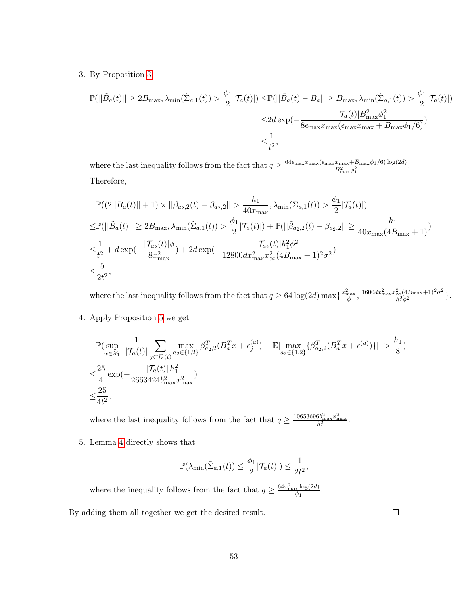3. By Proposition [3,](#page-22-0)

$$
\mathbb{P}(||\tilde{B}_a(t)|| \ge 2B_{\max}, \lambda_{\min}(\tilde{\Sigma}_{a,1}(t)) > \frac{\phi_1}{2} |\mathcal{T}_a(t)|) \le \mathbb{P}(||\tilde{B}_a(t) - B_a|| \ge B_{\max}, \lambda_{\min}(\tilde{\Sigma}_{a,1}(t)) > \frac{\phi_1}{2} |\mathcal{T}_a(t)|)
$$

$$
\le 2d \exp(-\frac{|\mathcal{T}_a(t)| B_{\max}^2 \phi_1^2}{8\epsilon_{\max} x_{\max}(\epsilon_{\max} x_{\max} + B_{\max} \phi_1/6)})
$$

$$
\le \frac{1}{t^2},
$$

where the last inequality follows from the fact that  $q \geq \frac{64\epsilon_{\max}x_{\max}(\epsilon_{\max}x_{\max}+B_{\max}\phi_1/6)\log(2d)}{B_2^2}$  $\frac{x_{\max} + B_{\max} \varphi_1}{B_{\max}^2 \varphi_1^2}.$ Therefore,

$$
\mathbb{P}((2||\tilde{B}_{a}(t)||+1) \times ||\tilde{\beta}_{a_{2},2}(t) - \beta_{a_{2},2}|| > \frac{h_{1}}{40x_{\max}}, \lambda_{\min}(\tilde{\Sigma}_{a,1}(t)) > \frac{\phi_{1}}{2}|\mathcal{T}_{a}(t)|)
$$
\n
$$
\leq \mathbb{P}(||\tilde{B}_{a}(t)|| \geq 2B_{\max}, \lambda_{\min}(\tilde{\Sigma}_{a,1}(t)) > \frac{\phi_{1}}{2}|\mathcal{T}_{a}(t)| + \mathbb{P}(||\tilde{\beta}_{a_{2},2}(t) - \beta_{a_{2},2}|| \geq \frac{h_{1}}{40x_{\max}(4B_{\max}+1)})
$$
\n
$$
\leq \frac{1}{t^{2}} + d \exp(-\frac{|\mathcal{T}_{a_{2}}(t)|\phi}{8x_{\max}^{2}}) + 2d \exp(-\frac{|\mathcal{T}_{a_{2}}(t)|h_{1}^{2}\phi^{2}}{12800dx_{\max}^{2}x_{\infty}^{2}(4B_{\max}+1)^{2}\sigma^{2}})
$$
\n
$$
\leq \frac{5}{2t^{2}},
$$

where the last inequality follows from the fact that  $q \ge 64 \log(2d) \max\{\frac{x_{\text{max}}^2}{\phi}, \frac{1600 dx_{\text{max}}^2 x_{\infty}^2 (4B_{\text{max}}+1)^2 \sigma^2}{h_1^2 \phi^2}\}$  $\frac{\epsilon_{\infty}(4B_{\max}+1)^2\sigma^2}{h_1^2\phi^2}\}.$ 

4. Apply Proposition [5](#page-23-1) we get

$$
\mathbb{P}\left(\sup_{x \in \mathcal{X}_1} \left| \frac{1}{|\mathcal{T}_a(t)|} \sum_{j \in \mathcal{T}_a(t)} \max_{a_2 \in \{1,2\}} \beta_{a_2,2}^T (B_a^T x + \epsilon_j^{(a)}) - \mathbb{E}[\max_{a_2 \in \{1,2\}} \{\beta_{a_2,2}^T (B_a^T x + \epsilon^{(a)})\}] \right| > \frac{h_1}{8})
$$
  

$$
\leq \frac{25}{4} \exp\left(-\frac{|\mathcal{T}_a(t)| h_1^2}{2663424 b_{\text{max}}^2 x_{\text{max}}^2}\right)
$$
  

$$
\leq \frac{25}{4t^2},
$$

where the last inequality follows from the fact that  $q \ge \frac{10653696b_{\max}^2 x_{\max}^2}{h_1^2}$ .

5. Lemma [4](#page-49-0) directly shows that

$$
\mathbb{P}(\lambda_{\min}(\tilde{\Sigma}_{a,1}(t)) \leq \frac{\phi_1}{2}|\mathcal{T}_a(t)|) \leq \frac{1}{2t^2},
$$

where the inequality follows from the fact that  $q \geq \frac{64x_{\text{max}}^2 \log(2d)}{q}$  $\frac{x \log(2a)}{\phi_1}$ .

By adding them all together we get the desired result.

 $\Box$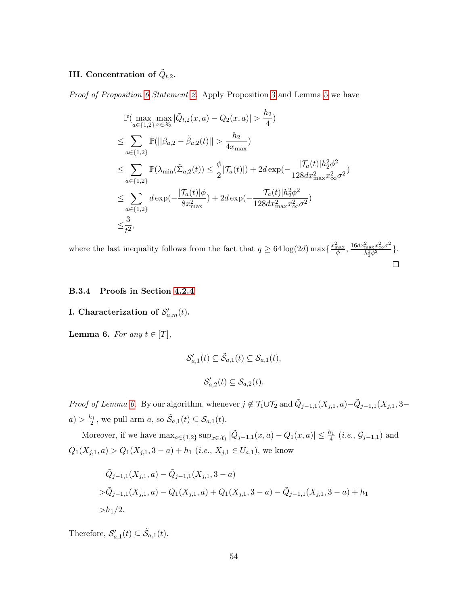# III. Concentration of  $\tilde{Q}_{t,2}$ .

Proof of Proposition [6](#page-23-0) Statement [2.](#page-24-3) Apply Proposition [3](#page-22-0) and Lemma [5](#page-50-0) we have

$$
\mathbb{P}(\max_{a \in \{1,2\}} \max_{x \in \mathcal{X}_2} |\tilde{Q}_{t,2}(x, a) - Q_2(x, a)| > \frac{h_2}{4})
$$
\n
$$
\leq \sum_{a \in \{1,2\}} \mathbb{P}(||\beta_{a,2} - \tilde{\beta}_{a,2}(t)|| > \frac{h_2}{4x_{\max}})
$$
\n
$$
\leq \sum_{a \in \{1,2\}} \mathbb{P}(\lambda_{\min}(\tilde{\Sigma}_{a,2}(t)) \leq \frac{\phi}{2} |\mathcal{T}_a(t)|) + 2d \exp(-\frac{|\mathcal{T}_a(t)| h_2^2 \phi^2}{128dx_{\max}^2 x_{\infty}^2 \sigma^2})
$$
\n
$$
\leq \sum_{a \in \{1,2\}} d \exp(-\frac{|\mathcal{T}_a(t)| \phi}{8x_{\max}^2}) + 2d \exp(-\frac{|\mathcal{T}_a(t)| h_2^2 \phi^2}{128dx_{\max}^2 x_{\infty}^2 \sigma^2})
$$
\n
$$
\leq \frac{3}{t^2},
$$

where the last inequality follows from the fact that  $q \ge 64 \log(2d) \max\{\frac{x_{\text{max}}^2}{\phi}, \frac{16dx_{\text{max}}^2 x_{\infty}^2 \sigma^2}{h_2^2 \phi^2}\}$  $\frac{\bar{\max}x\bar{\infty}\sigma^2}{h_2^2\phi^2}\}.$  $\Box$ 

## <span id="page-53-1"></span>B.3.4 Proofs in Section [4.2.4](#page-24-4)

# <span id="page-53-0"></span>I. Characterization of  $\mathcal{S}'_{a,m}(t)$ .

**Lemma 6.** For any  $t \in [T]$ ,

$$
\mathcal{S}'_{a,1}(t) \subseteq \tilde{\mathcal{S}}_{a,1}(t) \subseteq \mathcal{S}_{a,1}(t),
$$
  

$$
\mathcal{S}'_{a,2}(t) \subseteq \mathcal{S}_{a,2}(t).
$$

*Proof of Lemma [6.](#page-53-0)* By our algorithm, whenever  $j \notin \mathcal{T}_1 \cup \mathcal{T}_2$  and  $\tilde{Q}_{j-1,1}(X_{j,1},a) - \tilde{Q}_{j-1,1}(X_{j,1},3-a)$  $a) > \frac{h_1}{2}$ , we pull arm  $a$ , so  $\tilde{S}_{a,1}(t) \subseteq S_{a,1}(t)$ .

Moreover, if we have  $\max_{a \in \{1,2\}} \sup_{x \in \mathcal{X}_1} |\tilde{Q}_{j-1,1}(x, a) - Q_1(x, a)| \leq \frac{h_1}{4}$  (*i.e.*,  $\mathcal{G}_{j-1,1}$ ) and  $Q_1(X_{j,1}, a) > Q_1(X_{j,1}, 3 - a) + h_1$  (*i.e.*,  $X_{j,1} \in U_{a,1}$ ), we know

$$
\tilde{Q}_{j-1,1}(X_{j,1},a) - \tilde{Q}_{j-1,1}(X_{j,1},a-a)
$$
  
>
$$
\tilde{Q}_{j-1,1}(X_{j,1},a) - Q_1(X_{j,1},a) + Q_1(X_{j,1},a-a) - \tilde{Q}_{j-1,1}(X_{j,1},a-a) + h_1
$$
  
> $h_1/2$ .

Therefore,  $\mathcal{S}'_{a,1}(t) \subseteq \tilde{\mathcal{S}}_{a,1}(t)$ .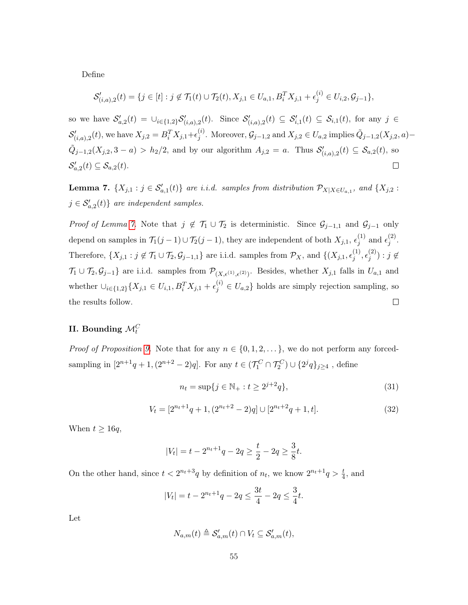Define

$$
\mathcal{S}'_{(i,a),2}(t) = \{j \in [t] : j \notin \mathcal{T}_1(t) \cup \mathcal{T}_2(t), X_{j,1} \in U_{a,1}, B_i^T X_{j,1} + \epsilon_j^{(i)} \in U_{i,2}, \mathcal{G}_{j-1}\},\
$$

so we have  $\mathcal{S}_{a,2}'(t) = \bigcup_{i \in \{1,2\}} \mathcal{S}_{(i,a),2}'(t)$ . Since  $\mathcal{S}_{(i,a),2}'(t) \subseteq \mathcal{S}_{i,1}'(t) \subseteq \mathcal{S}_{i,1}(t)$ , for any  $j \in$  $\mathcal{S}'_{(i,a),2}(t)$ , we have  $X_{j,2} = B_i^T X_{j,1} + \epsilon_j^{(i)}$  $j^{(i)}$ . Moreover,  $\mathcal{G}_{j-1,2}$  and  $X_{j,2} \in U_{a,2}$  implies  $\tilde{Q}_{j-1,2}(X_{j,2},a)$  $\tilde{Q}_{j-1,2}(X_{j,2},3-a) > h_2/2$ , and by our algorithm  $A_{j,2} = a$ . Thus  $\mathcal{S}'_{(i,a),2}(t) \subseteq \mathcal{S}_{a,2}(t)$ , so  $\mathcal{S}_{a,2}'(t) \subseteq \mathcal{S}_{a,2}(t)$ .  $\Box$ 

<span id="page-54-0"></span>**Lemma 7.**  $\{X_{j,1} : j \in S'_{a,1}(t)\}\$ are i.i.d. samples from distribution  $\mathcal{P}_{X|X \in U_{a,1}},$  and  $\{X_{j,2} : j \in S'_{a,2}(t)\}\$  $j \in \mathcal{S}'_{a,2}(t)$  are independent samples.

Proof of Lemma [7.](#page-54-0) Note that  $j \notin \mathcal{T}_1 \cup \mathcal{T}_2$  is deterministic. Since  $\mathcal{G}_{j-1,1}$  and  $\mathcal{G}_{j-1}$  only depend on samples in  $\mathcal{T}_1(j-1) \cup \mathcal{T}_2(j-1)$ , they are independent of both  $X_{j,1}, \epsilon_j^{(1)}$  $j^{(1)}$  and  $\epsilon_j^{(2)}$  $\frac{(2)}{j}$ . Therefore,  $\{X_{j,1} : j \notin \mathcal{T}_1 \cup \mathcal{T}_2, \mathcal{G}_{j-1,1}\}\$ are i.i.d. samples from  $\mathcal{P}_X$ , and  $\{(X_{j,1}, \epsilon_j^{(1)}, \epsilon_j^{(2)}, \epsilon_j^{(3)}, \epsilon_j^{(3)}, \epsilon_j^{(4)}, \epsilon_j^{(4)}\}$  $\mathcal{L}^{(1)}_j, \epsilon^{(2)}_j$  $j^{(2)}$ ) :  $j \not\in$  $\mathcal{T}_1 \cup \mathcal{T}_2, \mathcal{G}_{j-1}$  are i.i.d. samples from  $\mathcal{P}_{(X,\epsilon^{(1)},\epsilon^{(2)})}$ . Besides, whether  $X_{j,1}$  falls in  $U_{a,1}$  and whether  $\cup_{i\in\{1,2\}}\{X_{j,1}\in U_{i,1},B_i^TX_{j,1}+\epsilon_j^{(i)}\in U_{a,2}\}\)$  holds are simply rejection sampling, so the results follow.  $\Box$ 

# II. Bounding  $\mathcal{M}_t^C$

*Proof of Proposition [9.](#page-26-0)* Note that for any  $n \in \{0, 1, 2, \ldots\}$ , we do not perform any forcedsampling in  $[2^{n+1}q+1,(2^{n+2}-2)q]$ . For any  $t \in (\mathcal{T}_1^C \cap \mathcal{T}_2^C) \cup \{2^jq\}_{j \ge 4}$ , define

$$
n_t = \sup\{j \in \mathbb{N}_+ : t \ge 2^{j+2}q\},\tag{31}
$$

$$
V_t = [2^{n_t+1}q + 1, (2^{n_t+2} - 2)q] \cup [2^{n_t+2}q + 1, t].
$$
\n(32)

When  $t \geq 16q$ ,

$$
|V_t| = t - 2^{n_t+1}q - 2q \ge \frac{t}{2} - 2q \ge \frac{3}{8}t.
$$

On the other hand, since  $t < 2^{n_t+3}q$  by definition of  $n_t$ , we know  $2^{n_t+1}q > \frac{t}{4}$ , and

$$
|V_t| = t - 2^{n_t + 1}q - 2q \le \frac{3t}{4} - 2q \le \frac{3}{4}t.
$$

Let

$$
N_{a,m}(t) \triangleq \mathcal{S}'_{a,m}(t) \cap V_t \subseteq \mathcal{S}'_{a,m}(t),
$$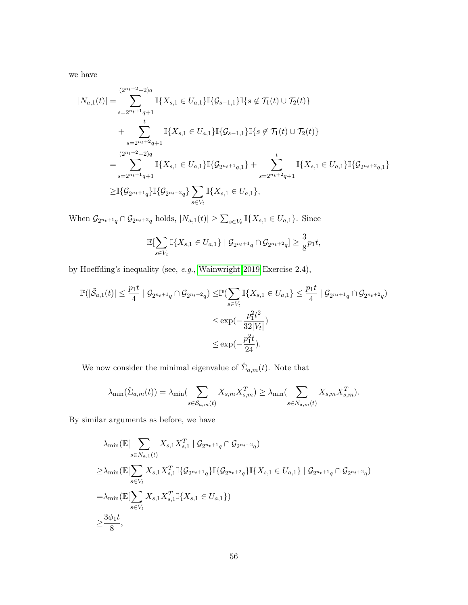we have

$$
|N_{a,1}(t)| = \sum_{s=2^{n_t+1}q+1}^{(2^{n_t+2}-2)q} \mathbb{I}\{X_{s,1} \in U_{a,1}\} \mathbb{I}\{G_{s-1,1}\} \mathbb{I}\{s \notin \mathcal{T}_1(t) \cup \mathcal{T}_2(t)\}\
$$
  
+ 
$$
\sum_{s=2^{n_t+2}q+1}^{t} \mathbb{I}\{X_{s,1} \in U_{a,1}\} \mathbb{I}\{G_{s-1,1}\} \mathbb{I}\{s \notin \mathcal{T}_1(t) \cup \mathcal{T}_2(t)\}\
$$
  
= 
$$
\sum_{s=2^{n_t+2}q+1}^{(2^{n_t+2}-2)q} \mathbb{I}\{X_{s,1} \in U_{a,1}\} \mathbb{I}\{G_{2^{n_t+1}q,1}\} + \sum_{s=2^{n_t+2}q+1}^{t} \mathbb{I}\{X_{s,1} \in U_{a,1}\} \mathbb{I}\{G_{2^{n_t+2}q,1}\}\
$$
  

$$
\geq \mathbb{I}\{G_{2^{n_t+1}q}\} \mathbb{I}\{G_{2^{n_t+2}q}\} \sum_{s \in V_t} \mathbb{I}\{X_{s,1} \in U_{a,1}\},
$$

When  $\mathcal{G}_{2^{n_t+1}q} \cap \mathcal{G}_{2^{n_t+2}q}$  holds,  $|N_{a,1}(t)| \geq \sum_{s \in V_t} \mathbb{I}\{X_{s,1} \in U_{a,1}\}.$  Since

$$
\mathbb{E}[\sum_{s \in V_t} \mathbb{I}\{X_{s,1} \in U_{a,1}\} \mid \mathcal{G}_{2^{n_t+1}q} \cap \mathcal{G}_{2^{n_t+2}q}] \ge \frac{3}{8}p_1t,
$$

by Hoeffding's inequality (see, e.g., [Wainwright 2019](#page-40-12) Exercise 2.4),

$$
\mathbb{P}(|\tilde{S}_{a,1}(t)| \leq \frac{p_1 t}{4} | \mathcal{G}_{2^{n_t+1} q} \cap \mathcal{G}_{2^{n_t+2} q}) \leq \mathbb{P}(\sum_{s \in V_t} \mathbb{I}\{X_{s,1} \in U_{a,1}\} \leq \frac{p_1 t}{4} | \mathcal{G}_{2^{n_t+1} q} \cap \mathcal{G}_{2^{n_t+2} q})
$$
  

$$
\leq \exp(-\frac{p_1^2 t^2}{32|V_t|})
$$
  

$$
\leq \exp(-\frac{p_1^2 t}{24}).
$$

We now consider the minimal eigenvalue of  $\hat{\Sigma}_{a,m}(t)$ . Note that

$$
\lambda_{\min}(\hat{\Sigma}_{a,m}(t)) = \lambda_{\min}(\sum_{s \in \mathcal{S}_{a,m}(t)} X_{s,m} X_{s,m}^T) \ge \lambda_{\min}(\sum_{s \in N_{a,m}(t)} X_{s,m} X_{s,m}^T).
$$

By similar arguments as before, we have

$$
\lambda_{\min}(\mathbb{E}[\sum_{s \in N_{a,1}(t)} X_{s,1} X_{s,1}^T \mid \mathcal{G}_{2^{n_t+1}q} \cap \mathcal{G}_{2^{n_t+2}q})
$$
\n
$$
\geq \lambda_{\min}(\mathbb{E}[\sum_{s \in V_t} X_{s,1} X_{s,1}^T \mathbb{I}\{\mathcal{G}_{2^{n_t+1}q}\} \mathbb{I}\{\mathcal{G}_{2^{n_t+2}q}\} \mathbb{I}\{X_{s,1} \in U_{a,1}\} \mid \mathcal{G}_{2^{n_t+1}q} \cap \mathcal{G}_{2^{n_t+2}q})
$$
\n
$$
= \lambda_{\min}(\mathbb{E}[\sum_{s \in V_t} X_{s,1} X_{s,1}^T \mathbb{I}\{X_{s,1} \in U_{a,1}\})
$$
\n
$$
\geq \frac{3\phi_1 t}{8},
$$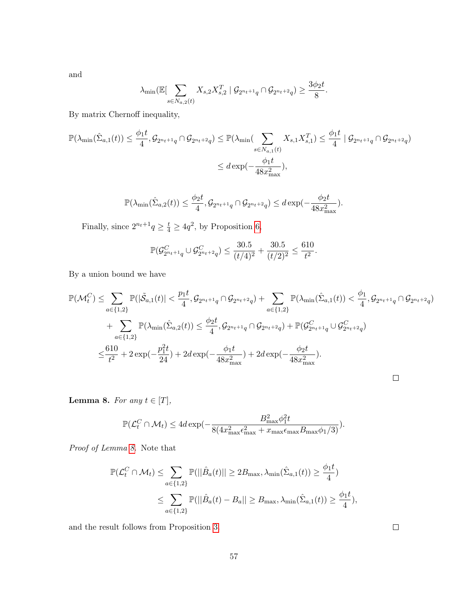and

$$
\lambda_{\min}(\mathbb{E}[\sum_{s \in N_{a,2}(t)} X_{s,2} X_{s,2}^T \mid \mathcal{G}_{2^{n_t+1}q} \cap \mathcal{G}_{2^{n_t+2}q}) \ge \frac{3\phi_2 t}{8}.
$$

By matrix Chernoff inequality,

$$
\mathbb{P}(\lambda_{\min}(\hat{\Sigma}_{a,1}(t)) \le \frac{\phi_1 t}{4}, \mathcal{G}_{2^{n_t+1}q} \cap \mathcal{G}_{2^{n_t+2}q}) \le \mathbb{P}(\lambda_{\min}(\sum_{s \in N_{a,1}(t)} X_{s,1} X_{s,1}^T) \le \frac{\phi_1 t}{4} \mid \mathcal{G}_{2^{n_t+1}q} \cap \mathcal{G}_{2^{n_t+2}q})
$$
  

$$
\le d \exp(-\frac{\phi_1 t}{48x_{\max}^2}),
$$

$$
\mathbb{P}(\lambda_{\min}(\hat{\Sigma}_{a,2}(t)) \leq \frac{\phi_2 t}{4}, \mathcal{G}_{2^{n_t+1}q} \cap \mathcal{G}_{2^{n_t+2}q}) \leq d \exp(-\frac{\phi_2 t}{48x_{\max}^2}).
$$

Finally, since  $2^{n_t+1}q \ge \frac{t}{4} \ge 4q^2$ , by Proposition [6,](#page-23-0)

$$
\mathbb{P}(\mathcal{G}_{2^{n_t+1}q}^C \cup \mathcal{G}_{2^{n_t+2}q}^C) \le \frac{30.5}{(t/4)^2} + \frac{30.5}{(t/2)^2} \le \frac{610}{t^2}.
$$

By a union bound we have

$$
\mathbb{P}(\mathcal{M}_t^C) \leq \sum_{a \in \{1,2\}} \mathbb{P}(|\tilde{\mathcal{S}}_{a,1}(t)| < \frac{p_1 t}{4}, \mathcal{G}_{2^{n_t+1}q} \cap \mathcal{G}_{2^{n_t+2}q}) + \sum_{a \in \{1,2\}} \mathbb{P}(\lambda_{\min}(\hat{\Sigma}_{a,1}(t)) < \frac{\phi_1}{4}, \mathcal{G}_{2^{n_t+1}q} \cap \mathcal{G}_{2^{n_t+2}q})
$$
  
+ 
$$
\sum_{a \in \{1,2\}} \mathbb{P}(\lambda_{\min}(\hat{\Sigma}_{a,2}(t)) \leq \frac{\phi_2 t}{4}, \mathcal{G}_{2^{n_t+1}q} \cap \mathcal{G}_{2^{n_t+2}q}) + \mathbb{P}(\mathcal{G}_{2^{n_t+1}q}^C \cup \mathcal{G}_{2^{n_t+2}q}^C)
$$
  

$$
\leq \frac{610}{t^2} + 2 \exp(-\frac{p_1^2 t}{24}) + 2d \exp(-\frac{\phi_1 t}{48x_{\max}^2}) + 2d \exp(-\frac{\phi_2 t}{48x_{\max}^2}).
$$

<span id="page-56-0"></span>**Lemma 8.** For any  $t \in [T]$ ,

$$
\mathbb{P}(\mathcal{L}_t^C \cap \mathcal{M}_t) \le 4d \exp(-\frac{B_{\max}^2 \phi_1^2 t}{8(4x_{\max}^2 \epsilon_{\max}^2 + x_{\max} \epsilon_{\max} B_{\max} \phi_1/3)}).
$$

Proof of Lemma [8.](#page-56-0) Note that

$$
\mathbb{P}(\mathcal{L}_t^C \cap \mathcal{M}_t) \le \sum_{a \in \{1,2\}} \mathbb{P}(||\hat{B}_a(t)|| \ge 2B_{\text{max}}, \lambda_{\text{min}}(\hat{\Sigma}_{a,1}(t)) \ge \frac{\phi_1 t}{4})
$$
  

$$
\le \sum_{a \in \{1,2\}} \mathbb{P}(||\hat{B}_a(t) - B_a|| \ge B_{\text{max}}, \lambda_{\text{min}}(\hat{\Sigma}_{a,1}(t)) \ge \frac{\phi_1 t}{4}),
$$

and the result follows from Proposition [3.](#page-22-0)

 $\Box$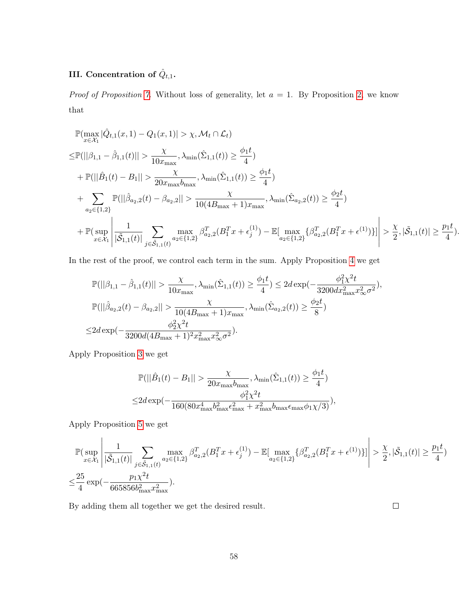# III. Concentration of  $\hat{Q}_{t,1}$ .

*Proof of Proposition [7.](#page-25-0)* Without loss of generality, let  $a = 1$ . By Proposition [2,](#page-21-1) we know that

$$
\mathbb{P}(\max_{x \in \mathcal{X}_1} |\hat{Q}_{t,1}(x,1) - Q_1(x,1)| > \chi, \mathcal{M}_t \cap \mathcal{L}_t)
$$
\n
$$
\leq \mathbb{P}(||\beta_{1,1} - \hat{\beta}_{1,1}(t)|| > \frac{\chi}{10x_{\max}}, \lambda_{\min}(\hat{\Sigma}_{1,1}(t)) \geq \frac{\phi_1 t}{4})
$$
\n
$$
+ \mathbb{P}(||\hat{B}_1(t) - B_1|| > \frac{\chi}{20x_{\max}b_{\max}}, \lambda_{\min}(\hat{\Sigma}_{1,1}(t)) \geq \frac{\phi_1 t}{4})
$$
\n
$$
+ \sum_{a_2 \in \{1,2\}} \mathbb{P}(||\hat{\beta}_{a_2,2}(t) - \beta_{a_2,2}|| > \frac{\chi}{10(4B_{\max} + 1)x_{\max}}, \lambda_{\min}(\hat{\Sigma}_{a_2,2}(t)) \geq \frac{\phi_2 t}{4})
$$
\n
$$
+ \mathbb{P}(\sup_{x \in \mathcal{X}_1} \left| \frac{1}{|\tilde{\mathcal{S}}_{1,1}(t)|} \sum_{j \in \tilde{\mathcal{S}}_{1,1}(t)} \max_{a_2 \in \{1,2\}} \beta_{a_2,2}^T (B_1^T x + \epsilon_j^{(1)}) - \mathbb{E}[\max_{a_2 \in \{1,2\}} \{\beta_{a_2,2}^T (B_1^T x + \epsilon^{(1)})\}] \right| > \frac{\chi}{2}, |\tilde{\mathcal{S}}_{1,1}(t)| \geq \frac{p_1 t}{4}).
$$

In the rest of the proof, we control each term in the sum. Apply Proposition [4](#page-22-1) we get

$$
\begin{split} &\mathbb{P}(||\beta_{1,1}-\hat{\beta}_{1,1}(t)|| > \frac{\chi}{10x_{\max}}, \lambda_{\min}(\hat{\Sigma}_{1,1}(t)) \geq \frac{\phi_1 t}{4}) \leq 2d \exp(-\frac{\phi_1^2 \chi^2 t}{3200 dx_{\max}^2 x_\infty^2 \sigma^2}),\\ &\mathbb{P}(||\hat{\beta}_{a_2,2}(t)-\beta_{a_2,2}|| > \frac{\chi}{10(4B_{\max}+1)x_{\max}}, \lambda_{\min}(\hat{\Sigma}_{a_2,2}(t)) \geq \frac{\phi_2 t}{8})\\ \leq & 2d \exp(-\frac{\phi_2^2 \chi^2 t}{3200d(4B_{\max}+1)^2 x_{\max}^2 x_\infty^2 \sigma^2}). \end{split}
$$

Apply Proposition [3](#page-22-0) we get

$$
\mathbb{P}(||\hat{B}_1(t) - B_1|| > \frac{\chi}{20x_{\text{max}}b_{\text{max}}}, \lambda_{\text{min}}(\hat{\Sigma}_{1,1}(t)) \ge \frac{\phi_1 t}{4})
$$
  

$$
\le 2d \exp(-\frac{\phi_1^2 \chi^2 t}{160(80x_{\text{max}}^4 b_{\text{max}}^2 \epsilon_{\text{max}}^2 + x_{\text{max}}^2 b_{\text{max}} \epsilon_{\text{max}} \phi_1 \chi/3)}),
$$

Apply Proposition [5](#page-23-1) we get

$$
\begin{split} &\mathbb{P}(\sup_{x \in \mathcal{X}_1}\left|\frac{1}{|\tilde{\mathcal{S}}_{1,1}(t)|}\sum_{j \in \tilde{\mathcal{S}}_{1,1}(t)}\max_{a_2 \in \{1,2\}}\beta^T_{a_2,2}(B_1^Tx+\epsilon_j^{(1)}) - \mathbb{E}[\max_{a_2 \in \{1,2\}}\{\beta^T_{a_2,2}(B_1^Tx+\epsilon^{(1)})\}]\right| > \frac{\chi}{2}, |\tilde{\mathcal{S}}_{1,1}(t)| \geq \frac{p_1t}{4})\\ \leq & \frac{25}{4}\exp(-\frac{p_1\chi^2t}{665856b_{\max}^2x_{\max}^2}). \end{split}
$$

By adding them all together we get the desired result.

 $\Box$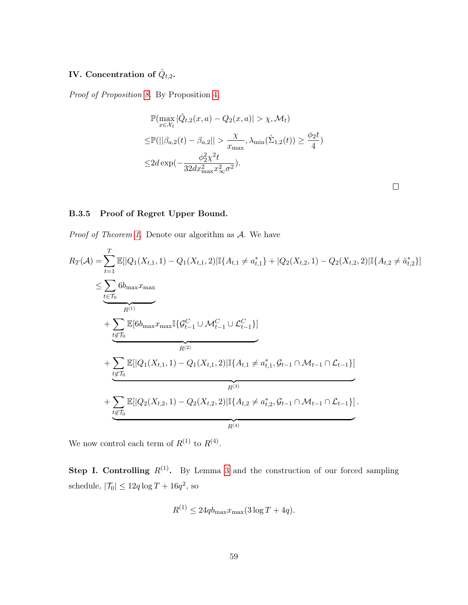# IV. Concentration of  $\hat{Q}_{t,2}$ .

Proof of Proposition [8.](#page-25-1) By Proposition [4,](#page-22-1)

$$
\mathbb{P}(\max_{x \in \mathcal{X}_1} |\hat{Q}_{t,2}(x, a) - Q_2(x, a)| > \chi, \mathcal{M}_t)
$$
  
\n
$$
\leq \mathbb{P}(||\beta_{a,2}(t) - \beta_{a,2}|| > \frac{\chi}{x_{\max}}, \lambda_{\min}(\hat{\Sigma}_{1,2}(t)) \geq \frac{\phi_2 t}{4})
$$
  
\n
$$
\leq 2d \exp(-\frac{\phi_2^2 \chi^2 t}{32dx_{\max}^2 x_{\infty}^2 \sigma^2}).
$$

 $\Box$ 

## <span id="page-58-0"></span>B.3.5 Proof of Regret Upper Bound.

*Proof of Theorem [1.](#page-18-2)* Denote our algorithm as  $A$ . We have

$$
R_{T}(\mathcal{A}) = \sum_{t=1}^{T} \mathbb{E}[|Q_{1}(X_{t,1},1) - Q_{1}(X_{t,1},2)| \mathbb{I}\{A_{t,1} \neq a_{t,1}^{*}\} + |Q_{2}(X_{t,2},1) - Q_{2}(X_{t,2},2)| \mathbb{I}\{A_{t,2} \neq \hat{a}_{t,2}^{*}\}]
$$
  
\n
$$
\leq \sum_{t \in \mathcal{T}_{0}} 6b_{\max} x_{\max}
$$
  
\n
$$
R^{(1)}
$$
  
\n+
$$
\sum_{t \notin \mathcal{T}_{0}} \mathbb{E}[6b_{\max} x_{\max} \mathbb{I}\{G_{t-1}^{C} \cup \mathcal{M}_{t-1}^{C} \cup \mathcal{L}_{t-1}^{C}\}]
$$
  
\n
$$
R^{(2)}
$$
  
\n+
$$
\sum_{t \notin \mathcal{T}_{0}} \mathbb{E}[|Q_{1}(X_{t,1},1) - Q_{1}(X_{t,1},2)| \mathbb{I}\{A_{t,1} \neq a_{t,1}^{*}, G_{t-1} \cap \mathcal{M}_{t-1} \cap \mathcal{L}_{t-1}\}]
$$
  
\n
$$
R^{(3)}
$$
  
\n+
$$
\sum_{t \notin \mathcal{T}_{0}} \mathbb{E}[|Q_{2}(X_{t,2},1) - Q_{2}(X_{t,2},2)| \mathbb{I}\{A_{t,2} \neq a_{t,2}^{*}, G_{t-1} \cap \mathcal{M}_{t-1} \cap \mathcal{L}_{t-1}\}].
$$

We now control each term of  $R^{(1)}$  to  $R^{(4)}$ .

**Step I. Controlling**  $R^{(1)}$ . By Lemma [3](#page-44-0) and the construction of our forced sampling schedule,  $|\mathcal{T}_0| \leq 12q \log T + 16q^2$ , so

$$
R^{(1)} \le 24q b_{\text{max}} x_{\text{max}} (3 \log T + 4q).
$$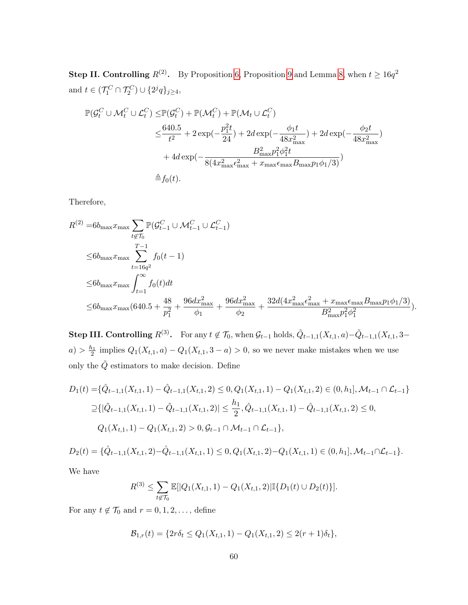**Step II. Controlling**  $R^{(2)}$ . By Proposition [6,](#page-23-0) Proposition [9](#page-26-0) and Lemma [8,](#page-56-0) when  $t \ge 16q^2$ and  $t \in (\mathcal{T}_1^C \cap \mathcal{T}_2^C) \cup \{2^j q\}_{j \ge 4},$ 

$$
\mathbb{P}(\mathcal{G}_t^C \cup \mathcal{M}_t^C \cup \mathcal{L}_t^C) \leq \mathbb{P}(\mathcal{G}_t^C) + \mathbb{P}(\mathcal{M}_t^C) + \mathbb{P}(\mathcal{M}_t \cup \mathcal{L}_t^C)
$$
  
\n
$$
\leq \frac{640.5}{t^2} + 2 \exp(-\frac{p_1^2 t}{24}) + 2d \exp(-\frac{\phi_1 t}{48x_{\text{max}}^2}) + 2d \exp(-\frac{\phi_2 t}{48x_{\text{max}}^2})
$$
  
\n
$$
+ 4d \exp(-\frac{B_{\text{max}}^2 p_1^2 \phi_1^2 t}{8(4x_{\text{max}}^2 \epsilon_{\text{max}}^2 + x_{\text{max}} \epsilon_{\text{max}} B_{\text{max}} p_1 \phi_1/3)})
$$
  
\n
$$
\triangleq f_0(t).
$$

Therefore,

$$
R^{(2)} = 6b_{\max} x_{\max} \sum_{t \notin \mathcal{T}_0} \mathbb{P}(\mathcal{G}_{t-1}^C \cup \mathcal{M}_{t-1}^C \cup \mathcal{L}_{t-1}^C)
$$
  
\n
$$
\leq 6b_{\max} x_{\max} \sum_{t=1}^{T-1} f_0(t-1)
$$
  
\n
$$
\leq 6b_{\max} x_{\max} \int_{t=1}^{\infty} f_0(t) dt
$$
  
\n
$$
\leq 6b_{\max} x_{\max} (640.5 + \frac{48}{p_1^2} + \frac{96 dx_{\max}^2}{\phi_1} + \frac{96 dx_{\max}^2}{\phi_2} + \frac{32d(4x_{\max}^2 \epsilon_{\max}^2 + x_{\max} \epsilon_{\max} B_{\max} p_1 \phi_1/3)}{B_{\max}^2 p_1^2 \phi_1^2}).
$$

**Step III. Controlling**  $R^{(3)}$ . For any  $t \notin \mathcal{T}_0$ , when  $\mathcal{G}_{t-1}$  holds,  $\tilde{Q}_{t-1,1}(X_{t,1},a) - \tilde{Q}_{t-1,1}(X_{t,1},3-a)$  $a) > \frac{h_1}{2}$  implies  $Q_1(X_{t,1}, a) - Q_1(X_{t,1}, 3 - a) > 0$ , so we never make mistakes when we use only the  $\tilde{Q}$  estimators to make decision. Define

$$
D_1(t) = \{\hat{Q}_{t-1,1}(X_{t,1}, 1) - \hat{Q}_{t-1,1}(X_{t,1}, 2) \le 0, Q_1(X_{t,1}, 1) - Q_1(X_{t,1}, 2) \in (0, h_1], \mathcal{M}_{t-1} \cap \mathcal{L}_{t-1}\}
$$
  
\n
$$
\geq \{|\tilde{Q}_{t-1,1}(X_{t,1}, 1) - \tilde{Q}_{t-1,1}(X_{t,1}, 2)| \leq \frac{h_1}{2}, \hat{Q}_{t-1,1}(X_{t,1}, 1) - \hat{Q}_{t-1,1}(X_{t,1}, 2) \le 0,
$$
  
\n
$$
Q_1(X_{t,1}, 1) - Q_1(X_{t,1}, 2) > 0, \mathcal{G}_{t-1} \cap \mathcal{M}_{t-1} \cap \mathcal{L}_{t-1}\},
$$

 $D_2(t) = \{ \hat{Q}_{t-1,1}(X_{t,1}, 2) - \hat{Q}_{t-1,1}(X_{t,1}, 1) \leq 0, Q_1(X_{t,1}, 2) - Q_1(X_{t,1}, 1) \in (0, h_1], \mathcal{M}_{t-1} \cap \mathcal{L}_{t-1} \}.$ 

We have

$$
R^{(3)} \leq \sum_{t \notin \mathcal{T}_0} \mathbb{E}[|Q_1(X_{t,1}, 1) - Q_1(X_{t,1}, 2)| \mathbb{I}\{D_1(t) \cup D_2(t)\}].
$$

For any  $t \notin \mathcal{T}_0$  and  $r = 0, 1, 2, \ldots$ , define

$$
\mathcal{B}_{1,r}(t) = \{2r\delta_t \leq Q_1(X_{t,1}, 1) - Q_1(X_{t,1}, 2) \leq 2(r+1)\delta_t\},\
$$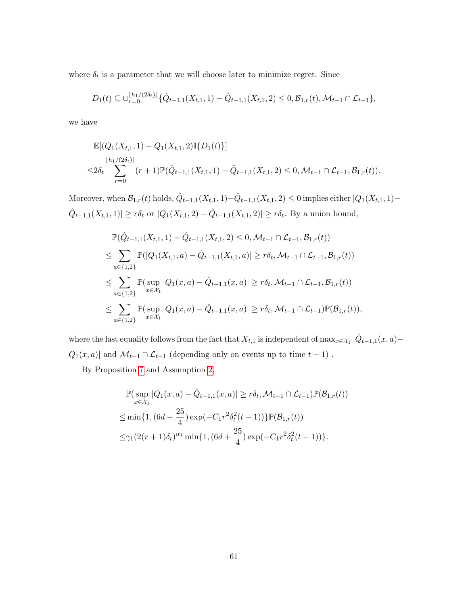where  $\delta_t$  is a parameter that we will choose later to minimize regret. Since

$$
D_1(t) \subseteq \bigcup_{r=0}^{\lfloor h_1/(2\delta_t)\rfloor} \{\hat{Q}_{t-1,1}(X_{t,1},1) - \hat{Q}_{t-1,1}(X_{t,1},2) \leq 0, \mathcal{B}_{1,r}(t), \mathcal{M}_{t-1} \cap \mathcal{L}_{t-1}\},
$$

we have

$$
\mathbb{E}[(Q_1(X_{t,1}, 1) - Q_1(X_{t,1}, 2) \mathbb{I}\{D_1(t)\}]
$$
\n
$$
\leq 2\delta_t \sum_{r=0}^{\lfloor h_1/(2\delta_t) \rfloor} (r+1) \mathbb{P}(\hat{Q}_{t-1,1}(X_{t,1}, 1) - \hat{Q}_{t-1,1}(X_{t,1}, 2) \leq 0, \mathcal{M}_{t-1} \cap \mathcal{L}_{t-1}, \mathcal{B}_{1,r}(t)).
$$

Moreover, when  $\mathcal{B}_{1,r}(t)$  holds,  $\hat{Q}_{t-1,1}(X_{t,1}, 1) - \hat{Q}_{t-1,1}(X_{t,1}, 2) \leq 0$  implies either  $|Q_1(X_{t,1}, 1) - Q_1(X_{t,1}, 1)|$  $\hat{Q}_{t-1,1}(X_{t,1},1)| \geq r\delta_t$  or  $|Q_1(X_{t,1},2) - \hat{Q}_{t-1,1}(X_{t,1},2)| \geq r\delta_t$ . By a union bound,

$$
\mathbb{P}(\hat{Q}_{t-1,1}(X_{t,1},1) - \hat{Q}_{t-1,1}(X_{t,1},2) \leq 0, \mathcal{M}_{t-1} \cap \mathcal{L}_{t-1}, \mathcal{B}_{1,r}(t))
$$
\n
$$
\leq \sum_{a \in \{1,2\}} \mathbb{P}(|Q_1(X_{t,1},a) - \hat{Q}_{t-1,1}(X_{t,1},a)| \geq r\delta_t, \mathcal{M}_{t-1} \cap \mathcal{L}_{t-1}, \mathcal{B}_{1,r}(t))
$$
\n
$$
\leq \sum_{a \in \{1,2\}} \mathbb{P}(\sup_{x \in \mathcal{X}_1} |Q_1(x,a) - \hat{Q}_{t-1,1}(x,a)| \geq r\delta_t, \mathcal{M}_{t-1} \cap \mathcal{L}_{t-1}, \mathcal{B}_{1,r}(t))
$$
\n
$$
\leq \sum_{a \in \{1,2\}} \mathbb{P}(\sup_{x \in \mathcal{X}_1} |Q_1(x,a) - \hat{Q}_{t-1,1}(x,a)| \geq r\delta_t, \mathcal{M}_{t-1} \cap \mathcal{L}_{t-1}) \mathbb{P}(\mathcal{B}_{1,r}(t)),
$$

where the last equality follows from the fact that  $X_{t,1}$  is independent of  $\max_{x \in \mathcal{X}_1} |\hat{Q}_{t-1,1}(x, a) Q_1(x,a)|$  and  $\mathcal{M}_{t-1}\cap\mathcal{L}_{t-1}$  (depending only on events up to time  $t-1)$  .

By Proposition [7](#page-25-0) and Assumption [2,](#page-10-0)

$$
\mathbb{P}(\sup_{x \in \mathcal{X}_1} |Q_1(x, a) - \hat{Q}_{t-1, 1}(x, a)| \ge r\delta_t, \mathcal{M}_{t-1} \cap \mathcal{L}_{t-1}) \mathbb{P}(\mathcal{B}_{1, r}(t))
$$
  
\n
$$
\le \min\{1, (6d + \frac{25}{4}) \exp(-C_1 r^2 \delta_t^2 (t-1))\} \mathbb{P}(\mathcal{B}_{1, r}(t))
$$
  
\n
$$
\le \gamma_1 (2(r+1)\delta_t)^{\alpha_1} \min\{1, (6d + \frac{25}{4}) \exp(-C_1 r^2 \delta_t^2 (t-1))\}.
$$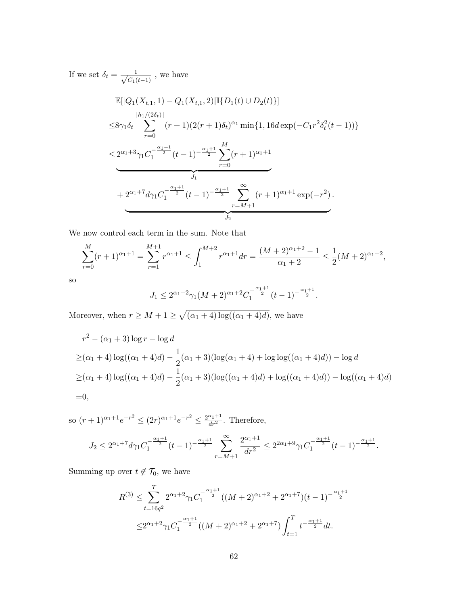If we set  $\delta_t = \frac{1}{\sqrt{C_t}}$  $\frac{1}{C_1(t-1)}$ , we have

$$
\mathbb{E}[|Q_1(X_{t,1},1) - Q_1(X_{t,1},2)|\mathbb{I}\{D_1(t) \cup D_2(t)\}]
$$
\n
$$
\leq 8\gamma_1 \delta_t \sum_{r=0}^{\lfloor h_1/(2\delta_t) \rfloor} (r+1)(2(r+1)\delta_t)^{\alpha_1} \min\{1, 16d \exp(-C_1 r^2 \delta_t^2(t-1))\}
$$
\n
$$
\leq 2^{\alpha_1+3} \gamma_1 C_1^{-\frac{\alpha_1+1}{2}} (t-1)^{-\frac{\alpha_1+1}{2}} \sum_{r=0}^M (r+1)^{\alpha_1+1}
$$
\n
$$
+ 2^{\alpha_1+7} d\gamma_1 C_1^{-\frac{\alpha_1+1}{2}} (t-1)^{-\frac{\alpha_1+1}{2}} \sum_{r=M+1}^\infty (r+1)^{\alpha_1+1} \exp(-r^2).
$$

We now control each term in the sum. Note that

$$
\sum_{r=0}^{M} (r+1)^{\alpha_1+1} = \sum_{r=1}^{M+1} r^{\alpha_1+1} \le \int_1^{M+2} r^{\alpha_1+1} dr = \frac{(M+2)^{\alpha_1+2}-1}{\alpha_1+2} \le \frac{1}{2}(M+2)^{\alpha_1+2},
$$

so

$$
J_1 \le 2^{\alpha_1+2} \gamma_1 (M+2)^{\alpha_1+2} C_1^{-\frac{\alpha_1+1}{2}} (t-1)^{-\frac{\alpha_1+1}{2}}.
$$

Moreover, when  $r \geq M + 1 \geq \sqrt{(\alpha_1 + 4) \log((\alpha_1 + 4)d)}$ , we have

$$
r^{2} - (\alpha_{1} + 3) \log r - \log d
$$
  
\n
$$
\geq (\alpha_{1} + 4) \log((\alpha_{1} + 4)d) - \frac{1}{2}(\alpha_{1} + 3)(\log(\alpha_{1} + 4) + \log \log((\alpha_{1} + 4)d)) - \log d
$$
  
\n
$$
\geq (\alpha_{1} + 4) \log((\alpha_{1} + 4)d) - \frac{1}{2}(\alpha_{1} + 3)(\log((\alpha_{1} + 4)d) + \log((\alpha_{1} + 4)d)) - \log((\alpha_{1} + 4)d)
$$
  
\n=0,

so  $(r+1)^{\alpha_1+1}e^{-r^2} \leq (2r)^{\alpha_1+1}e^{-r^2} \leq \frac{2^{\alpha_1+1}}{dr^2}$ . Therefore,

$$
J_2 \leq 2^{\alpha_1+7} d \gamma_1 C_1^{-\frac{\alpha_1+1}{2}} (t-1)^{-\frac{\alpha_1+1}{2}} \sum_{r=M+1}^{\infty} \frac{2^{\alpha_1+1}}{dr^2} \leq 2^{2\alpha_1+9} \gamma_1 C_1^{-\frac{\alpha_1+1}{2}} (t-1)^{-\frac{\alpha_1+1}{2}}.
$$

Summing up over  $t \not\in \mathcal{T}_0,$  we have

$$
R^{(3)} \leq \sum_{t=16q^2}^{T} 2^{\alpha_1+2} \gamma_1 C_1^{-\frac{\alpha_1+1}{2}} ((M+2)^{\alpha_1+2} + 2^{\alpha_1+7})(t-1)^{-\frac{\alpha_1+1}{2}}
$$
  

$$
\leq 2^{\alpha_1+2} \gamma_1 C_1^{-\frac{\alpha_1+1}{2}} ((M+2)^{\alpha_1+2} + 2^{\alpha_1+7}) \int_{t=1}^T t^{-\frac{\alpha_1+1}{2}} dt.
$$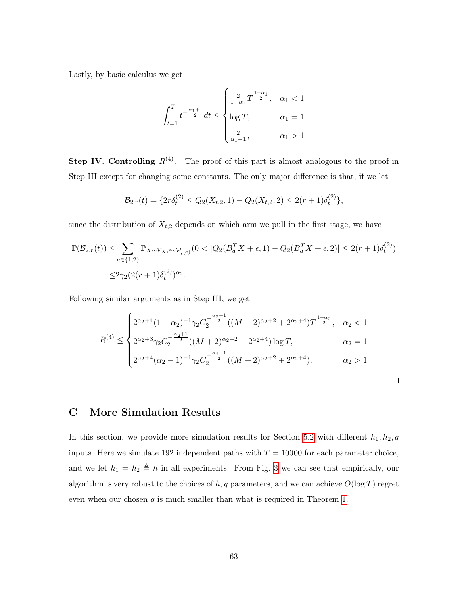Lastly, by basic calculus we get

$$
\int_{t=1}^{T} t^{-\frac{\alpha_{1}+1}{2}} dt \leq \begin{cases} \frac{2}{1-\alpha_{1}} T^{\frac{1-\alpha_{1}}{2}}, & \alpha_{1} < 1 \\ \log T, & \alpha_{1} = 1 \\ \frac{2}{\alpha_{1}-1}, & \alpha_{1} > 1 \end{cases}
$$

**Step IV. Controlling**  $R^{(4)}$ . The proof of this part is almost analogous to the proof in Step III except for changing some constants. The only major difference is that, if we let

$$
\mathcal{B}_{2,r}(t) = \{2r\delta_t^{(2)} \le Q_2(X_{t,2}, 1) - Q_2(X_{t,2}, 2) \le 2(r+1)\delta_t^{(2)}\},\
$$

since the distribution of  $X_{t,2}$  depends on which arm we pull in the first stage, we have

$$
\mathbb{P}(\mathcal{B}_{2,r}(t)) \leq \sum_{a \in \{1,2\}} \mathbb{P}_{X \sim \mathcal{P}_X, \epsilon \sim \mathcal{P}_{\epsilon^{(a)}}}(0 < |Q_2(B_a^T X + \epsilon, 1) - Q_2(B_a^T X + \epsilon, 2)| \leq 2(r+1)\delta_t^{(2)})
$$
\n
$$
\leq 2\gamma_2(2(r+1)\delta_t^{(2)})^{\alpha_2}.
$$

Following similar arguments as in Step III, we get

$$
R^{(4)} \leq \begin{cases} 2^{\alpha_2+4} (1-\alpha_2)^{-1} \gamma_2 C_2^{-\frac{\alpha_2+1}{2}} ((M+2)^{\alpha_2+2} + 2^{\alpha_2+4}) T^{\frac{1-\alpha_2}{2}}, & \alpha_2 < 1 \\ 2^{\alpha_2+3} \gamma_2 C_2^{-\frac{\alpha_2+1}{2}} ((M+2)^{\alpha_2+2} + 2^{\alpha_2+4}) \log T, & \alpha_2 = 1 \\ 2^{\alpha_2+4} (\alpha_2-1)^{-1} \gamma_2 C_2^{-\frac{\alpha_2+1}{2}} ((M+2)^{\alpha_2+2} + 2^{\alpha_2+4}), & \alpha_2 > 1 \end{cases}
$$

 $\Box$ 

# <span id="page-62-0"></span>C More Simulation Results

In this section, we provide more simulation results for Section [5.2](#page-28-0) with different  $h_1, h_2, q$ inputs. Here we simulate 192 independent paths with  $T = 10000$  for each parameter choice, and we let  $h_1 = h_2 \triangleq h$  in all experiments. From Fig. [3](#page-63-0) we can see that empirically, our algorithm is very robust to the choices of  $h, q$  parameters, and we can achieve  $O(\log T)$  regret even when our chosen  $q$  is much smaller than what is required in Theorem [1.](#page-18-2)